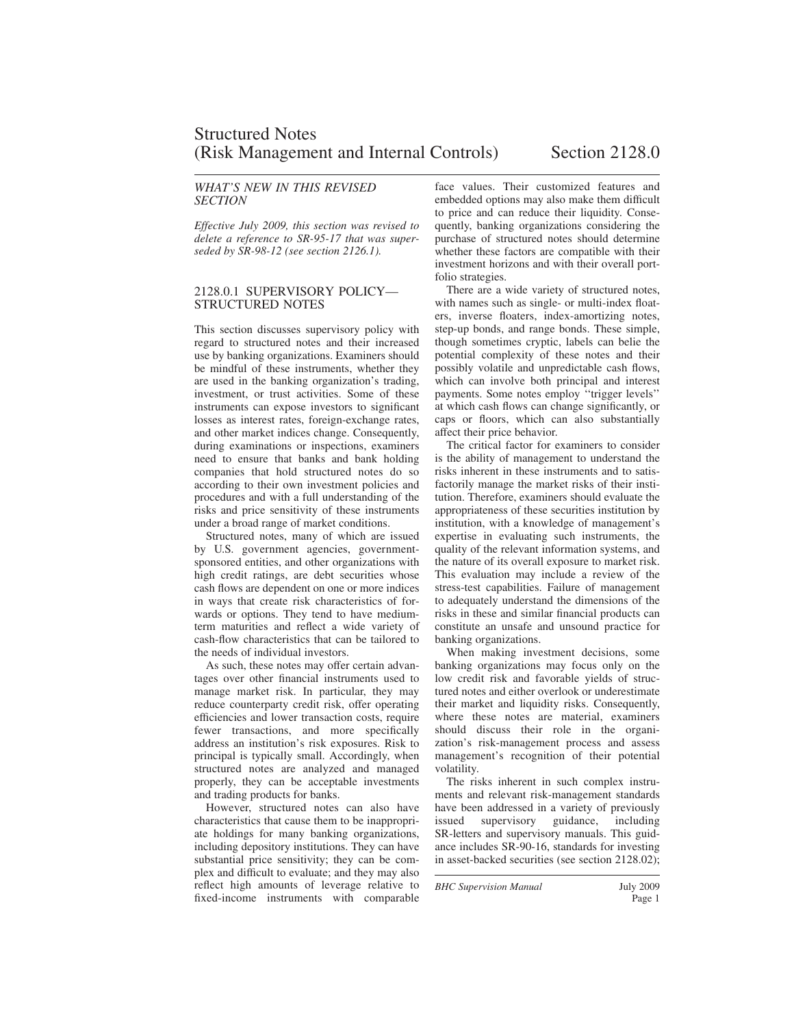### *WHAT'S NEW IN THIS REVISED SECTION*

*Effective July 2009, this section was revised to delete a reference to SR-95-17 that was superseded by SR-98-12 (see section 2126.1).*

#### 2128.0.1 SUPERVISORY POLICY— STRUCTURED NOTES

This section discusses supervisory policy with regard to structured notes and their increased use by banking organizations. Examiners should be mindful of these instruments, whether they are used in the banking organization's trading, investment, or trust activities. Some of these instruments can expose investors to significant losses as interest rates, foreign-exchange rates, and other market indices change. Consequently, during examinations or inspections, examiners need to ensure that banks and bank holding companies that hold structured notes do so according to their own investment policies and procedures and with a full understanding of the risks and price sensitivity of these instruments under a broad range of market conditions.

Structured notes, many of which are issued by U.S. government agencies, governmentsponsored entities, and other organizations with high credit ratings, are debt securities whose cash flows are dependent on one or more indices in ways that create risk characteristics of forwards or options. They tend to have mediumterm maturities and reflect a wide variety of cash-flow characteristics that can be tailored to the needs of individual investors.

As such, these notes may offer certain advantages over other financial instruments used to manage market risk. In particular, they may reduce counterparty credit risk, offer operating efficiencies and lower transaction costs, require fewer transactions, and more specifically address an institution's risk exposures. Risk to principal is typically small. Accordingly, when structured notes are analyzed and managed properly, they can be acceptable investments and trading products for banks.

However, structured notes can also have characteristics that cause them to be inappropriate holdings for many banking organizations, including depository institutions. They can have substantial price sensitivity; they can be complex and difficult to evaluate; and they may also reflect high amounts of leverage relative to fixed-income instruments with comparable face values. Their customized features and embedded options may also make them difficult to price and can reduce their liquidity. Consequently, banking organizations considering the purchase of structured notes should determine whether these factors are compatible with their investment horizons and with their overall portfolio strategies.

There are a wide variety of structured notes, with names such as single- or multi-index floaters, inverse floaters, index-amortizing notes, step-up bonds, and range bonds. These simple, though sometimes cryptic, labels can belie the potential complexity of these notes and their possibly volatile and unpredictable cash flows, which can involve both principal and interest payments. Some notes employ ''trigger levels'' at which cash flows can change significantly, or caps or floors, which can also substantially affect their price behavior.

The critical factor for examiners to consider is the ability of management to understand the risks inherent in these instruments and to satisfactorily manage the market risks of their institution. Therefore, examiners should evaluate the appropriateness of these securities institution by institution, with a knowledge of management's expertise in evaluating such instruments, the quality of the relevant information systems, and the nature of its overall exposure to market risk. This evaluation may include a review of the stress-test capabilities. Failure of management to adequately understand the dimensions of the risks in these and similar financial products can constitute an unsafe and unsound practice for banking organizations.

When making investment decisions, some banking organizations may focus only on the low credit risk and favorable yields of structured notes and either overlook or underestimate their market and liquidity risks. Consequently, where these notes are material, examiners should discuss their role in the organization's risk-management process and assess management's recognition of their potential volatility.

The risks inherent in such complex instruments and relevant risk-management standards have been addressed in a variety of previously issued supervisory guidance, including SR-letters and supervisory manuals. This guidance includes SR-90-16, standards for investing in asset-backed securities (see section 2128.02);

*BHC Supervision Manual* July 2009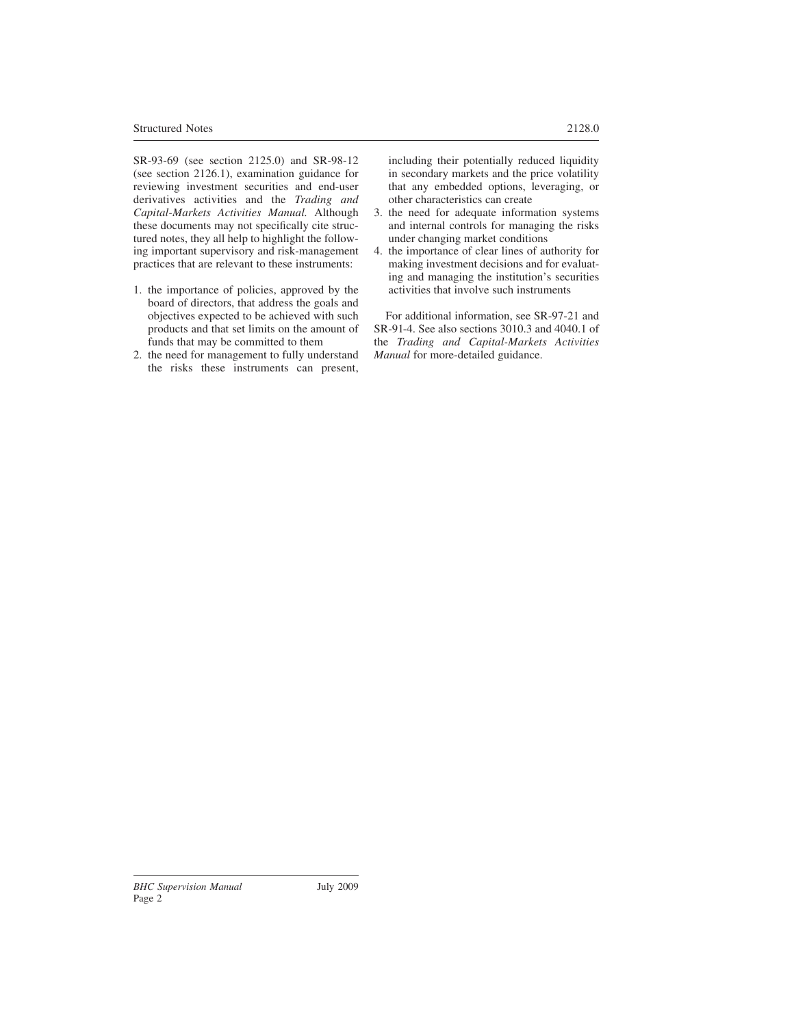SR-93-69 (see section 2125.0) and SR-98-12 (see section 2126.1), examination guidance for reviewing investment securities and end-user derivatives activities and the *Trading and Capital-Markets Activities Manual.* Although these documents may not specifically cite structured notes, they all help to highlight the following important supervisory and risk-management practices that are relevant to these instruments:

- 1. the importance of policies, approved by the board of directors, that address the goals and objectives expected to be achieved with such products and that set limits on the amount of funds that may be committed to them
- 2. the need for management to fully understand the risks these instruments can present,

including their potentially reduced liquidity in secondary markets and the price volatility that any embedded options, leveraging, or other characteristics can create

- 3. the need for adequate information systems and internal controls for managing the risks under changing market conditions
- 4. the importance of clear lines of authority for making investment decisions and for evaluating and managing the institution's securities activities that involve such instruments

For additional information, see SR-97-21 and SR-91-4. See also sections 3010.3 and 4040.1 of the *Trading and Capital-Markets Activities Manual* for more-detailed guidance.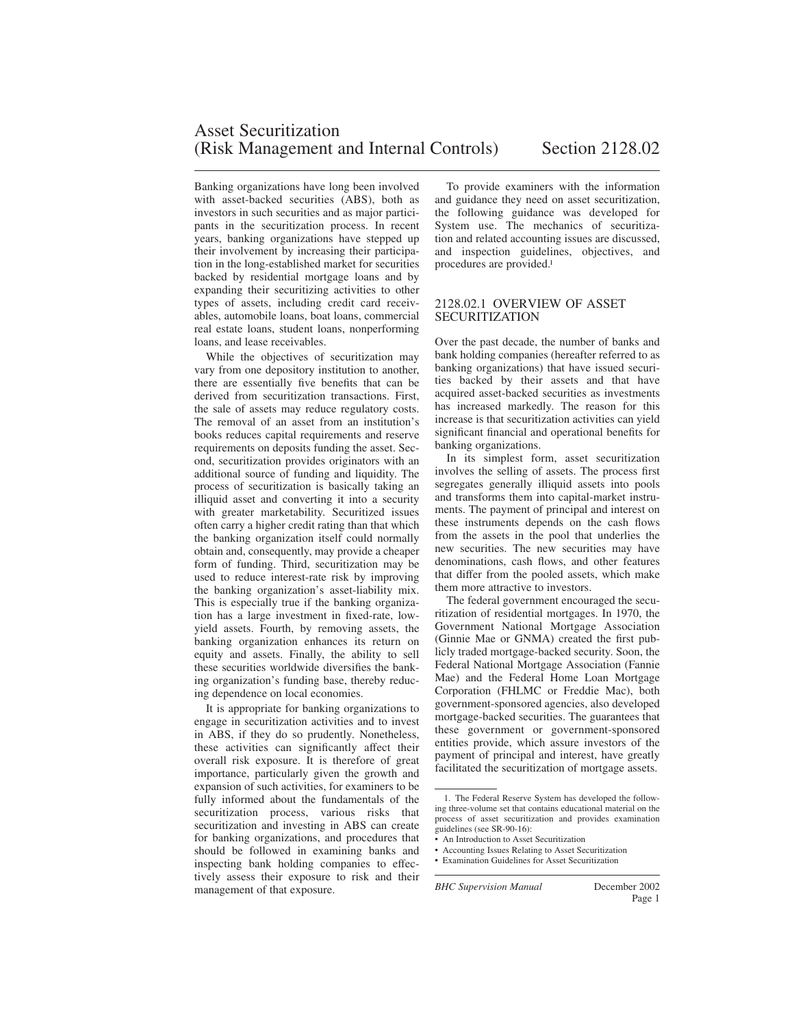Banking organizations have long been involved with asset-backed securities (ABS), both as investors in such securities and as major participants in the securitization process. In recent years, banking organizations have stepped up their involvement by increasing their participation in the long-established market for securities backed by residential mortgage loans and by expanding their securitizing activities to other types of assets, including credit card receivables, automobile loans, boat loans, commercial real estate loans, student loans, nonperforming loans, and lease receivables.

While the objectives of securitization may vary from one depository institution to another, there are essentially five benefits that can be derived from securitization transactions. First, the sale of assets may reduce regulatory costs. The removal of an asset from an institution's books reduces capital requirements and reserve requirements on deposits funding the asset. Second, securitization provides originators with an additional source of funding and liquidity. The process of securitization is basically taking an illiquid asset and converting it into a security with greater marketability. Securitized issues often carry a higher credit rating than that which the banking organization itself could normally obtain and, consequently, may provide a cheaper form of funding. Third, securitization may be used to reduce interest-rate risk by improving the banking organization's asset-liability mix. This is especially true if the banking organization has a large investment in fixed-rate, lowyield assets. Fourth, by removing assets, the banking organization enhances its return on equity and assets. Finally, the ability to sell these securities worldwide diversifies the banking organization's funding base, thereby reducing dependence on local economies.

It is appropriate for banking organizations to engage in securitization activities and to invest in ABS, if they do so prudently. Nonetheless, these activities can significantly affect their overall risk exposure. It is therefore of great importance, particularly given the growth and expansion of such activities, for examiners to be fully informed about the fundamentals of the securitization process, various risks that securitization and investing in ABS can create for banking organizations, and procedures that should be followed in examining banks and inspecting bank holding companies to effectively assess their exposure to risk and their management of that exposure.

To provide examiners with the information and guidance they need on asset securitization, the following guidance was developed for System use. The mechanics of securitization and related accounting issues are discussed, and inspection guidelines, objectives, and procedures are provided.<sup>1</sup>

#### 2128.02.1 OVERVIEW OF ASSET **SECURITIZATION**

Over the past decade, the number of banks and bank holding companies (hereafter referred to as banking organizations) that have issued securities backed by their assets and that have acquired asset-backed securities as investments has increased markedly. The reason for this increase is that securitization activities can yield significant financial and operational benefits for banking organizations.

In its simplest form, asset securitization involves the selling of assets. The process first segregates generally illiquid assets into pools and transforms them into capital-market instruments. The payment of principal and interest on these instruments depends on the cash flows from the assets in the pool that underlies the new securities. The new securities may have denominations, cash flows, and other features that differ from the pooled assets, which make them more attractive to investors.

The federal government encouraged the securitization of residential mortgages. In 1970, the Government National Mortgage Association (Ginnie Mae or GNMA) created the first publicly traded mortgage-backed security. Soon, the Federal National Mortgage Association (Fannie Mae) and the Federal Home Loan Mortgage Corporation (FHLMC or Freddie Mac), both government-sponsored agencies, also developed mortgage-backed securities. The guarantees that these government or government-sponsored entities provide, which assure investors of the payment of principal and interest, have greatly facilitated the securitization of mortgage assets.

<sup>1.</sup> The Federal Reserve System has developed the following three-volume set that contains educational material on the process of asset securitization and provides examination guidelines (see SR-90-16):

<sup>•</sup> An Introduction to Asset Securitization

<sup>•</sup> Accounting Issues Relating to Asset Securitization

<sup>•</sup> Examination Guidelines for Asset Securitization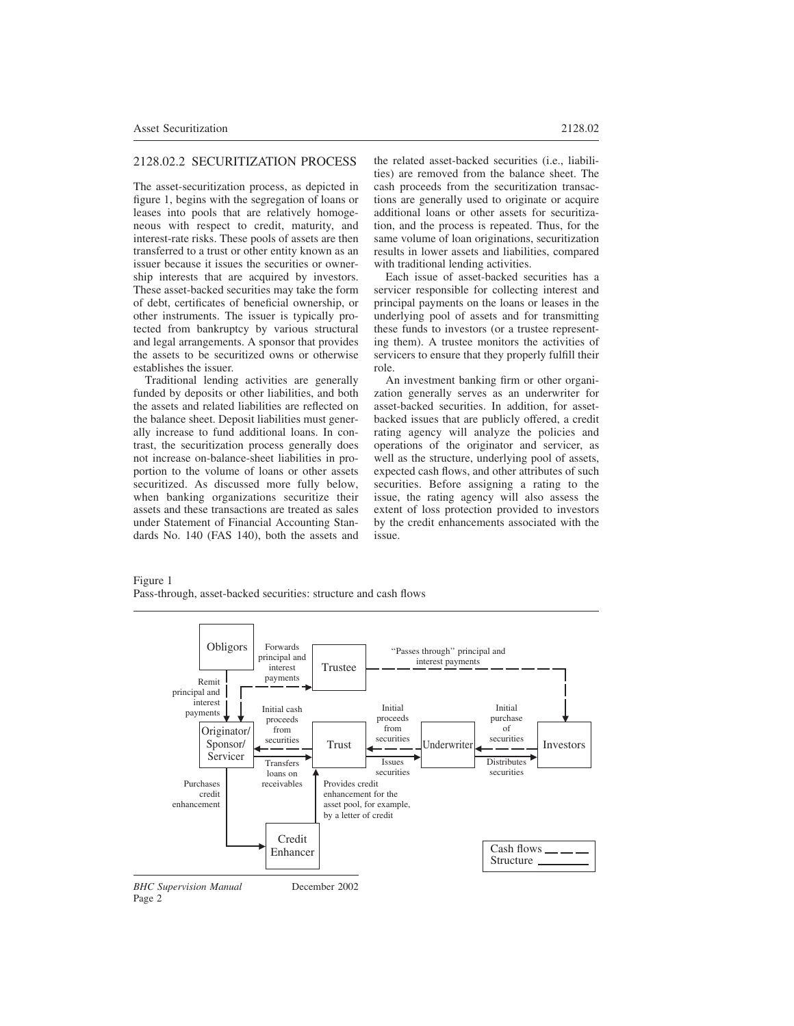# 2128.02.2 SECURITIZATION PROCESS

The asset-securitization process, as depicted in figure 1, begins with the segregation of loans or leases into pools that are relatively homogeneous with respect to credit, maturity, and interest-rate risks. These pools of assets are then transferred to a trust or other entity known as an issuer because it issues the securities or ownership interests that are acquired by investors. These asset-backed securities may take the form of debt, certificates of beneficial ownership, or other instruments. The issuer is typically protected from bankruptcy by various structural and legal arrangements. A sponsor that provides the assets to be securitized owns or otherwise establishes the issuer.

Traditional lending activities are generally funded by deposits or other liabilities, and both the assets and related liabilities are reflected on the balance sheet. Deposit liabilities must generally increase to fund additional loans. In contrast, the securitization process generally does not increase on-balance-sheet liabilities in proportion to the volume of loans or other assets securitized. As discussed more fully below, when banking organizations securitize their assets and these transactions are treated as sales under Statement of Financial Accounting Standards No. 140 (FAS 140), both the assets and the related asset-backed securities (i.e., liabilities) are removed from the balance sheet. The cash proceeds from the securitization transactions are generally used to originate or acquire additional loans or other assets for securitization, and the process is repeated. Thus, for the same volume of loan originations, securitization results in lower assets and liabilities, compared with traditional lending activities.

Each issue of asset-backed securities has a servicer responsible for collecting interest and principal payments on the loans or leases in the underlying pool of assets and for transmitting these funds to investors (or a trustee representing them). A trustee monitors the activities of servicers to ensure that they properly fulfill their role.

An investment banking firm or other organization generally serves as an underwriter for asset-backed securities. In addition, for assetbacked issues that are publicly offered, a credit rating agency will analyze the policies and operations of the originator and servicer, as well as the structure, underlying pool of assets, expected cash flows, and other attributes of such securities. Before assigning a rating to the issue, the rating agency will also assess the extent of loss protection provided to investors by the credit enhancements associated with the issue.



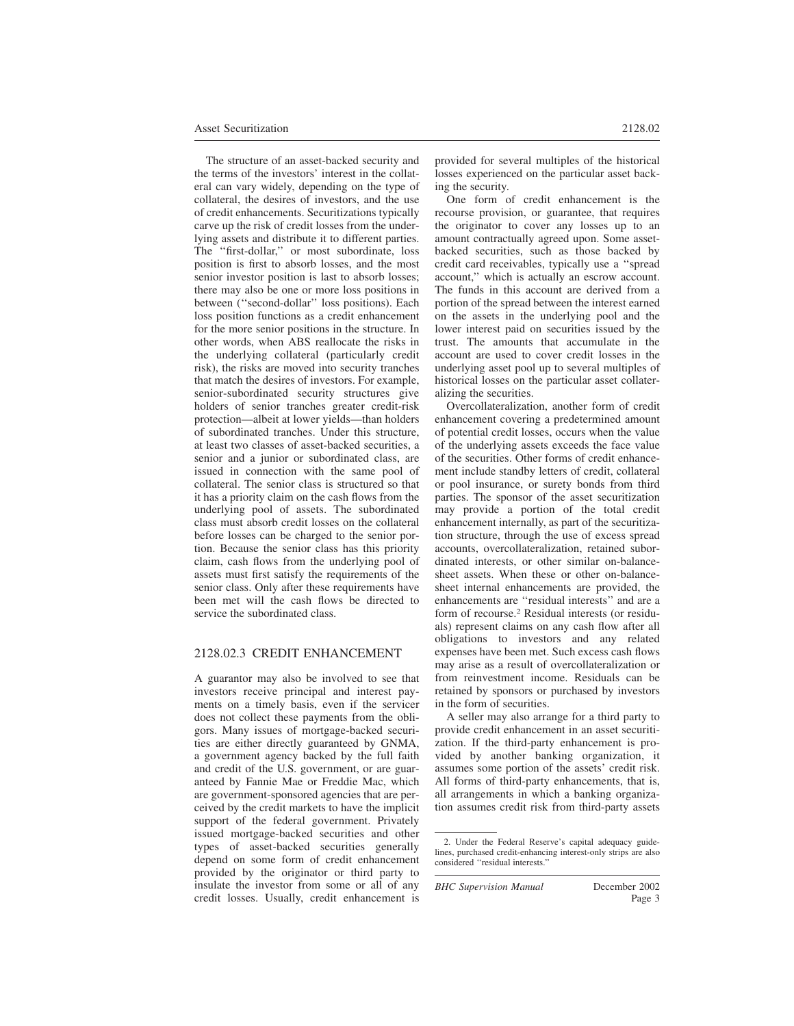The structure of an asset-backed security and the terms of the investors' interest in the collateral can vary widely, depending on the type of collateral, the desires of investors, and the use of credit enhancements. Securitizations typically carve up the risk of credit losses from the underlying assets and distribute it to different parties. The ''first-dollar,'' or most subordinate, loss position is first to absorb losses, and the most senior investor position is last to absorb losses; there may also be one or more loss positions in between (''second-dollar'' loss positions). Each loss position functions as a credit enhancement for the more senior positions in the structure. In other words, when ABS reallocate the risks in the underlying collateral (particularly credit risk), the risks are moved into security tranches that match the desires of investors. For example, senior-subordinated security structures give holders of senior tranches greater credit-risk protection—albeit at lower yields—than holders of subordinated tranches. Under this structure, at least two classes of asset-backed securities, a senior and a junior or subordinated class, are issued in connection with the same pool of collateral. The senior class is structured so that it has a priority claim on the cash flows from the underlying pool of assets. The subordinated class must absorb credit losses on the collateral before losses can be charged to the senior portion. Because the senior class has this priority claim, cash flows from the underlying pool of assets must first satisfy the requirements of the senior class. Only after these requirements have been met will the cash flows be directed to service the subordinated class.

#### 2128.02.3 CREDIT ENHANCEMENT

A guarantor may also be involved to see that investors receive principal and interest payments on a timely basis, even if the servicer does not collect these payments from the obligors. Many issues of mortgage-backed securities are either directly guaranteed by GNMA, a government agency backed by the full faith and credit of the U.S. government, or are guaranteed by Fannie Mae or Freddie Mac, which are government-sponsored agencies that are perceived by the credit markets to have the implicit support of the federal government. Privately issued mortgage-backed securities and other types of asset-backed securities generally depend on some form of credit enhancement provided by the originator or third party to insulate the investor from some or all of any credit losses. Usually, credit enhancement is provided for several multiples of the historical losses experienced on the particular asset backing the security.

One form of credit enhancement is the recourse provision, or guarantee, that requires the originator to cover any losses up to an amount contractually agreed upon. Some assetbacked securities, such as those backed by credit card receivables, typically use a ''spread account,'' which is actually an escrow account. The funds in this account are derived from a portion of the spread between the interest earned on the assets in the underlying pool and the lower interest paid on securities issued by the trust. The amounts that accumulate in the account are used to cover credit losses in the underlying asset pool up to several multiples of historical losses on the particular asset collateralizing the securities.

Overcollateralization, another form of credit enhancement covering a predetermined amount of potential credit losses, occurs when the value of the underlying assets exceeds the face value of the securities. Other forms of credit enhancement include standby letters of credit, collateral or pool insurance, or surety bonds from third parties. The sponsor of the asset securitization may provide a portion of the total credit enhancement internally, as part of the securitization structure, through the use of excess spread accounts, overcollateralization, retained subordinated interests, or other similar on-balancesheet assets. When these or other on-balancesheet internal enhancements are provided, the enhancements are ''residual interests'' and are a form of recourse.<sup>2</sup> Residual interests (or residuals) represent claims on any cash flow after all obligations to investors and any related expenses have been met. Such excess cash flows may arise as a result of overcollateralization or from reinvestment income. Residuals can be retained by sponsors or purchased by investors in the form of securities.

A seller may also arrange for a third party to provide credit enhancement in an asset securitization. If the third-party enhancement is provided by another banking organization, it assumes some portion of the assets' credit risk. All forms of third-party enhancements, that is, all arrangements in which a banking organization assumes credit risk from third-party assets

*BHC Supervision Manual* December 2002

<sup>2.</sup> Under the Federal Reserve's capital adequacy guidelines, purchased credit-enhancing interest-only strips are also considered ''residual interests.''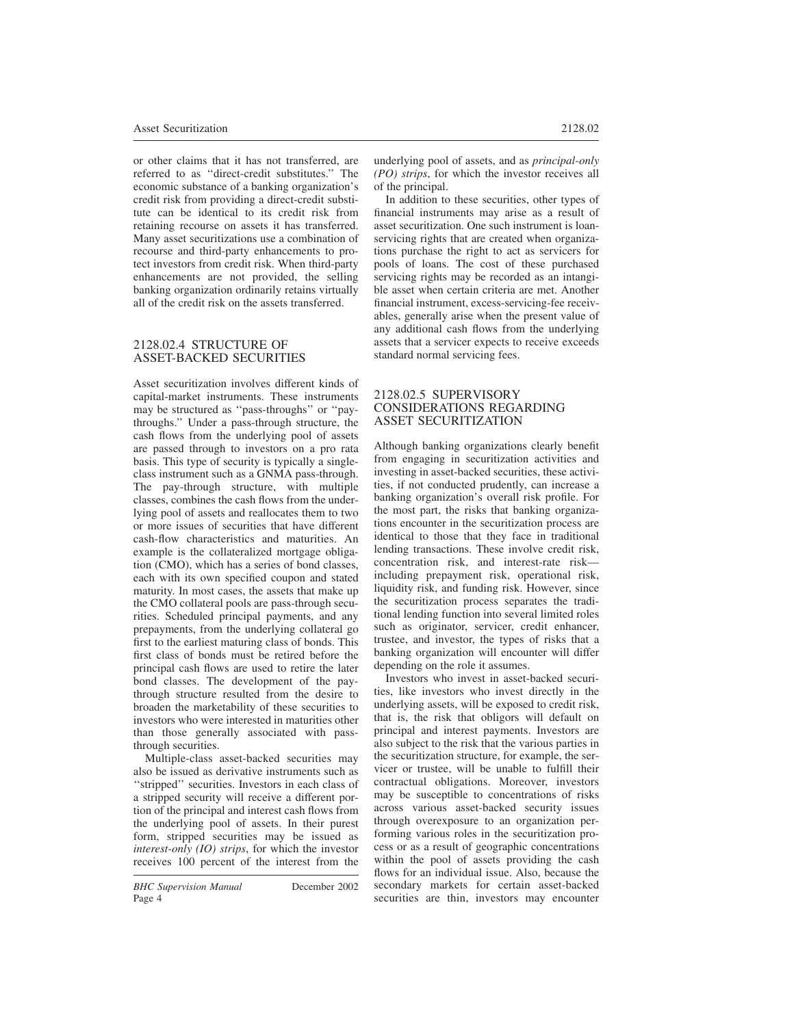or other claims that it has not transferred, are referred to as ''direct-credit substitutes.'' The economic substance of a banking organization's credit risk from providing a direct-credit substitute can be identical to its credit risk from retaining recourse on assets it has transferred. Many asset securitizations use a combination of recourse and third-party enhancements to protect investors from credit risk. When third-party enhancements are not provided, the selling banking organization ordinarily retains virtually all of the credit risk on the assets transferred.

### 2128.02.4 STRUCTURE OF ASSET-BACKED SECURITIES

Asset securitization involves different kinds of capital-market instruments. These instruments may be structured as ''pass-throughs'' or ''paythroughs.'' Under a pass-through structure, the cash flows from the underlying pool of assets are passed through to investors on a pro rata basis. This type of security is typically a singleclass instrument such as a GNMA pass-through. The pay-through structure, with multiple classes, combines the cash flows from the underlying pool of assets and reallocates them to two or more issues of securities that have different cash-flow characteristics and maturities. An example is the collateralized mortgage obligation (CMO), which has a series of bond classes, each with its own specified coupon and stated maturity. In most cases, the assets that make up the CMO collateral pools are pass-through securities. Scheduled principal payments, and any prepayments, from the underlying collateral go first to the earliest maturing class of bonds. This first class of bonds must be retired before the principal cash flows are used to retire the later bond classes. The development of the paythrough structure resulted from the desire to broaden the marketability of these securities to investors who were interested in maturities other than those generally associated with passthrough securities.

Multiple-class asset-backed securities may also be issued as derivative instruments such as ''stripped'' securities. Investors in each class of a stripped security will receive a different portion of the principal and interest cash flows from the underlying pool of assets. In their purest form, stripped securities may be issued as *interest-only (IO) strips*, for which the investor receives 100 percent of the interest from the

*BHC Supervision Manual* December 2002 Page 4

underlying pool of assets, and as *principal-only (PO) strips*, for which the investor receives all of the principal.

In addition to these securities, other types of financial instruments may arise as a result of asset securitization. One such instrument is loanservicing rights that are created when organizations purchase the right to act as servicers for pools of loans. The cost of these purchased servicing rights may be recorded as an intangible asset when certain criteria are met. Another financial instrument, excess-servicing-fee receivables, generally arise when the present value of any additional cash flows from the underlying assets that a servicer expects to receive exceeds standard normal servicing fees.

### 2128.02.5 SUPERVISORY CONSIDERATIONS REGARDING ASSET SECURITIZATION

Although banking organizations clearly benefit from engaging in securitization activities and investing in asset-backed securities, these activities, if not conducted prudently, can increase a banking organization's overall risk profile. For the most part, the risks that banking organizations encounter in the securitization process are identical to those that they face in traditional lending transactions. These involve credit risk, concentration risk, and interest-rate risk including prepayment risk, operational risk, liquidity risk, and funding risk. However, since the securitization process separates the traditional lending function into several limited roles such as originator, servicer, credit enhancer, trustee, and investor, the types of risks that a banking organization will encounter will differ depending on the role it assumes.

Investors who invest in asset-backed securities, like investors who invest directly in the underlying assets, will be exposed to credit risk, that is, the risk that obligors will default on principal and interest payments. Investors are also subject to the risk that the various parties in the securitization structure, for example, the servicer or trustee, will be unable to fulfill their contractual obligations. Moreover, investors may be susceptible to concentrations of risks across various asset-backed security issues through overexposure to an organization performing various roles in the securitization process or as a result of geographic concentrations within the pool of assets providing the cash flows for an individual issue. Also, because the secondary markets for certain asset-backed securities are thin, investors may encounter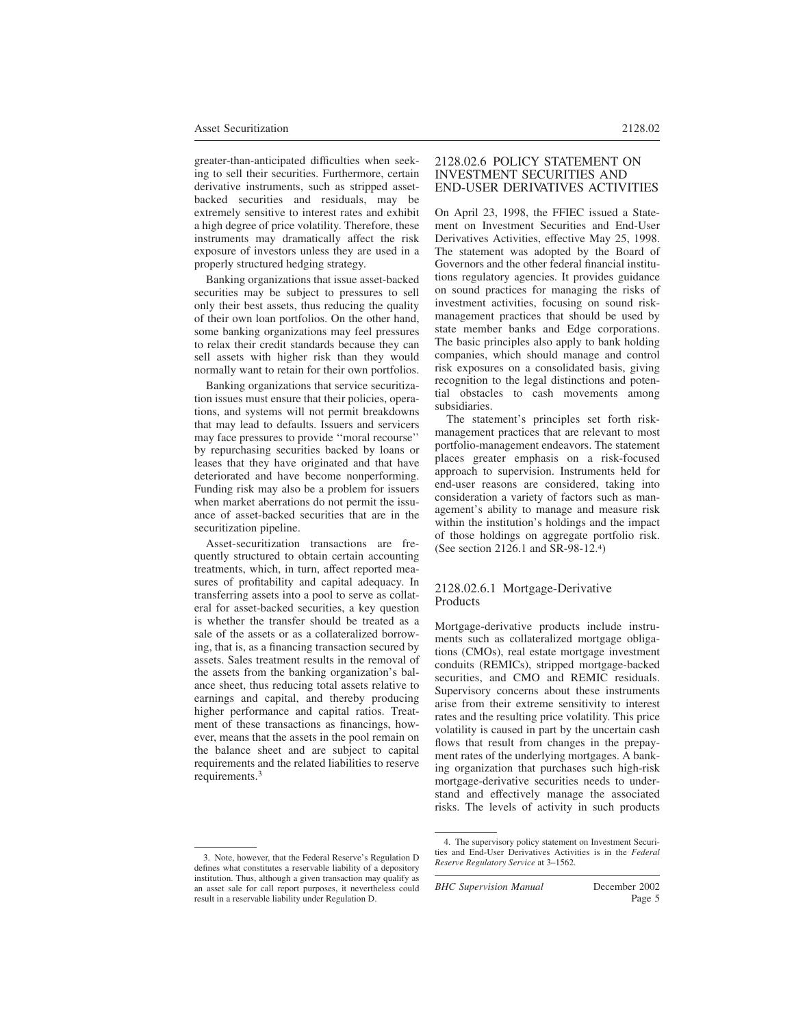greater-than-anticipated difficulties when seeking to sell their securities. Furthermore, certain derivative instruments, such as stripped assetbacked securities and residuals, may be extremely sensitive to interest rates and exhibit a high degree of price volatility. Therefore, these instruments may dramatically affect the risk exposure of investors unless they are used in a properly structured hedging strategy.

Banking organizations that issue asset-backed securities may be subject to pressures to sell only their best assets, thus reducing the quality of their own loan portfolios. On the other hand, some banking organizations may feel pressures to relax their credit standards because they can sell assets with higher risk than they would normally want to retain for their own portfolios.

Banking organizations that service securitization issues must ensure that their policies, operations, and systems will not permit breakdowns that may lead to defaults. Issuers and servicers may face pressures to provide ''moral recourse'' by repurchasing securities backed by loans or leases that they have originated and that have deteriorated and have become nonperforming. Funding risk may also be a problem for issuers when market aberrations do not permit the issuance of asset-backed securities that are in the securitization pipeline.

Asset-securitization transactions are frequently structured to obtain certain accounting treatments, which, in turn, affect reported measures of profitability and capital adequacy. In transferring assets into a pool to serve as collateral for asset-backed securities, a key question is whether the transfer should be treated as a sale of the assets or as a collateralized borrowing, that is, as a financing transaction secured by assets. Sales treatment results in the removal of the assets from the banking organization's balance sheet, thus reducing total assets relative to earnings and capital, and thereby producing higher performance and capital ratios. Treatment of these transactions as financings, however, means that the assets in the pool remain on the balance sheet and are subject to capital requirements and the related liabilities to reserve requirements.<sup>3</sup>

# On April 23, 1998, the FFIEC issued a Statement on Investment Securities and End-User Derivatives Activities, effective May 25, 1998.

The statement was adopted by the Board of Governors and the other federal financial institutions regulatory agencies. It provides guidance on sound practices for managing the risks of investment activities, focusing on sound riskmanagement practices that should be used by state member banks and Edge corporations. The basic principles also apply to bank holding companies, which should manage and control risk exposures on a consolidated basis, giving recognition to the legal distinctions and potential obstacles to cash movements among subsidiaries.

2128.02.6 POLICY STATEMENT ON INVESTMENT SECURITIES AND END-USER DERIVATIVES ACTIVITIES

The statement's principles set forth riskmanagement practices that are relevant to most portfolio-management endeavors. The statement places greater emphasis on a risk-focused approach to supervision. Instruments held for end-user reasons are considered, taking into consideration a variety of factors such as management's ability to manage and measure risk within the institution's holdings and the impact of those holdings on aggregate portfolio risk. (See section 2126.1 and SR-98-12.<sup>4</sup> )

### 2128.02.6.1 Mortgage-Derivative Products

Mortgage-derivative products include instruments such as collateralized mortgage obligations (CMOs), real estate mortgage investment conduits (REMICs), stripped mortgage-backed securities, and CMO and REMIC residuals. Supervisory concerns about these instruments arise from their extreme sensitivity to interest rates and the resulting price volatility. This price volatility is caused in part by the uncertain cash flows that result from changes in the prepayment rates of the underlying mortgages. A banking organization that purchases such high-risk mortgage-derivative securities needs to understand and effectively manage the associated risks. The levels of activity in such products

<sup>3.</sup> Note, however, that the Federal Reserve's Regulation D defines what constitutes a reservable liability of a depository institution. Thus, although a given transaction may qualify as an asset sale for call report purposes, it nevertheless could result in a reservable liability under Regulation D.

<sup>4.</sup> The supervisory policy statement on Investment Securities and End-User Derivatives Activities is in the *Federal Reserve Regulatory Service* at 3–1562.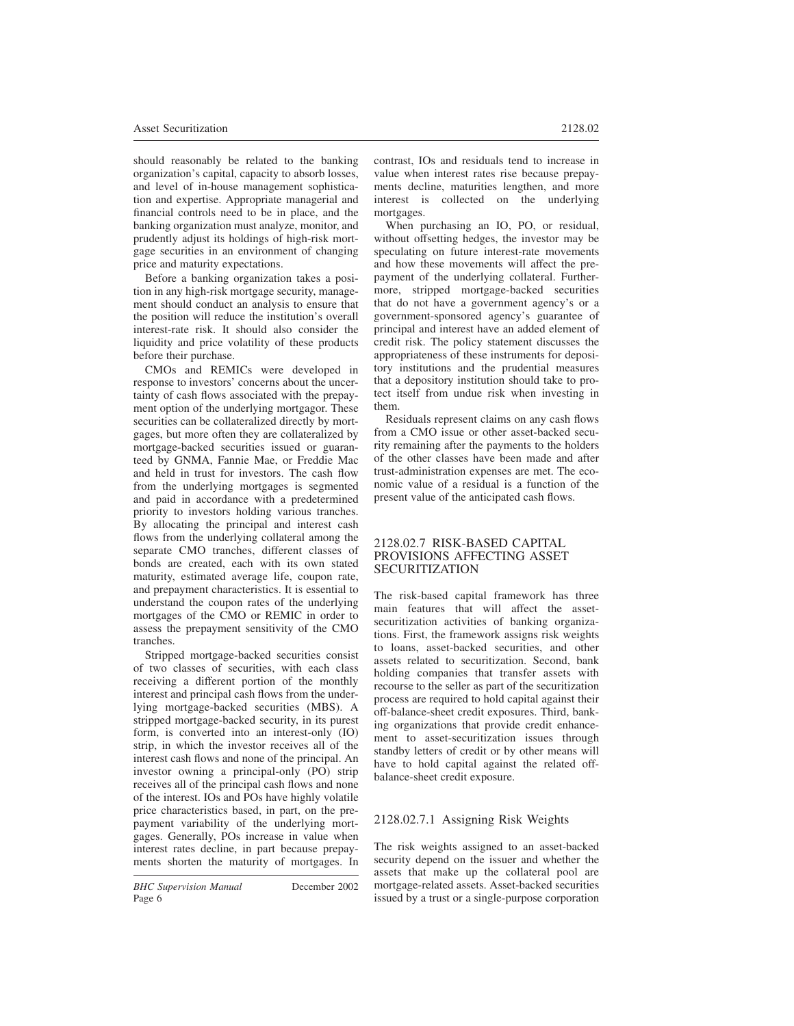should reasonably be related to the banking organization's capital, capacity to absorb losses, and level of in-house management sophistication and expertise. Appropriate managerial and financial controls need to be in place, and the banking organization must analyze, monitor, and prudently adjust its holdings of high-risk mortgage securities in an environment of changing price and maturity expectations.

Before a banking organization takes a position in any high-risk mortgage security, management should conduct an analysis to ensure that the position will reduce the institution's overall interest-rate risk. It should also consider the liquidity and price volatility of these products before their purchase.

CMOs and REMICs were developed in response to investors' concerns about the uncertainty of cash flows associated with the prepayment option of the underlying mortgagor. These securities can be collateralized directly by mortgages, but more often they are collateralized by mortgage-backed securities issued or guaranteed by GNMA, Fannie Mae, or Freddie Mac and held in trust for investors. The cash flow from the underlying mortgages is segmented and paid in accordance with a predetermined priority to investors holding various tranches. By allocating the principal and interest cash flows from the underlying collateral among the separate CMO tranches, different classes of bonds are created, each with its own stated maturity, estimated average life, coupon rate, and prepayment characteristics. It is essential to understand the coupon rates of the underlying mortgages of the CMO or REMIC in order to assess the prepayment sensitivity of the CMO tranches.

Stripped mortgage-backed securities consist of two classes of securities, with each class receiving a different portion of the monthly interest and principal cash flows from the underlying mortgage-backed securities (MBS). A stripped mortgage-backed security, in its purest form, is converted into an interest-only (IO) strip, in which the investor receives all of the interest cash flows and none of the principal. An investor owning a principal-only (PO) strip receives all of the principal cash flows and none of the interest. IOs and POs have highly volatile price characteristics based, in part, on the prepayment variability of the underlying mortgages. Generally, POs increase in value when interest rates decline, in part because prepayments shorten the maturity of mortgages. In

*BHC Supervision Manual* December 2002 Page 6

contrast, IOs and residuals tend to increase in value when interest rates rise because prepayments decline, maturities lengthen, and more interest is collected on the underlying mortgages.

When purchasing an IO, PO, or residual, without offsetting hedges, the investor may be speculating on future interest-rate movements and how these movements will affect the prepayment of the underlying collateral. Furthermore, stripped mortgage-backed securities that do not have a government agency's or a government-sponsored agency's guarantee of principal and interest have an added element of credit risk. The policy statement discusses the appropriateness of these instruments for depository institutions and the prudential measures that a depository institution should take to protect itself from undue risk when investing in them.

Residuals represent claims on any cash flows from a CMO issue or other asset-backed security remaining after the payments to the holders of the other classes have been made and after trust-administration expenses are met. The economic value of a residual is a function of the present value of the anticipated cash flows.

#### 2128.02.7 RISK-BASED CAPITAL PROVISIONS AFFECTING ASSET SECURITIZATION

The risk-based capital framework has three main features that will affect the assetsecuritization activities of banking organizations. First, the framework assigns risk weights to loans, asset-backed securities, and other assets related to securitization. Second, bank holding companies that transfer assets with recourse to the seller as part of the securitization process are required to hold capital against their off-balance-sheet credit exposures. Third, banking organizations that provide credit enhancement to asset-securitization issues through standby letters of credit or by other means will have to hold capital against the related offbalance-sheet credit exposure.

# 2128.02.7.1 Assigning Risk Weights

The risk weights assigned to an asset-backed security depend on the issuer and whether the assets that make up the collateral pool are mortgage-related assets. Asset-backed securities issued by a trust or a single-purpose corporation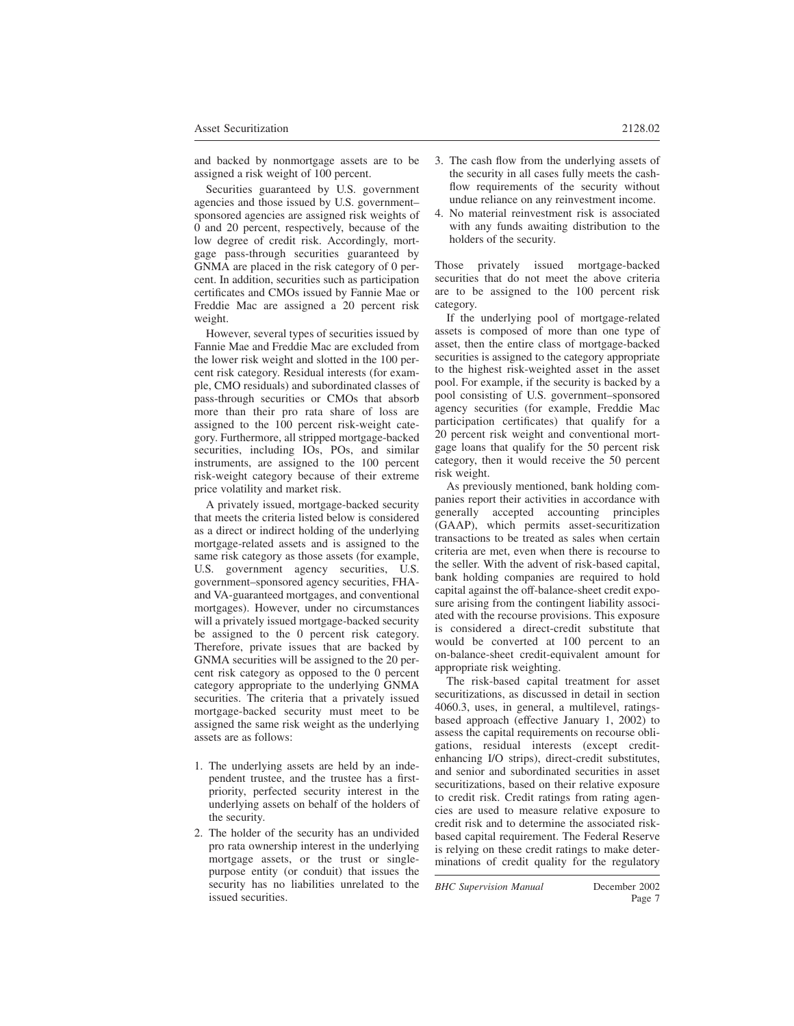and backed by nonmortgage assets are to be assigned a risk weight of 100 percent.

Securities guaranteed by U.S. government agencies and those issued by U.S. government– sponsored agencies are assigned risk weights of 0 and 20 percent, respectively, because of the low degree of credit risk. Accordingly, mortgage pass-through securities guaranteed by GNMA are placed in the risk category of 0 percent. In addition, securities such as participation certificates and CMOs issued by Fannie Mae or Freddie Mac are assigned a 20 percent risk weight.

However, several types of securities issued by Fannie Mae and Freddie Mac are excluded from the lower risk weight and slotted in the 100 percent risk category. Residual interests (for example, CMO residuals) and subordinated classes of pass-through securities or CMOs that absorb more than their pro rata share of loss are assigned to the 100 percent risk-weight category. Furthermore, all stripped mortgage-backed securities, including IOs, POs, and similar instruments, are assigned to the 100 percent risk-weight category because of their extreme price volatility and market risk.

A privately issued, mortgage-backed security that meets the criteria listed below is considered as a direct or indirect holding of the underlying mortgage-related assets and is assigned to the same risk category as those assets (for example, U.S. government agency securities, U.S. government–sponsored agency securities, FHAand VA-guaranteed mortgages, and conventional mortgages). However, under no circumstances will a privately issued mortgage-backed security be assigned to the 0 percent risk category. Therefore, private issues that are backed by GNMA securities will be assigned to the 20 percent risk category as opposed to the 0 percent category appropriate to the underlying GNMA securities. The criteria that a privately issued mortgage-backed security must meet to be assigned the same risk weight as the underlying assets are as follows:

- 1. The underlying assets are held by an independent trustee, and the trustee has a firstpriority, perfected security interest in the underlying assets on behalf of the holders of the security.
- 2. The holder of the security has an undivided pro rata ownership interest in the underlying mortgage assets, or the trust or singlepurpose entity (or conduit) that issues the security has no liabilities unrelated to the issued securities.
- 3. The cash flow from the underlying assets of the security in all cases fully meets the cashflow requirements of the security without undue reliance on any reinvestment income.
- 4. No material reinvestment risk is associated with any funds awaiting distribution to the holders of the security.

Those privately issued mortgage-backed securities that do not meet the above criteria are to be assigned to the 100 percent risk category.

If the underlying pool of mortgage-related assets is composed of more than one type of asset, then the entire class of mortgage-backed securities is assigned to the category appropriate to the highest risk-weighted asset in the asset pool. For example, if the security is backed by a pool consisting of U.S. government–sponsored agency securities (for example, Freddie Mac participation certificates) that qualify for a 20 percent risk weight and conventional mortgage loans that qualify for the 50 percent risk category, then it would receive the 50 percent risk weight.

As previously mentioned, bank holding companies report their activities in accordance with generally accepted accounting principles (GAAP), which permits asset-securitization transactions to be treated as sales when certain criteria are met, even when there is recourse to the seller. With the advent of risk-based capital, bank holding companies are required to hold capital against the off-balance-sheet credit exposure arising from the contingent liability associated with the recourse provisions. This exposure is considered a direct-credit substitute that would be converted at 100 percent to an on-balance-sheet credit-equivalent amount for appropriate risk weighting.

The risk-based capital treatment for asset securitizations, as discussed in detail in section 4060.3, uses, in general, a multilevel, ratingsbased approach (effective January 1, 2002) to assess the capital requirements on recourse obligations, residual interests (except creditenhancing I/O strips), direct-credit substitutes, and senior and subordinated securities in asset securitizations, based on their relative exposure to credit risk. Credit ratings from rating agencies are used to measure relative exposure to credit risk and to determine the associated riskbased capital requirement. The Federal Reserve is relying on these credit ratings to make determinations of credit quality for the regulatory

*BHC Supervision Manual* December 2002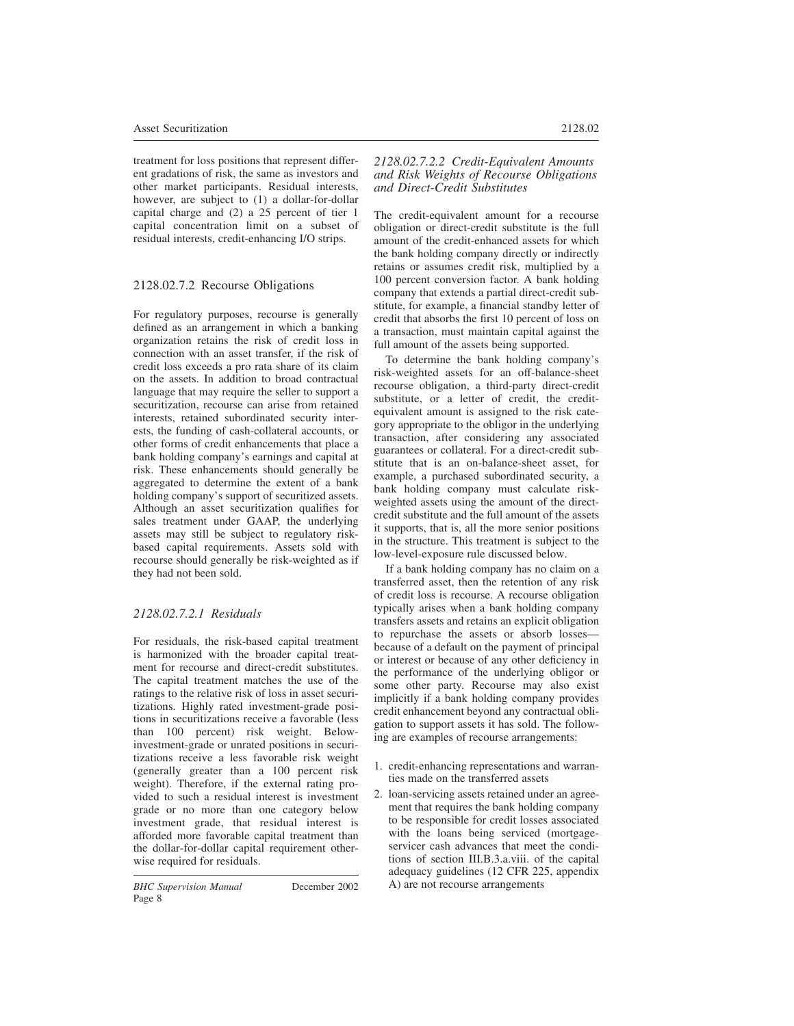treatment for loss positions that represent different gradations of risk, the same as investors and other market participants. Residual interests, however, are subject to (1) a dollar-for-dollar capital charge and (2) a 25 percent of tier 1 capital concentration limit on a subset of residual interests, credit-enhancing I/O strips.

# 2128.02.7.2 Recourse Obligations

For regulatory purposes, recourse is generally defined as an arrangement in which a banking organization retains the risk of credit loss in connection with an asset transfer, if the risk of credit loss exceeds a pro rata share of its claim on the assets. In addition to broad contractual language that may require the seller to support a securitization, recourse can arise from retained interests, retained subordinated security interests, the funding of cash-collateral accounts, or other forms of credit enhancements that place a bank holding company's earnings and capital at risk. These enhancements should generally be aggregated to determine the extent of a bank holding company's support of securitized assets. Although an asset securitization qualifies for sales treatment under GAAP, the underlying assets may still be subject to regulatory riskbased capital requirements. Assets sold with recourse should generally be risk-weighted as if they had not been sold.

# *2128.02.7.2.1 Residuals*

For residuals, the risk-based capital treatment is harmonized with the broader capital treatment for recourse and direct-credit substitutes. The capital treatment matches the use of the ratings to the relative risk of loss in asset securitizations. Highly rated investment-grade positions in securitizations receive a favorable (less than 100 percent) risk weight. Belowinvestment-grade or unrated positions in securitizations receive a less favorable risk weight (generally greater than a 100 percent risk weight). Therefore, if the external rating provided to such a residual interest is investment grade or no more than one category below investment grade, that residual interest is afforded more favorable capital treatment than the dollar-for-dollar capital requirement otherwise required for residuals.

*2128.02.7.2.2 Credit-Equivalent Amounts and Risk Weights of Recourse Obligations and Direct-Credit Substitutes*

The credit-equivalent amount for a recourse obligation or direct-credit substitute is the full amount of the credit-enhanced assets for which the bank holding company directly or indirectly retains or assumes credit risk, multiplied by a 100 percent conversion factor. A bank holding company that extends a partial direct-credit substitute, for example, a financial standby letter of credit that absorbs the first 10 percent of loss on a transaction, must maintain capital against the full amount of the assets being supported.

To determine the bank holding company's risk-weighted assets for an off-balance-sheet recourse obligation, a third-party direct-credit substitute, or a letter of credit, the creditequivalent amount is assigned to the risk category appropriate to the obligor in the underlying transaction, after considering any associated guarantees or collateral. For a direct-credit substitute that is an on-balance-sheet asset, for example, a purchased subordinated security, a bank holding company must calculate riskweighted assets using the amount of the directcredit substitute and the full amount of the assets it supports, that is, all the more senior positions in the structure. This treatment is subject to the low-level-exposure rule discussed below.

If a bank holding company has no claim on a transferred asset, then the retention of any risk of credit loss is recourse. A recourse obligation typically arises when a bank holding company transfers assets and retains an explicit obligation to repurchase the assets or absorb losses because of a default on the payment of principal or interest or because of any other deficiency in the performance of the underlying obligor or some other party. Recourse may also exist implicitly if a bank holding company provides credit enhancement beyond any contractual obligation to support assets it has sold. The following are examples of recourse arrangements:

- 1. credit-enhancing representations and warranties made on the transferred assets
- 2. loan-servicing assets retained under an agreement that requires the bank holding company to be responsible for credit losses associated with the loans being serviced (mortgageservicer cash advances that meet the conditions of section III.B.3.a.viii. of the capital adequacy guidelines (12 CFR 225, appendix A) are not recourse arrangements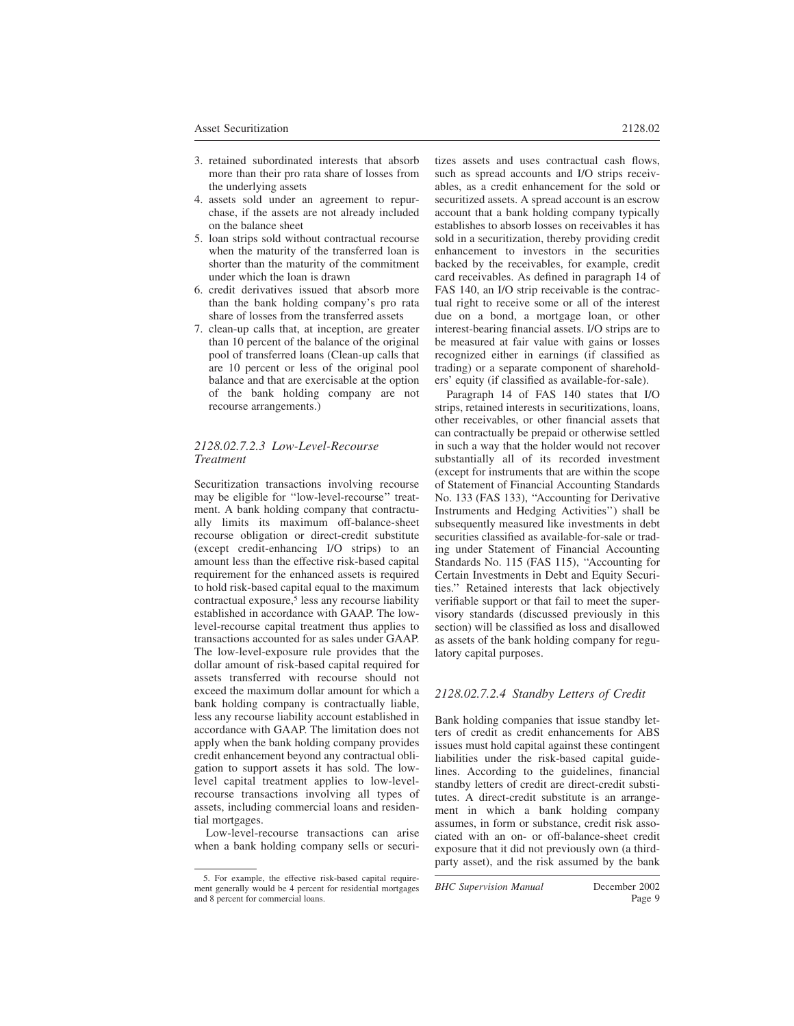- 3. retained subordinated interests that absorb more than their pro rata share of losses from the underlying assets
- 4. assets sold under an agreement to repurchase, if the assets are not already included on the balance sheet
- 5. loan strips sold without contractual recourse when the maturity of the transferred loan is shorter than the maturity of the commitment under which the loan is drawn
- 6. credit derivatives issued that absorb more than the bank holding company's pro rata share of losses from the transferred assets
- 7. clean-up calls that, at inception, are greater than 10 percent of the balance of the original pool of transferred loans (Clean-up calls that are 10 percent or less of the original pool balance and that are exercisable at the option of the bank holding company are not recourse arrangements.)

### *2128.02.7.2.3 Low-Level-Recourse Treatment*

Securitization transactions involving recourse may be eligible for ''low-level-recourse'' treatment. A bank holding company that contractually limits its maximum off-balance-sheet recourse obligation or direct-credit substitute (except credit-enhancing I/O strips) to an amount less than the effective risk-based capital requirement for the enhanced assets is required to hold risk-based capital equal to the maximum contractual exposure,<sup>5</sup> less any recourse liability established in accordance with GAAP. The lowlevel-recourse capital treatment thus applies to transactions accounted for as sales under GAAP. The low-level-exposure rule provides that the dollar amount of risk-based capital required for assets transferred with recourse should not exceed the maximum dollar amount for which a bank holding company is contractually liable, less any recourse liability account established in accordance with GAAP. The limitation does not apply when the bank holding company provides credit enhancement beyond any contractual obligation to support assets it has sold. The lowlevel capital treatment applies to low-levelrecourse transactions involving all types of assets, including commercial loans and residential mortgages.

Low-level-recourse transactions can arise when a bank holding company sells or securitizes assets and uses contractual cash flows, such as spread accounts and I/O strips receivables, as a credit enhancement for the sold or securitized assets. A spread account is an escrow account that a bank holding company typically establishes to absorb losses on receivables it has sold in a securitization, thereby providing credit enhancement to investors in the securities backed by the receivables, for example, credit card receivables. As defined in paragraph 14 of FAS 140, an I/O strip receivable is the contractual right to receive some or all of the interest due on a bond, a mortgage loan, or other interest-bearing financial assets. I/O strips are to be measured at fair value with gains or losses recognized either in earnings (if classified as trading) or a separate component of shareholders' equity (if classified as available-for-sale).

Paragraph 14 of FAS 140 states that I/O strips, retained interests in securitizations, loans, other receivables, or other financial assets that can contractually be prepaid or otherwise settled in such a way that the holder would not recover substantially all of its recorded investment (except for instruments that are within the scope of Statement of Financial Accounting Standards No. 133 (FAS 133), ''Accounting for Derivative Instruments and Hedging Activities'') shall be subsequently measured like investments in debt securities classified as available-for-sale or trading under Statement of Financial Accounting Standards No. 115 (FAS 115), ''Accounting for Certain Investments in Debt and Equity Securities.'' Retained interests that lack objectively verifiable support or that fail to meet the supervisory standards (discussed previously in this section) will be classified as loss and disallowed as assets of the bank holding company for regulatory capital purposes.

# *2128.02.7.2.4 Standby Letters of Credit*

Bank holding companies that issue standby letters of credit as credit enhancements for ABS issues must hold capital against these contingent liabilities under the risk-based capital guidelines. According to the guidelines, financial standby letters of credit are direct-credit substitutes. A direct-credit substitute is an arrangement in which a bank holding company assumes, in form or substance, credit risk associated with an on- or off-balance-sheet credit exposure that it did not previously own (a thirdparty asset), and the risk assumed by the bank

*BHC Supervision Manual* December 2002

<sup>5.</sup> For example, the effective risk-based capital requirement generally would be 4 percent for residential mortgages and 8 percent for commercial loans.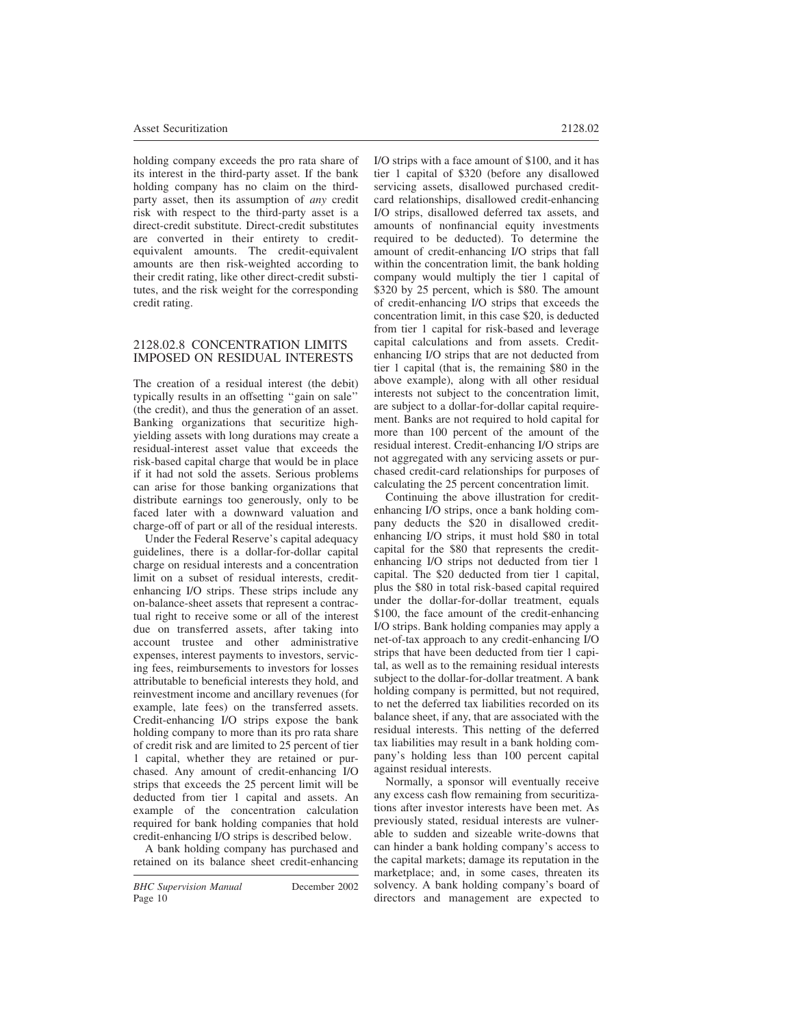holding company exceeds the pro rata share of its interest in the third-party asset. If the bank holding company has no claim on the thirdparty asset, then its assumption of *any* credit risk with respect to the third-party asset is a direct-credit substitute. Direct-credit substitutes are converted in their entirety to creditequivalent amounts. The credit-equivalent amounts are then risk-weighted according to their credit rating, like other direct-credit substitutes, and the risk weight for the corresponding credit rating.

### 2128.02.8 CONCENTRATION LIMITS IMPOSED ON RESIDUAL INTERESTS

The creation of a residual interest (the debit) typically results in an offsetting ''gain on sale'' (the credit), and thus the generation of an asset. Banking organizations that securitize highyielding assets with long durations may create a residual-interest asset value that exceeds the risk-based capital charge that would be in place if it had not sold the assets. Serious problems can arise for those banking organizations that distribute earnings too generously, only to be faced later with a downward valuation and charge-off of part or all of the residual interests.

Under the Federal Reserve's capital adequacy guidelines, there is a dollar-for-dollar capital charge on residual interests and a concentration limit on a subset of residual interests, creditenhancing I/O strips. These strips include any on-balance-sheet assets that represent a contractual right to receive some or all of the interest due on transferred assets, after taking into account trustee and other administrative expenses, interest payments to investors, servicing fees, reimbursements to investors for losses attributable to beneficial interests they hold, and reinvestment income and ancillary revenues (for example, late fees) on the transferred assets. Credit-enhancing I/O strips expose the bank holding company to more than its pro rata share of credit risk and are limited to 25 percent of tier 1 capital, whether they are retained or purchased. Any amount of credit-enhancing I/O strips that exceeds the 25 percent limit will be deducted from tier 1 capital and assets. An example of the concentration calculation required for bank holding companies that hold credit-enhancing I/O strips is described below.

A bank holding company has purchased and retained on its balance sheet credit-enhancing I/O strips with a face amount of \$100, and it has tier 1 capital of \$320 (before any disallowed servicing assets, disallowed purchased creditcard relationships, disallowed credit-enhancing I/O strips, disallowed deferred tax assets, and amounts of nonfinancial equity investments required to be deducted). To determine the amount of credit-enhancing I/O strips that fall within the concentration limit, the bank holding company would multiply the tier 1 capital of \$320 by 25 percent, which is \$80. The amount of credit-enhancing I/O strips that exceeds the concentration limit, in this case \$20, is deducted from tier 1 capital for risk-based and leverage capital calculations and from assets. Creditenhancing I/O strips that are not deducted from tier 1 capital (that is, the remaining \$80 in the above example), along with all other residual interests not subject to the concentration limit, are subject to a dollar-for-dollar capital requirement. Banks are not required to hold capital for more than 100 percent of the amount of the residual interest. Credit-enhancing I/O strips are not aggregated with any servicing assets or purchased credit-card relationships for purposes of calculating the 25 percent concentration limit.

Continuing the above illustration for creditenhancing I/O strips, once a bank holding company deducts the \$20 in disallowed creditenhancing I/O strips, it must hold \$80 in total capital for the \$80 that represents the creditenhancing I/O strips not deducted from tier 1 capital. The \$20 deducted from tier 1 capital, plus the \$80 in total risk-based capital required under the dollar-for-dollar treatment, equals \$100, the face amount of the credit-enhancing I/O strips. Bank holding companies may apply a net-of-tax approach to any credit-enhancing I/O strips that have been deducted from tier 1 capital, as well as to the remaining residual interests subject to the dollar-for-dollar treatment. A bank holding company is permitted, but not required, to net the deferred tax liabilities recorded on its balance sheet, if any, that are associated with the residual interests. This netting of the deferred tax liabilities may result in a bank holding company's holding less than 100 percent capital against residual interests.

Normally, a sponsor will eventually receive any excess cash flow remaining from securitizations after investor interests have been met. As previously stated, residual interests are vulnerable to sudden and sizeable write-downs that can hinder a bank holding company's access to the capital markets; damage its reputation in the marketplace; and, in some cases, threaten its solvency. A bank holding company's board of directors and management are expected to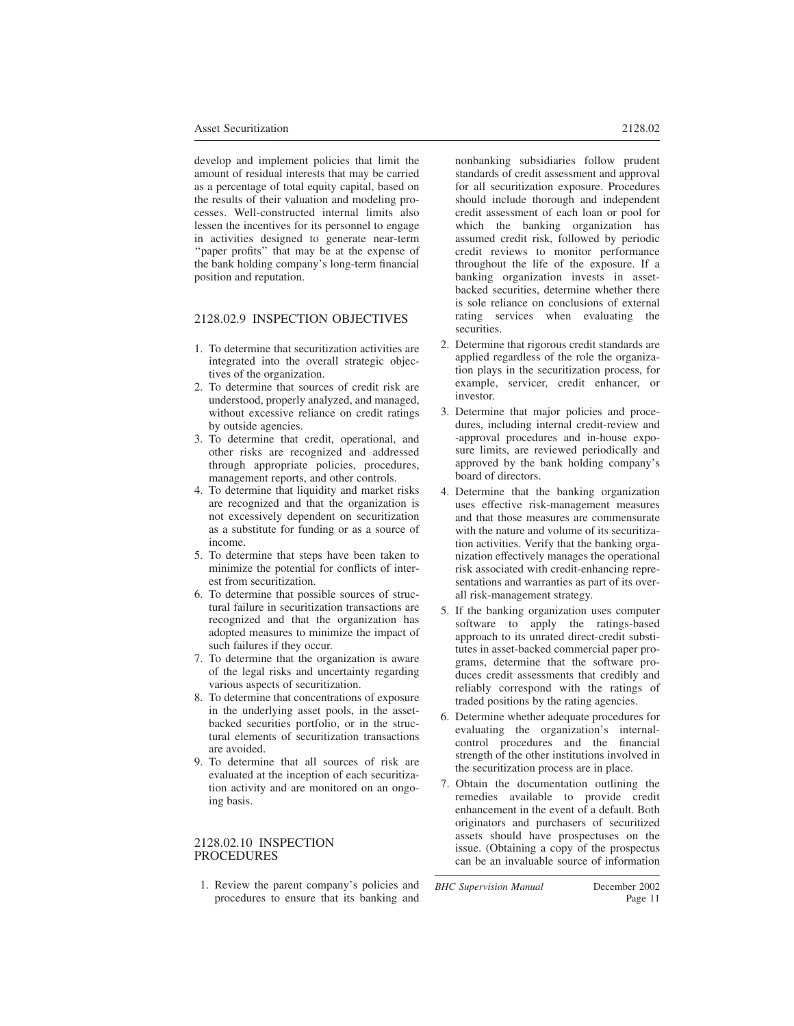develop and implement policies that limit the amount of residual interests that may be carried as a percentage of total equity capital, based on the results of their valuation and modeling processes. Well-constructed internal limits also lessen the incentives for its personnel to engage in activities designed to generate near-term ''paper profits'' that may be at the expense of the bank holding company's long-term financial position and reputation.

# 2128.02.9 INSPECTION OBJECTIVES

- 1. To determine that securitization activities are integrated into the overall strategic objectives of the organization.
- 2. To determine that sources of credit risk are understood, properly analyzed, and managed, without excessive reliance on credit ratings by outside agencies.
- 3. To determine that credit, operational, and other risks are recognized and addressed through appropriate policies, procedures, management reports, and other controls.
- 4. To determine that liquidity and market risks are recognized and that the organization is not excessively dependent on securitization as a substitute for funding or as a source of income.
- 5. To determine that steps have been taken to minimize the potential for conflicts of interest from securitization.
- 6. To determine that possible sources of structural failure in securitization transactions are recognized and that the organization has adopted measures to minimize the impact of such failures if they occur.
- 7. To determine that the organization is aware of the legal risks and uncertainty regarding various aspects of securitization.
- 8. To determine that concentrations of exposure in the underlying asset pools, in the assetbacked securities portfolio, or in the structural elements of securitization transactions are avoided.
- 9. To determine that all sources of risk are evaluated at the inception of each securitization activity and are monitored on an ongoing basis.

# 2128.02.10 INSPECTION PROCEDURES

1. Review the parent company's policies and procedures to ensure that its banking and for all securitization exposure. Procedures should include thorough and independent credit assessment of each loan or pool for which the banking organization has assumed credit risk, followed by periodic credit reviews to monitor performance throughout the life of the exposure. If a banking organization invests in assetbacked securities, determine whether there is sole reliance on conclusions of external rating services when evaluating the securities.

- 2. Determine that rigorous credit standards are applied regardless of the role the organization plays in the securitization process, for example, servicer, credit enhancer, or investor.
- 3. Determine that major policies and procedures, including internal credit-review and -approval procedures and in-house exposure limits, are reviewed periodically and approved by the bank holding company's board of directors.
- 4. Determine that the banking organization uses effective risk-management measures and that those measures are commensurate with the nature and volume of its securitization activities. Verify that the banking organization effectively manages the operational risk associated with credit-enhancing representations and warranties as part of its overall risk-management strategy.
- 5. If the banking organization uses computer software to apply the ratings-based approach to its unrated direct-credit substitutes in asset-backed commercial paper programs, determine that the software produces credit assessments that credibly and reliably correspond with the ratings of traded positions by the rating agencies.
- 6. Determine whether adequate procedures for evaluating the organization's internalcontrol procedures and the financial strength of the other institutions involved in the securitization process are in place.
- 7. Obtain the documentation outlining the remedies available to provide credit enhancement in the event of a default. Both originators and purchasers of securitized assets should have prospectuses on the issue. (Obtaining a copy of the prospectus can be an invaluable source of information

*BHC Supervision Manual* December 2002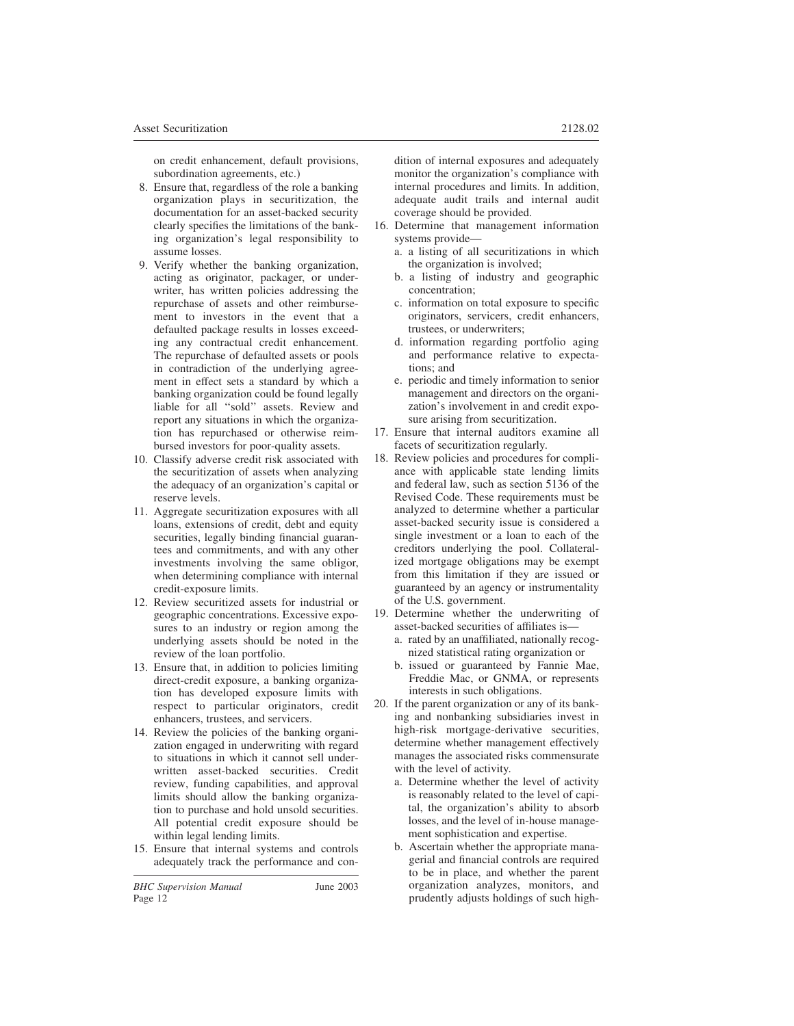on credit enhancement, default provisions, subordination agreements, etc.)

- 8. Ensure that, regardless of the role a banking organization plays in securitization, the documentation for an asset-backed security clearly specifies the limitations of the banking organization's legal responsibility to assume losses.
- 9. Verify whether the banking organization, acting as originator, packager, or underwriter, has written policies addressing the repurchase of assets and other reimbursement to investors in the event that a defaulted package results in losses exceeding any contractual credit enhancement. The repurchase of defaulted assets or pools in contradiction of the underlying agreement in effect sets a standard by which a banking organization could be found legally liable for all ''sold'' assets. Review and report any situations in which the organization has repurchased or otherwise reimbursed investors for poor-quality assets.
- 10. Classify adverse credit risk associated with the securitization of assets when analyzing the adequacy of an organization's capital or reserve levels.
- 11. Aggregate securitization exposures with all loans, extensions of credit, debt and equity securities, legally binding financial guarantees and commitments, and with any other investments involving the same obligor, when determining compliance with internal credit-exposure limits.
- 12. Review securitized assets for industrial or geographic concentrations. Excessive exposures to an industry or region among the underlying assets should be noted in the review of the loan portfolio.
- 13. Ensure that, in addition to policies limiting direct-credit exposure, a banking organization has developed exposure limits with respect to particular originators, credit enhancers, trustees, and servicers.
- 14. Review the policies of the banking organization engaged in underwriting with regard to situations in which it cannot sell underwritten asset-backed securities. Credit review, funding capabilities, and approval limits should allow the banking organization to purchase and hold unsold securities. All potential credit exposure should be within legal lending limits.
- 15. Ensure that internal systems and controls adequately track the performance and con-

dition of internal exposures and adequately monitor the organization's compliance with internal procedures and limits. In addition, adequate audit trails and internal audit coverage should be provided.

- 16. Determine that management information systems provide
	- a. a listing of all securitizations in which the organization is involved;
	- b. a listing of industry and geographic concentration;
	- c. information on total exposure to specific originators, servicers, credit enhancers, trustees, or underwriters;
	- d. information regarding portfolio aging and performance relative to expectations; and
	- e. periodic and timely information to senior management and directors on the organization's involvement in and credit exposure arising from securitization.
- 17. Ensure that internal auditors examine all facets of securitization regularly.
- 18. Review policies and procedures for compliance with applicable state lending limits and federal law, such as section 5136 of the Revised Code. These requirements must be analyzed to determine whether a particular asset-backed security issue is considered a single investment or a loan to each of the creditors underlying the pool. Collateralized mortgage obligations may be exempt from this limitation if they are issued or guaranteed by an agency or instrumentality of the U.S. government.
- 19. Determine whether the underwriting of asset-backed securities of affiliates is
	- a. rated by an unaffiliated, nationally recognized statistical rating organization or
	- b. issued or guaranteed by Fannie Mae, Freddie Mac, or GNMA, or represents interests in such obligations.
- 20. If the parent organization or any of its banking and nonbanking subsidiaries invest in high-risk mortgage-derivative securities, determine whether management effectively manages the associated risks commensurate with the level of activity.
	- a. Determine whether the level of activity is reasonably related to the level of capital, the organization's ability to absorb losses, and the level of in-house management sophistication and expertise.
	- b. Ascertain whether the appropriate managerial and financial controls are required to be in place, and whether the parent organization analyzes, monitors, and prudently adjusts holdings of such high-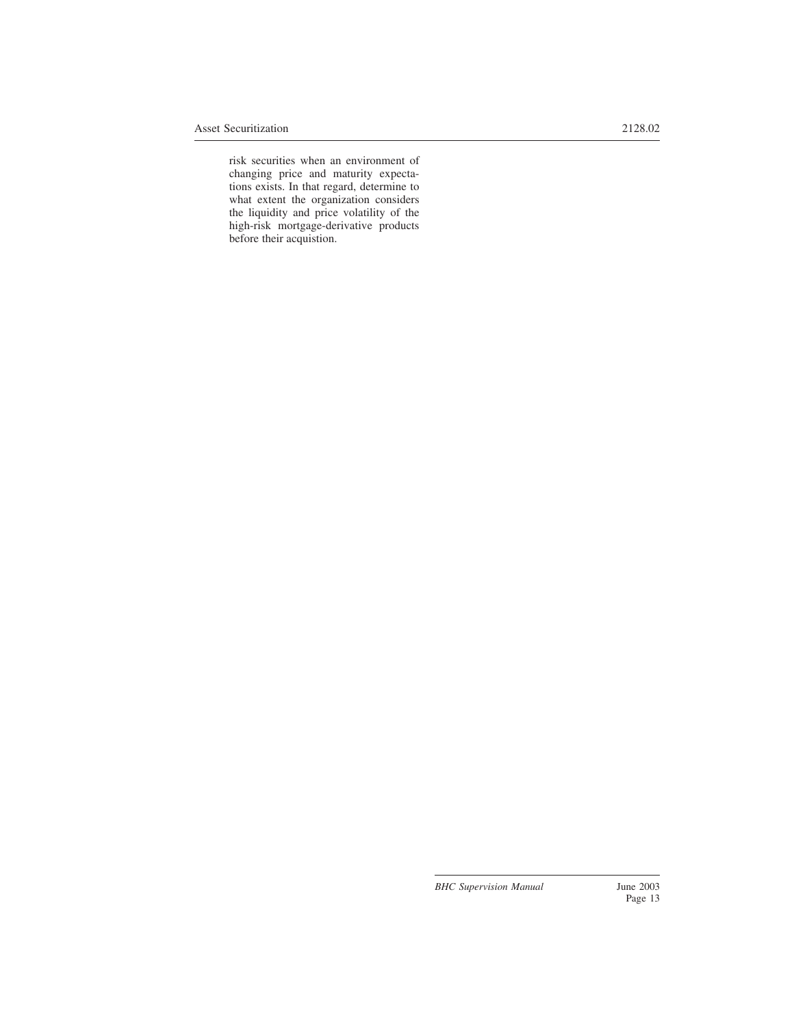risk securities when an environment of changing price and maturity expectations exists. In that regard, determine to what extent the organization considers the liquidity and price volatility of the high-risk mortgage-derivative products before their acquistion.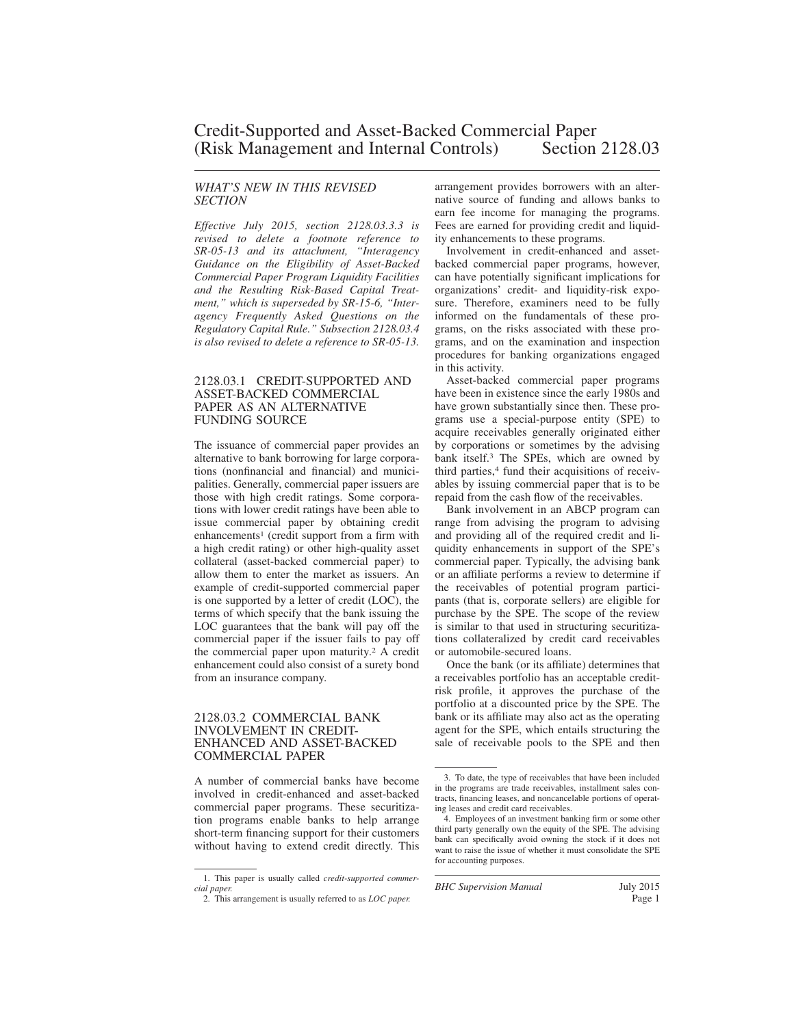#### *WHAT'S NEW IN THIS REVISED SECTION*

*Effective July 2015, section 2128.03.3.3 is revised to delete a footnote reference to SR-05-13 and its attachment, "Interagency Guidance on the Eligibility of Asset-Backed Commercial Paper Program Liquidity Facilities and the Resulting Risk-Based Capital Treatment," which is superseded by SR-15-6, "Interagency Frequently Asked Questions on the Regulatory Capital Rule." Subsection 2128.03.4 is also revised to delete a reference to SR-05-13.*

#### 2128.03.1 CREDIT-SUPPORTED AND ASSET-BACKED COMMERCIAL PAPER AS AN ALTERNATIVE FUNDING SOURCE

The issuance of commercial paper provides an alternative to bank borrowing for large corporations (nonfinancial and financial) and municipalities. Generally, commercial paper issuers are those with high credit ratings. Some corporations with lower credit ratings have been able to issue commercial paper by obtaining credit enhancements<sup>1</sup> (credit support from a firm with a high credit rating) or other high-quality asset collateral (asset-backed commercial paper) to allow them to enter the market as issuers. An example of credit-supported commercial paper is one supported by a letter of credit (LOC), the terms of which specify that the bank issuing the LOC guarantees that the bank will pay off the commercial paper if the issuer fails to pay off the commercial paper upon maturity.<sup>2</sup> A credit enhancement could also consist of a surety bond from an insurance company.

#### 2128.03.2 COMMERCIAL BANK INVOLVEMENT IN CREDIT-ENHANCED AND ASSET-BACKED COMMERCIAL PAPER

A number of commercial banks have become involved in credit-enhanced and asset-backed commercial paper programs. These securitization programs enable banks to help arrange short-term financing support for their customers without having to extend credit directly. This arrangement provides borrowers with an alternative source of funding and allows banks to earn fee income for managing the programs. Fees are earned for providing credit and liquidity enhancements to these programs.

Involvement in credit-enhanced and assetbacked commercial paper programs, however, can have potentially significant implications for organizations' credit- and liquidity-risk exposure. Therefore, examiners need to be fully informed on the fundamentals of these programs, on the risks associated with these programs, and on the examination and inspection procedures for banking organizations engaged in this activity.

Asset-backed commercial paper programs have been in existence since the early 1980s and have grown substantially since then. These programs use a special-purpose entity (SPE) to acquire receivables generally originated either by corporations or sometimes by the advising bank itself.<sup>3</sup> The SPEs, which are owned by third parties,<sup>4</sup> fund their acquisitions of receivables by issuing commercial paper that is to be repaid from the cash flow of the receivables.

Bank involvement in an ABCP program can range from advising the program to advising and providing all of the required credit and liquidity enhancements in support of the SPE's commercial paper. Typically, the advising bank or an affiliate performs a review to determine if the receivables of potential program participants (that is, corporate sellers) are eligible for purchase by the SPE. The scope of the review is similar to that used in structuring securitizations collateralized by credit card receivables or automobile-secured loans.

Once the bank (or its affiliate) determines that a receivables portfolio has an acceptable creditrisk profile, it approves the purchase of the portfolio at a discounted price by the SPE. The bank or its affiliate may also act as the operating agent for the SPE, which entails structuring the sale of receivable pools to the SPE and then

*BHC Supervision Manual* July 2015

<sup>1.</sup> This paper is usually called *credit-supported commercial paper.*

<sup>2.</sup> This arrangement is usually referred to as *LOC paper.*

<sup>3.</sup> To date, the type of receivables that have been included in the programs are trade receivables, installment sales contracts, financing leases, and noncancelable portions of operating leases and credit card receivables.

<sup>4.</sup> Employees of an investment banking firm or some other third party generally own the equity of the SPE. The advising bank can specifically avoid owning the stock if it does not want to raise the issue of whether it must consolidate the SPE for accounting purposes.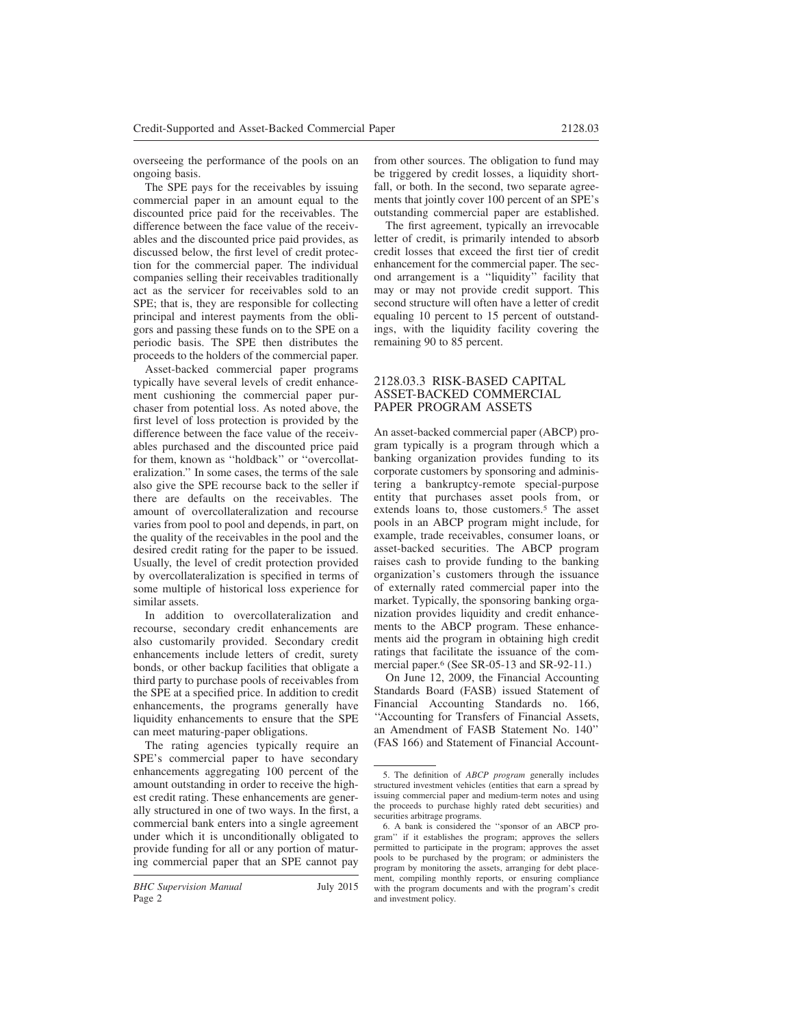overseeing the performance of the pools on an ongoing basis.

The SPE pays for the receivables by issuing commercial paper in an amount equal to the discounted price paid for the receivables. The difference between the face value of the receivables and the discounted price paid provides, as discussed below, the first level of credit protection for the commercial paper. The individual companies selling their receivables traditionally act as the servicer for receivables sold to an SPE; that is, they are responsible for collecting principal and interest payments from the obligors and passing these funds on to the SPE on a periodic basis. The SPE then distributes the proceeds to the holders of the commercial paper.

Asset-backed commercial paper programs typically have several levels of credit enhancement cushioning the commercial paper purchaser from potential loss. As noted above, the first level of loss protection is provided by the difference between the face value of the receivables purchased and the discounted price paid for them, known as ''holdback'' or ''overcollateralization.'' In some cases, the terms of the sale also give the SPE recourse back to the seller if there are defaults on the receivables. The amount of overcollateralization and recourse varies from pool to pool and depends, in part, on the quality of the receivables in the pool and the desired credit rating for the paper to be issued. Usually, the level of credit protection provided by overcollateralization is specified in terms of some multiple of historical loss experience for similar assets.

In addition to overcollateralization and recourse, secondary credit enhancements are also customarily provided. Secondary credit enhancements include letters of credit, surety bonds, or other backup facilities that obligate a third party to purchase pools of receivables from the SPE at a specified price. In addition to credit enhancements, the programs generally have liquidity enhancements to ensure that the SPE can meet maturing-paper obligations.

The rating agencies typically require an SPE's commercial paper to have secondary enhancements aggregating 100 percent of the amount outstanding in order to receive the highest credit rating. These enhancements are generally structured in one of two ways. In the first, a commercial bank enters into a single agreement under which it is unconditionally obligated to provide funding for all or any portion of maturing commercial paper that an SPE cannot pay from other sources. The obligation to fund may be triggered by credit losses, a liquidity shortfall, or both. In the second, two separate agreements that jointly cover 100 percent of an SPE's outstanding commercial paper are established.

The first agreement, typically an irrevocable letter of credit, is primarily intended to absorb credit losses that exceed the first tier of credit enhancement for the commercial paper. The second arrangement is a ''liquidity'' facility that may or may not provide credit support. This second structure will often have a letter of credit equaling 10 percent to 15 percent of outstandings, with the liquidity facility covering the remaining 90 to 85 percent.

### 2128.03.3 RISK-BASED CAPITAL ASSET-BACKED COMMERCIAL PAPER PROGRAM ASSETS

An asset-backed commercial paper (ABCP) program typically is a program through which a banking organization provides funding to its corporate customers by sponsoring and administering a bankruptcy-remote special-purpose entity that purchases asset pools from, or extends loans to, those customers.<sup>5</sup> The asset pools in an ABCP program might include, for example, trade receivables, consumer loans, or asset-backed securities. The ABCP program raises cash to provide funding to the banking organization's customers through the issuance of externally rated commercial paper into the market. Typically, the sponsoring banking organization provides liquidity and credit enhancements to the ABCP program. These enhancements aid the program in obtaining high credit ratings that facilitate the issuance of the commercial paper.<sup>6</sup> (See SR-05-13 and SR-92-11.)

On June 12, 2009, the Financial Accounting Standards Board (FASB) issued Statement of Financial Accounting Standards no. 166, ''Accounting for Transfers of Financial Assets, an Amendment of FASB Statement No. 140'' (FAS 166) and Statement of Financial Account-

<sup>5.</sup> The definition of *ABCP program* generally includes structured investment vehicles (entities that earn a spread by issuing commercial paper and medium-term notes and using the proceeds to purchase highly rated debt securities) and securities arbitrage programs.

<sup>6.</sup> A bank is considered the ''sponsor of an ABCP program'' if it establishes the program; approves the sellers permitted to participate in the program; approves the asset pools to be purchased by the program; or administers the program by monitoring the assets, arranging for debt placement, compiling monthly reports, or ensuring compliance with the program documents and with the program's credit and investment policy.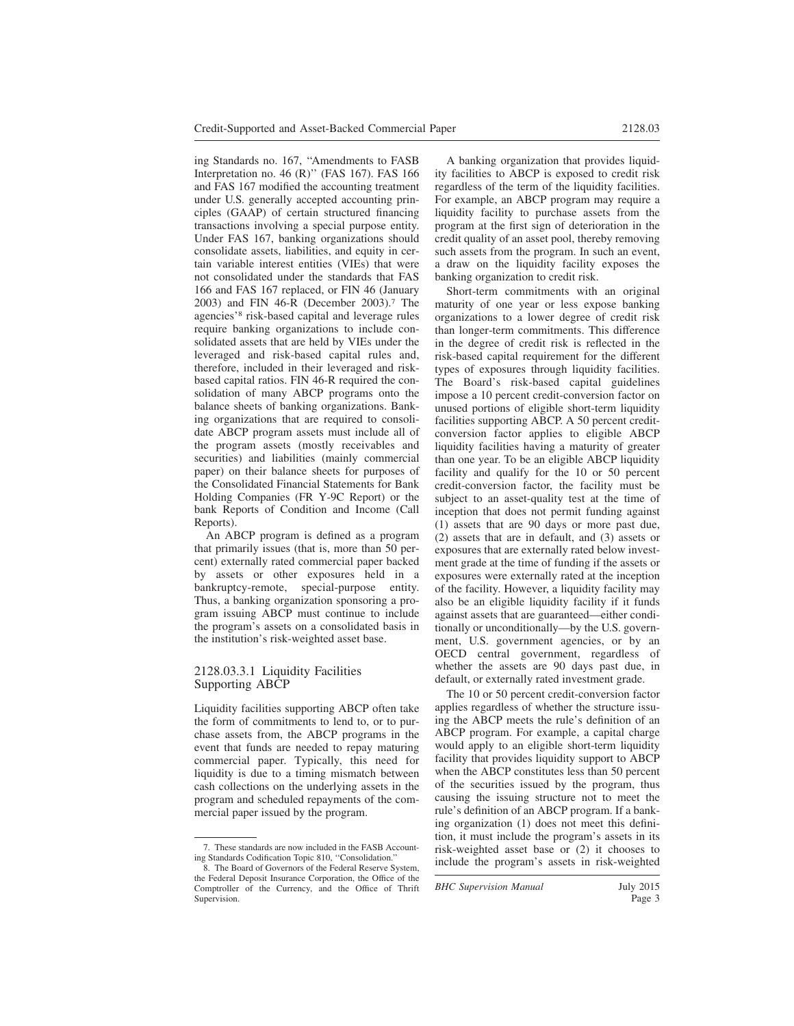ing Standards no. 167, ''Amendments to FASB Interpretation no. 46 (R)'' (FAS 167). FAS 166 and FAS 167 modified the accounting treatment under U.S. generally accepted accounting principles (GAAP) of certain structured financing transactions involving a special purpose entity. Under FAS 167, banking organizations should consolidate assets, liabilities, and equity in certain variable interest entities (VIEs) that were not consolidated under the standards that FAS 166 and FAS 167 replaced, or FIN 46 (January 2003) and FIN 46-R (December 2003).<sup>7</sup> The agencies'<sup>8</sup> risk-based capital and leverage rules require banking organizations to include consolidated assets that are held by VIEs under the leveraged and risk-based capital rules and, therefore, included in their leveraged and riskbased capital ratios. FIN 46-R required the consolidation of many ABCP programs onto the balance sheets of banking organizations. Banking organizations that are required to consolidate ABCP program assets must include all of the program assets (mostly receivables and securities) and liabilities (mainly commercial paper) on their balance sheets for purposes of the Consolidated Financial Statements for Bank Holding Companies (FR Y-9C Report) or the bank Reports of Condition and Income (Call Reports).

An ABCP program is defined as a program that primarily issues (that is, more than 50 percent) externally rated commercial paper backed by assets or other exposures held in a bankruptcy-remote, special-purpose entity. Thus, a banking organization sponsoring a program issuing ABCP must continue to include the program's assets on a consolidated basis in the institution's risk-weighted asset base.

#### 2128.03.3.1 Liquidity Facilities Supporting ABCP

Liquidity facilities supporting ABCP often take the form of commitments to lend to, or to purchase assets from, the ABCP programs in the event that funds are needed to repay maturing commercial paper. Typically, this need for liquidity is due to a timing mismatch between cash collections on the underlying assets in the program and scheduled repayments of the commercial paper issued by the program.

A banking organization that provides liquidity facilities to ABCP is exposed to credit risk regardless of the term of the liquidity facilities. For example, an ABCP program may require a liquidity facility to purchase assets from the program at the first sign of deterioration in the credit quality of an asset pool, thereby removing such assets from the program. In such an event, a draw on the liquidity facility exposes the banking organization to credit risk.

Short-term commitments with an original maturity of one year or less expose banking organizations to a lower degree of credit risk than longer-term commitments. This difference in the degree of credit risk is reflected in the risk-based capital requirement for the different types of exposures through liquidity facilities. The Board's risk-based capital guidelines impose a 10 percent credit-conversion factor on unused portions of eligible short-term liquidity facilities supporting ABCP. A 50 percent creditconversion factor applies to eligible ABCP liquidity facilities having a maturity of greater than one year. To be an eligible ABCP liquidity facility and qualify for the 10 or 50 percent credit-conversion factor, the facility must be subject to an asset-quality test at the time of inception that does not permit funding against (1) assets that are 90 days or more past due, (2) assets that are in default, and (3) assets or exposures that are externally rated below investment grade at the time of funding if the assets or exposures were externally rated at the inception of the facility. However, a liquidity facility may also be an eligible liquidity facility if it funds against assets that are guaranteed—either conditionally or unconditionally—by the U.S. government, U.S. government agencies, or by an OECD central government, regardless of whether the assets are 90 days past due, in default, or externally rated investment grade.

The 10 or 50 percent credit-conversion factor applies regardless of whether the structure issuing the ABCP meets the rule's definition of an ABCP program. For example, a capital charge would apply to an eligible short-term liquidity facility that provides liquidity support to ABCP when the ABCP constitutes less than 50 percent of the securities issued by the program, thus causing the issuing structure not to meet the rule's definition of an ABCP program. If a banking organization (1) does not meet this definition, it must include the program's assets in its risk-weighted asset base or (2) it chooses to include the program's assets in risk-weighted

*BHC Supervision Manual* July 2015

<sup>7.</sup> These standards are now included in the FASB Accounting Standards Codification Topic 810, ''Consolidation.''

<sup>8.</sup> The Board of Governors of the Federal Reserve System, the Federal Deposit Insurance Corporation, the Office of the Comptroller of the Currency, and the Office of Thrift Supervision.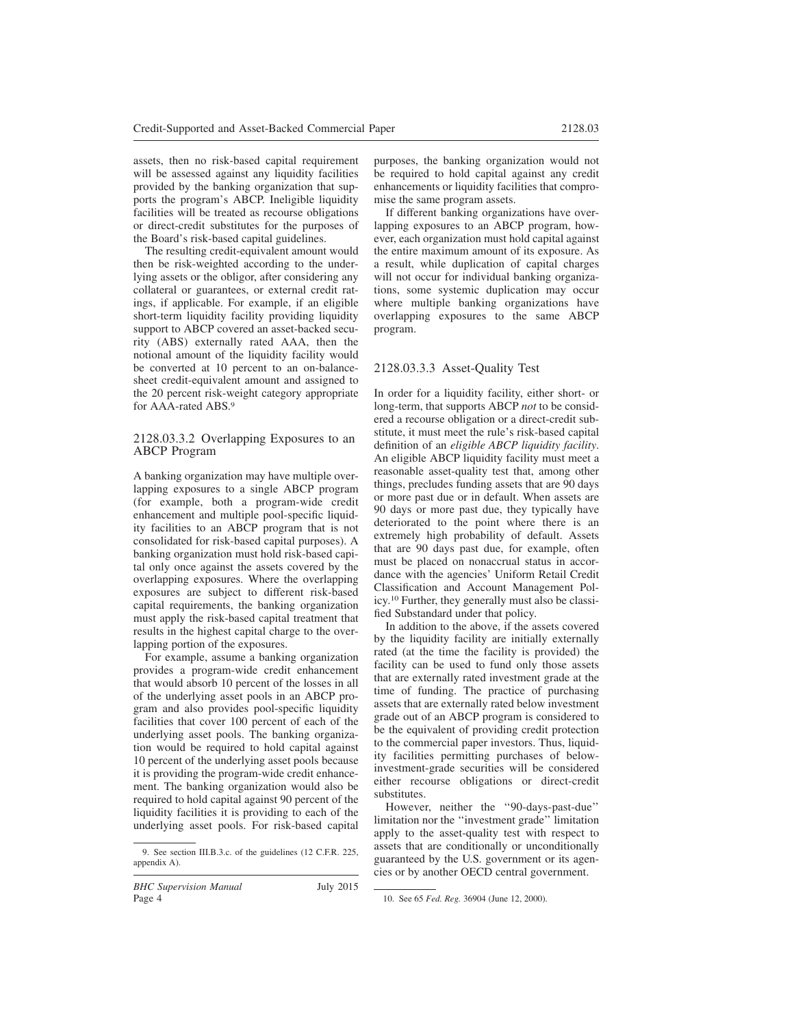assets, then no risk-based capital requirement will be assessed against any liquidity facilities provided by the banking organization that supports the program's ABCP. Ineligible liquidity facilities will be treated as recourse obligations or direct-credit substitutes for the purposes of the Board's risk-based capital guidelines.

The resulting credit-equivalent amount would then be risk-weighted according to the underlying assets or the obligor, after considering any collateral or guarantees, or external credit ratings, if applicable. For example, if an eligible short-term liquidity facility providing liquidity support to ABCP covered an asset-backed security (ABS) externally rated AAA, then the notional amount of the liquidity facility would be converted at 10 percent to an on-balancesheet credit-equivalent amount and assigned to the 20 percent risk-weight category appropriate for AAA-rated ABS.<sup>9</sup>

### 2128.03.3.2 Overlapping Exposures to an ABCP Program

A banking organization may have multiple overlapping exposures to a single ABCP program (for example, both a program-wide credit enhancement and multiple pool-specific liquidity facilities to an ABCP program that is not consolidated for risk-based capital purposes). A banking organization must hold risk-based capital only once against the assets covered by the overlapping exposures. Where the overlapping exposures are subject to different risk-based capital requirements, the banking organization must apply the risk-based capital treatment that results in the highest capital charge to the overlapping portion of the exposures.

For example, assume a banking organization provides a program-wide credit enhancement that would absorb 10 percent of the losses in all of the underlying asset pools in an ABCP program and also provides pool-specific liquidity facilities that cover 100 percent of each of the underlying asset pools. The banking organization would be required to hold capital against 10 percent of the underlying asset pools because it is providing the program-wide credit enhancement. The banking organization would also be required to hold capital against 90 percent of the liquidity facilities it is providing to each of the underlying asset pools. For risk-based capital purposes, the banking organization would not be required to hold capital against any credit enhancements or liquidity facilities that compromise the same program assets.

If different banking organizations have overlapping exposures to an ABCP program, however, each organization must hold capital against the entire maximum amount of its exposure. As a result, while duplication of capital charges will not occur for individual banking organizations, some systemic duplication may occur where multiple banking organizations have overlapping exposures to the same ABCP program.

# 2128.03.3.3 Asset-Quality Test

In order for a liquidity facility, either short- or long-term, that supports ABCP *not* to be considered a recourse obligation or a direct-credit substitute, it must meet the rule's risk-based capital definition of an *eligible ABCP liquidity facility*. An eligible ABCP liquidity facility must meet a reasonable asset-quality test that, among other things, precludes funding assets that are 90 days or more past due or in default. When assets are 90 days or more past due, they typically have deteriorated to the point where there is an extremely high probability of default. Assets that are 90 days past due, for example, often must be placed on nonaccrual status in accordance with the agencies' Uniform Retail Credit Classification and Account Management Policy.<sup>10</sup> Further, they generally must also be classified Substandard under that policy.

In addition to the above, if the assets covered by the liquidity facility are initially externally rated (at the time the facility is provided) the facility can be used to fund only those assets that are externally rated investment grade at the time of funding. The practice of purchasing assets that are externally rated below investment grade out of an ABCP program is considered to be the equivalent of providing credit protection to the commercial paper investors. Thus, liquidity facilities permitting purchases of belowinvestment-grade securities will be considered either recourse obligations or direct-credit substitutes.

However, neither the "90-days-past-due" limitation nor the ''investment grade'' limitation apply to the asset-quality test with respect to assets that are conditionally or unconditionally guaranteed by the U.S. government or its agencies or by another OECD central government.

<sup>9.</sup> See section III.B.3.c. of the guidelines (12 C.F.R. 225, appendix A).

<sup>10.</sup> See 65 *Fed. Reg.* 36904 (June 12, 2000).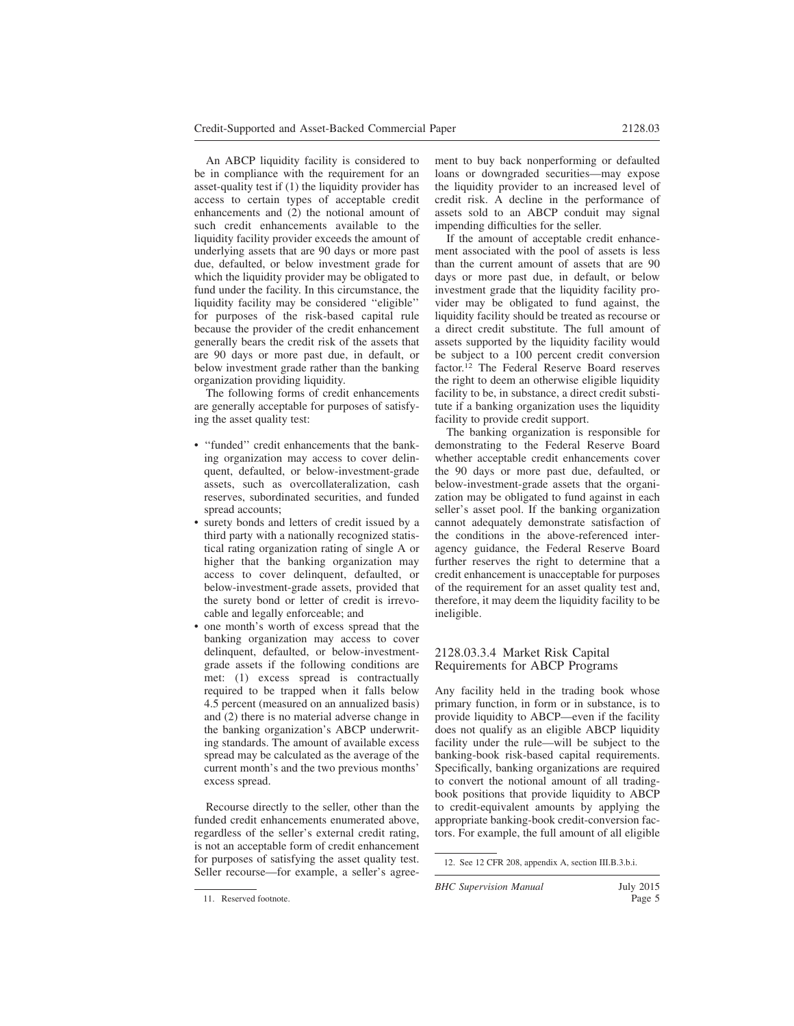An ABCP liquidity facility is considered to be in compliance with the requirement for an asset-quality test if (1) the liquidity provider has access to certain types of acceptable credit enhancements and (2) the notional amount of such credit enhancements available to the liquidity facility provider exceeds the amount of underlying assets that are 90 days or more past due, defaulted, or below investment grade for which the liquidity provider may be obligated to fund under the facility. In this circumstance, the liquidity facility may be considered ''eligible'' for purposes of the risk-based capital rule because the provider of the credit enhancement generally bears the credit risk of the assets that are 90 days or more past due, in default, or below investment grade rather than the banking organization providing liquidity.

The following forms of credit enhancements are generally acceptable for purposes of satisfying the asset quality test:

- ''funded'' credit enhancements that the banking organization may access to cover delinquent, defaulted, or below-investment-grade assets, such as overcollateralization, cash reserves, subordinated securities, and funded spread accounts;
- surety bonds and letters of credit issued by a third party with a nationally recognized statistical rating organization rating of single A or higher that the banking organization may access to cover delinquent, defaulted, or below-investment-grade assets, provided that the surety bond or letter of credit is irrevocable and legally enforceable; and
- one month's worth of excess spread that the banking organization may access to cover delinquent, defaulted, or below-investmentgrade assets if the following conditions are met: (1) excess spread is contractually required to be trapped when it falls below 4.5 percent (measured on an annualized basis) and (2) there is no material adverse change in the banking organization's ABCP underwriting standards. The amount of available excess spread may be calculated as the average of the current month's and the two previous months' excess spread.

Recourse directly to the seller, other than the funded credit enhancements enumerated above, regardless of the seller's external credit rating, is not an acceptable form of credit enhancement for purposes of satisfying the asset quality test. Seller recourse—for example, a seller's agreement to buy back nonperforming or defaulted loans or downgraded securities—may expose the liquidity provider to an increased level of credit risk. A decline in the performance of assets sold to an ABCP conduit may signal impending difficulties for the seller.

If the amount of acceptable credit enhancement associated with the pool of assets is less than the current amount of assets that are 90 days or more past due, in default, or below investment grade that the liquidity facility provider may be obligated to fund against, the liquidity facility should be treated as recourse or a direct credit substitute. The full amount of assets supported by the liquidity facility would be subject to a 100 percent credit conversion factor.<sup>12</sup> The Federal Reserve Board reserves the right to deem an otherwise eligible liquidity facility to be, in substance, a direct credit substitute if a banking organization uses the liquidity facility to provide credit support.

The banking organization is responsible for demonstrating to the Federal Reserve Board whether acceptable credit enhancements cover the 90 days or more past due, defaulted, or below-investment-grade assets that the organization may be obligated to fund against in each seller's asset pool. If the banking organization cannot adequately demonstrate satisfaction of the conditions in the above-referenced interagency guidance, the Federal Reserve Board further reserves the right to determine that a credit enhancement is unacceptable for purposes of the requirement for an asset quality test and, therefore, it may deem the liquidity facility to be ineligible.

# 2128.03.3.4 Market Risk Capital Requirements for ABCP Programs

Any facility held in the trading book whose primary function, in form or in substance, is to provide liquidity to ABCP—even if the facility does not qualify as an eligible ABCP liquidity facility under the rule—will be subject to the banking-book risk-based capital requirements. Specifically, banking organizations are required to convert the notional amount of all tradingbook positions that provide liquidity to ABCP to credit-equivalent amounts by applying the appropriate banking-book credit-conversion factors. For example, the full amount of all eligible

<sup>12.</sup> See 12 CFR 208, appendix A, section III.B.3.b.i.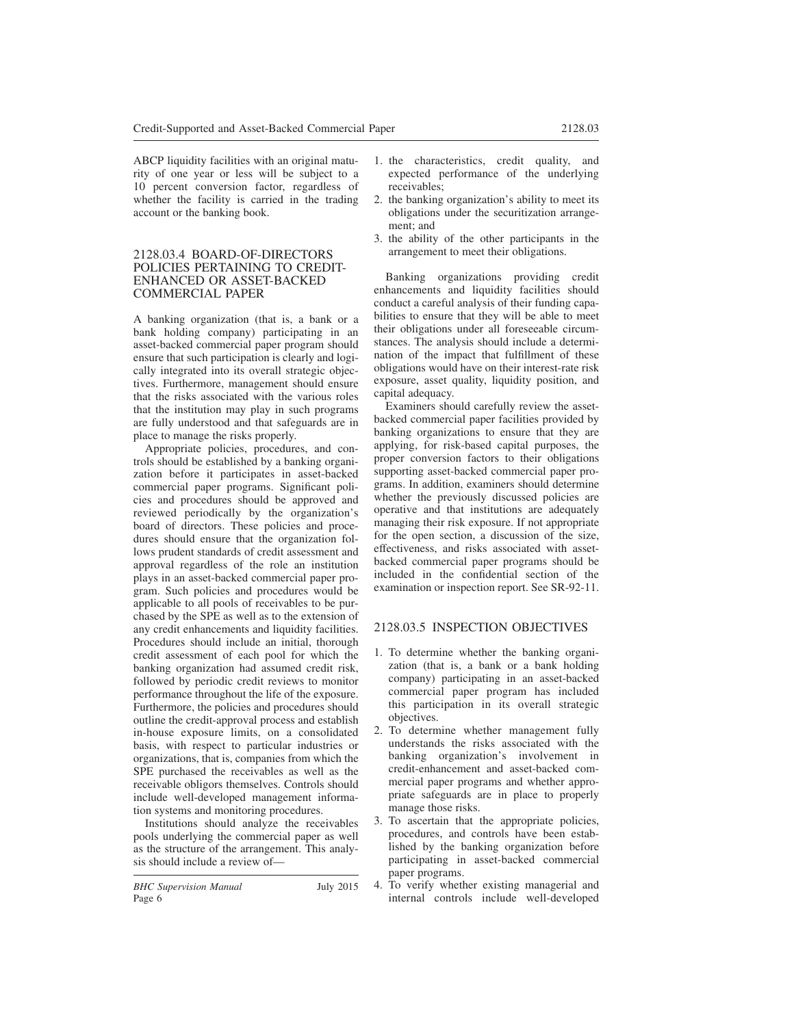ABCP liquidity facilities with an original maturity of one year or less will be subject to a 10 percent conversion factor, regardless of whether the facility is carried in the trading account or the banking book.

#### 2128.03.4 BOARD-OF-DIRECTORS POLICIES PERTAINING TO CREDIT-ENHANCED OR ASSET-BACKED COMMERCIAL PAPER

A banking organization (that is, a bank or a bank holding company) participating in an asset-backed commercial paper program should ensure that such participation is clearly and logically integrated into its overall strategic objectives. Furthermore, management should ensure that the risks associated with the various roles that the institution may play in such programs are fully understood and that safeguards are in place to manage the risks properly.

Appropriate policies, procedures, and controls should be established by a banking organization before it participates in asset-backed commercial paper programs. Significant policies and procedures should be approved and reviewed periodically by the organization's board of directors. These policies and procedures should ensure that the organization follows prudent standards of credit assessment and approval regardless of the role an institution plays in an asset-backed commercial paper program. Such policies and procedures would be applicable to all pools of receivables to be purchased by the SPE as well as to the extension of any credit enhancements and liquidity facilities. Procedures should include an initial, thorough credit assessment of each pool for which the banking organization had assumed credit risk, followed by periodic credit reviews to monitor performance throughout the life of the exposure. Furthermore, the policies and procedures should outline the credit-approval process and establish in-house exposure limits, on a consolidated basis, with respect to particular industries or organizations, that is, companies from which the SPE purchased the receivables as well as the receivable obligors themselves. Controls should include well-developed management information systems and monitoring procedures.

Institutions should analyze the receivables pools underlying the commercial paper as well as the structure of the arrangement. This analysis should include a review of—

- 1. the characteristics, credit quality, and expected performance of the underlying receivables;
- 2. the banking organization's ability to meet its obligations under the securitization arrangement; and
- 3. the ability of the other participants in the arrangement to meet their obligations.

Banking organizations providing credit enhancements and liquidity facilities should conduct a careful analysis of their funding capabilities to ensure that they will be able to meet their obligations under all foreseeable circumstances. The analysis should include a determination of the impact that fulfillment of these obligations would have on their interest-rate risk exposure, asset quality, liquidity position, and capital adequacy.

Examiners should carefully review the assetbacked commercial paper facilities provided by banking organizations to ensure that they are applying, for risk-based capital purposes, the proper conversion factors to their obligations supporting asset-backed commercial paper programs. In addition, examiners should determine whether the previously discussed policies are operative and that institutions are adequately managing their risk exposure. If not appropriate for the open section, a discussion of the size, effectiveness, and risks associated with assetbacked commercial paper programs should be included in the confidential section of the examination or inspection report. See SR-92-11.

# 2128.03.5 INSPECTION OBJECTIVES

- 1. To determine whether the banking organization (that is, a bank or a bank holding company) participating in an asset-backed commercial paper program has included this participation in its overall strategic objectives.
- 2. To determine whether management fully understands the risks associated with the banking organization's involvement in credit-enhancement and asset-backed commercial paper programs and whether appropriate safeguards are in place to properly manage those risks.
- 3. To ascertain that the appropriate policies, procedures, and controls have been established by the banking organization before participating in asset-backed commercial paper programs.
- 4. To verify whether existing managerial and internal controls include well-developed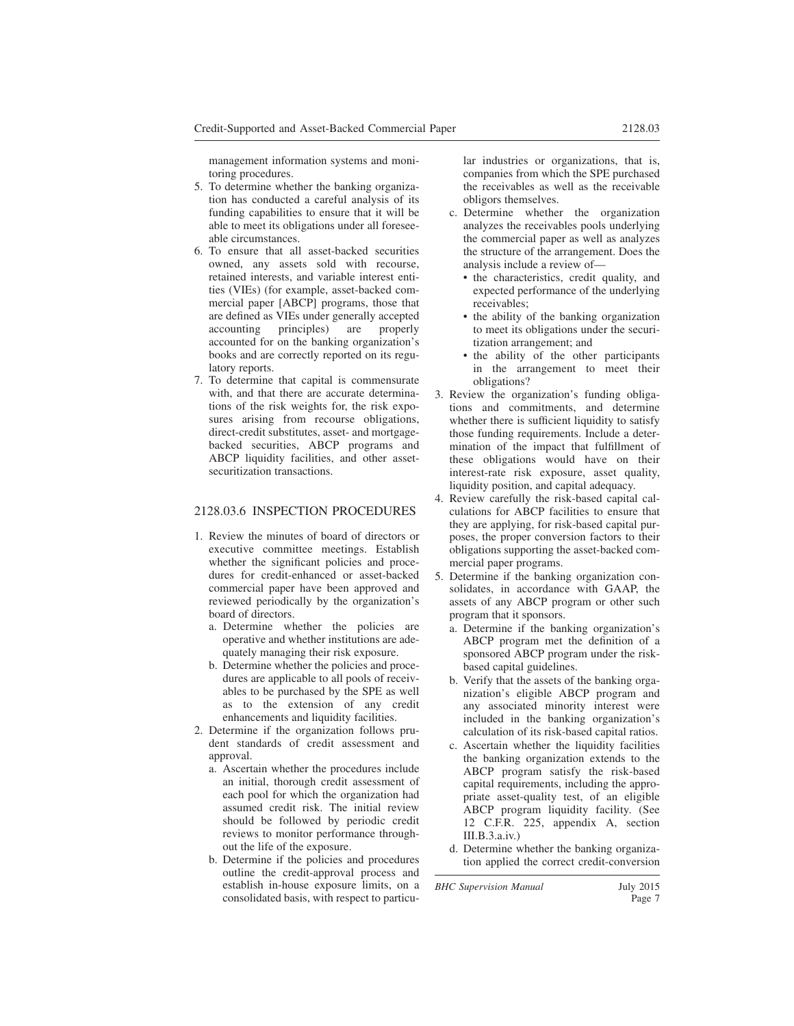management information systems and monitoring procedures.

- 5. To determine whether the banking organization has conducted a careful analysis of its funding capabilities to ensure that it will be able to meet its obligations under all foreseeable circumstances.
- 6. To ensure that all asset-backed securities owned, any assets sold with recourse, retained interests, and variable interest entities (VIEs) (for example, asset-backed commercial paper [ABCP] programs, those that are defined as VIEs under generally accepted accounting principles) are properly accounted for on the banking organization's books and are correctly reported on its regulatory reports.
- 7. To determine that capital is commensurate with, and that there are accurate determinations of the risk weights for, the risk exposures arising from recourse obligations, direct-credit substitutes, asset- and mortgagebacked securities, ABCP programs and ABCP liquidity facilities, and other assetsecuritization transactions.

# 2128.03.6 INSPECTION PROCEDURES

- 1. Review the minutes of board of directors or executive committee meetings. Establish whether the significant policies and procedures for credit-enhanced or asset-backed commercial paper have been approved and reviewed periodically by the organization's board of directors.
	- a. Determine whether the policies are operative and whether institutions are adequately managing their risk exposure.
	- b. Determine whether the policies and procedures are applicable to all pools of receivables to be purchased by the SPE as well as to the extension of any credit enhancements and liquidity facilities.
- 2. Determine if the organization follows prudent standards of credit assessment and approval.
	- a. Ascertain whether the procedures include an initial, thorough credit assessment of each pool for which the organization had assumed credit risk. The initial review should be followed by periodic credit reviews to monitor performance throughout the life of the exposure.
	- b. Determine if the policies and procedures outline the credit-approval process and establish in-house exposure limits, on a consolidated basis, with respect to particu-

lar industries or organizations, that is, companies from which the SPE purchased the receivables as well as the receivable obligors themselves.

- c. Determine whether the organization analyzes the receivables pools underlying the commercial paper as well as analyzes the structure of the arrangement. Does the analysis include a review of—
	- the characteristics, credit quality, and expected performance of the underlying receivables;
	- the ability of the banking organization to meet its obligations under the securitization arrangement; and
	- the ability of the other participants in the arrangement to meet their obligations?
- 3. Review the organization's funding obligations and commitments, and determine whether there is sufficient liquidity to satisfy those funding requirements. Include a determination of the impact that fulfillment of these obligations would have on their interest-rate risk exposure, asset quality, liquidity position, and capital adequacy.
- 4. Review carefully the risk-based capital calculations for ABCP facilities to ensure that they are applying, for risk-based capital purposes, the proper conversion factors to their obligations supporting the asset-backed commercial paper programs.
- 5. Determine if the banking organization consolidates, in accordance with GAAP, the assets of any ABCP program or other such program that it sponsors.
	- a. Determine if the banking organization's ABCP program met the definition of a sponsored ABCP program under the riskbased capital guidelines.
	- b. Verify that the assets of the banking organization's eligible ABCP program and any associated minority interest were included in the banking organization's calculation of its risk-based capital ratios.
	- c. Ascertain whether the liquidity facilities the banking organization extends to the ABCP program satisfy the risk-based capital requirements, including the appropriate asset-quality test, of an eligible ABCP program liquidity facility. (See 12 C.F.R. 225, appendix A, section III.B.3.a.iv.)
	- d. Determine whether the banking organization applied the correct credit-conversion

*BHC Supervision Manual* July 2015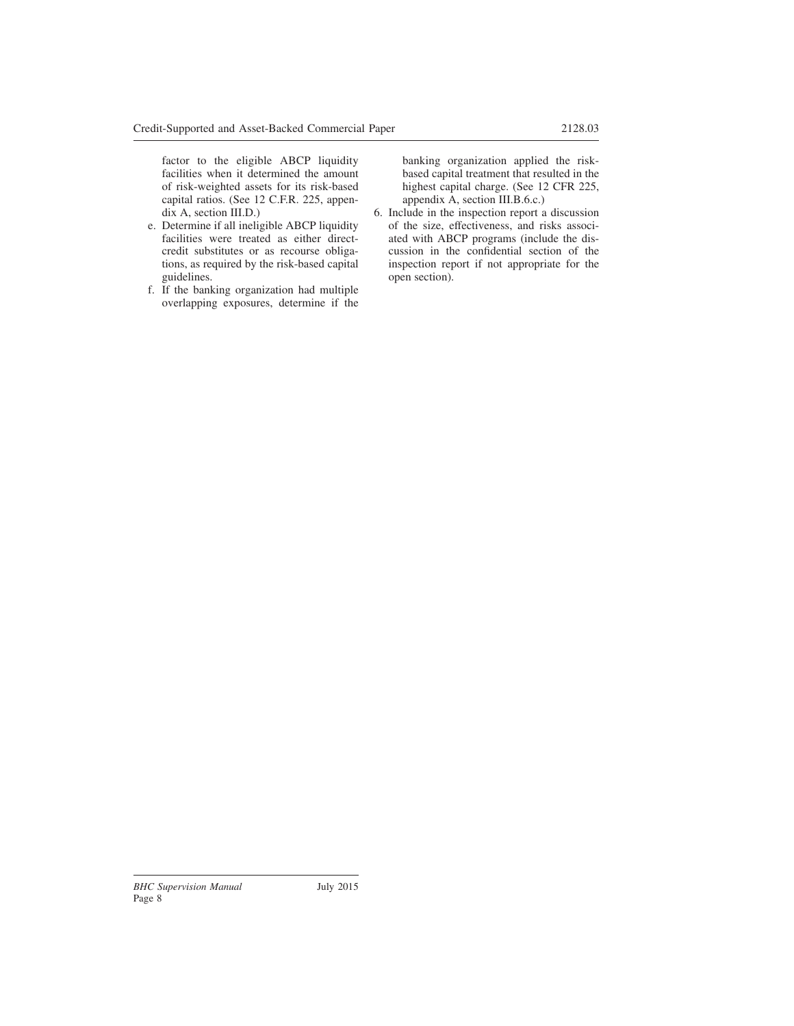factor to the eligible ABCP liquidity facilities when it determined the amount of risk-weighted assets for its risk-based capital ratios. (See 12 C.F.R. 225, appendix A, section III.D.)

- e. Determine if all ineligible ABCP liquidity facilities were treated as either directcredit substitutes or as recourse obligations, as required by the risk-based capital guidelines.
- f. If the banking organization had multiple overlapping exposures, determine if the

banking organization applied the riskbased capital treatment that resulted in the highest capital charge. (See 12 CFR 225, appendix A, section III.B.6.c.)

6. Include in the inspection report a discussion of the size, effectiveness, and risks associated with ABCP programs (include the discussion in the confidential section of the inspection report if not appropriate for the open section).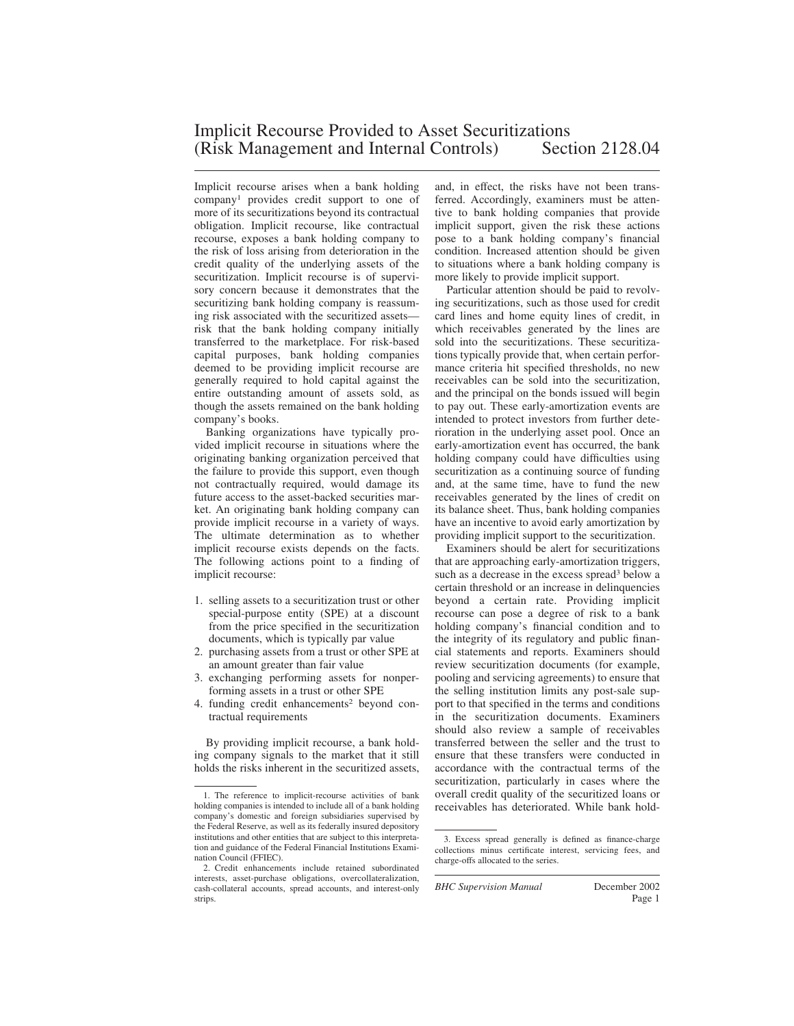Implicit recourse arises when a bank holding company<sup>1</sup> provides credit support to one of more of its securitizations beyond its contractual obligation. Implicit recourse, like contractual recourse, exposes a bank holding company to the risk of loss arising from deterioration in the credit quality of the underlying assets of the securitization. Implicit recourse is of supervisory concern because it demonstrates that the securitizing bank holding company is reassuming risk associated with the securitized assets risk that the bank holding company initially transferred to the marketplace. For risk-based capital purposes, bank holding companies deemed to be providing implicit recourse are generally required to hold capital against the entire outstanding amount of assets sold, as though the assets remained on the bank holding company's books.

Banking organizations have typically provided implicit recourse in situations where the originating banking organization perceived that the failure to provide this support, even though not contractually required, would damage its future access to the asset-backed securities market. An originating bank holding company can provide implicit recourse in a variety of ways. The ultimate determination as to whether implicit recourse exists depends on the facts. The following actions point to a finding of implicit recourse:

- 1. selling assets to a securitization trust or other special-purpose entity (SPE) at a discount from the price specified in the securitization documents, which is typically par value
- 2. purchasing assets from a trust or other SPE at an amount greater than fair value
- 3. exchanging performing assets for nonperforming assets in a trust or other SPE
- 4. funding credit enhancements<sup>2</sup> beyond contractual requirements

By providing implicit recourse, a bank holding company signals to the market that it still holds the risks inherent in the securitized assets, and, in effect, the risks have not been transferred. Accordingly, examiners must be attentive to bank holding companies that provide implicit support, given the risk these actions pose to a bank holding company's financial condition. Increased attention should be given to situations where a bank holding company is more likely to provide implicit support.

Particular attention should be paid to revolving securitizations, such as those used for credit card lines and home equity lines of credit, in which receivables generated by the lines are sold into the securitizations. These securitizations typically provide that, when certain performance criteria hit specified thresholds, no new receivables can be sold into the securitization, and the principal on the bonds issued will begin to pay out. These early-amortization events are intended to protect investors from further deterioration in the underlying asset pool. Once an early-amortization event has occurred, the bank holding company could have difficulties using securitization as a continuing source of funding and, at the same time, have to fund the new receivables generated by the lines of credit on its balance sheet. Thus, bank holding companies have an incentive to avoid early amortization by providing implicit support to the securitization.

Examiners should be alert for securitizations that are approaching early-amortization triggers, such as a decrease in the excess spread<sup>3</sup> below a certain threshold or an increase in delinquencies beyond a certain rate. Providing implicit recourse can pose a degree of risk to a bank holding company's financial condition and to the integrity of its regulatory and public financial statements and reports. Examiners should review securitization documents (for example, pooling and servicing agreements) to ensure that the selling institution limits any post-sale support to that specified in the terms and conditions in the securitization documents. Examiners should also review a sample of receivables transferred between the seller and the trust to ensure that these transfers were conducted in accordance with the contractual terms of the securitization, particularly in cases where the overall credit quality of the securitized loans or receivables has deteriorated. While bank hold-

*BHC Supervision Manual* December 2002

<sup>1.</sup> The reference to implicit-recourse activities of bank holding companies is intended to include all of a bank holding company's domestic and foreign subsidiaries supervised by the Federal Reserve, as well as its federally insured depository institutions and other entities that are subject to this interpretation and guidance of the Federal Financial Institutions Examination Council (FFIEC).

<sup>2.</sup> Credit enhancements include retained subordinated interests, asset-purchase obligations, overcollateralization, cash-collateral accounts, spread accounts, and interest-only strips.

<sup>3.</sup> Excess spread generally is defined as finance-charge collections minus certificate interest, servicing fees, and charge-offs allocated to the series.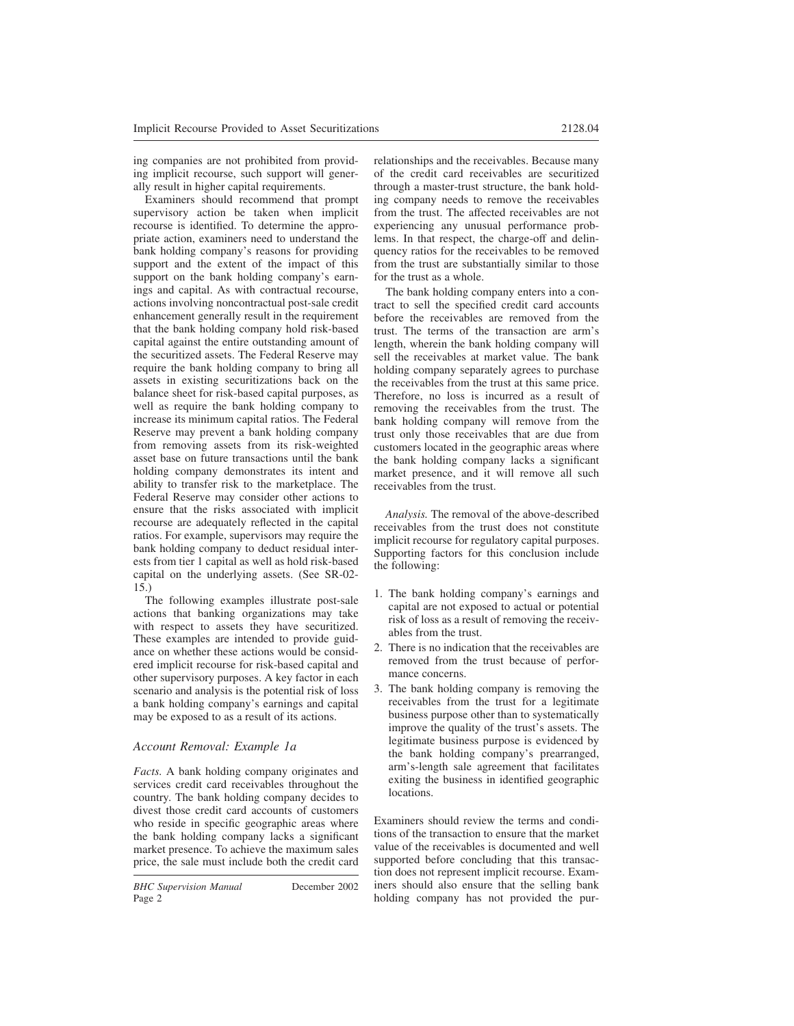ing companies are not prohibited from providing implicit recourse, such support will generally result in higher capital requirements.

Examiners should recommend that prompt supervisory action be taken when implicit recourse is identified. To determine the appropriate action, examiners need to understand the bank holding company's reasons for providing support and the extent of the impact of this support on the bank holding company's earnings and capital. As with contractual recourse, actions involving noncontractual post-sale credit enhancement generally result in the requirement that the bank holding company hold risk-based capital against the entire outstanding amount of the securitized assets. The Federal Reserve may require the bank holding company to bring all assets in existing securitizations back on the balance sheet for risk-based capital purposes, as well as require the bank holding company to increase its minimum capital ratios. The Federal Reserve may prevent a bank holding company from removing assets from its risk-weighted asset base on future transactions until the bank holding company demonstrates its intent and ability to transfer risk to the marketplace. The Federal Reserve may consider other actions to ensure that the risks associated with implicit recourse are adequately reflected in the capital ratios. For example, supervisors may require the bank holding company to deduct residual interests from tier 1 capital as well as hold risk-based capital on the underlying assets. (See SR-02- 15.)

The following examples illustrate post-sale actions that banking organizations may take with respect to assets they have securitized. These examples are intended to provide guidance on whether these actions would be considered implicit recourse for risk-based capital and other supervisory purposes. A key factor in each scenario and analysis is the potential risk of loss a bank holding company's earnings and capital may be exposed to as a result of its actions.

# *Account Removal: Example 1a*

*Facts.* A bank holding company originates and services credit card receivables throughout the country. The bank holding company decides to divest those credit card accounts of customers who reside in specific geographic areas where the bank holding company lacks a significant market presence. To achieve the maximum sales price, the sale must include both the credit card relationships and the receivables. Because many of the credit card receivables are securitized through a master-trust structure, the bank holding company needs to remove the receivables from the trust. The affected receivables are not experiencing any unusual performance problems. In that respect, the charge-off and delinquency ratios for the receivables to be removed from the trust are substantially similar to those for the trust as a whole.

The bank holding company enters into a contract to sell the specified credit card accounts before the receivables are removed from the trust. The terms of the transaction are arm's length, wherein the bank holding company will sell the receivables at market value. The bank holding company separately agrees to purchase the receivables from the trust at this same price. Therefore, no loss is incurred as a result of removing the receivables from the trust. The bank holding company will remove from the trust only those receivables that are due from customers located in the geographic areas where the bank holding company lacks a significant market presence, and it will remove all such receivables from the trust.

*Analysis.* The removal of the above-described receivables from the trust does not constitute implicit recourse for regulatory capital purposes. Supporting factors for this conclusion include the following:

- 1. The bank holding company's earnings and capital are not exposed to actual or potential risk of loss as a result of removing the receivables from the trust.
- 2. There is no indication that the receivables are removed from the trust because of performance concerns.
- 3. The bank holding company is removing the receivables from the trust for a legitimate business purpose other than to systematically improve the quality of the trust's assets. The legitimate business purpose is evidenced by the bank holding company's prearranged, arm's-length sale agreement that facilitates exiting the business in identified geographic locations.

Examiners should review the terms and conditions of the transaction to ensure that the market value of the receivables is documented and well supported before concluding that this transaction does not represent implicit recourse. Examiners should also ensure that the selling bank holding company has not provided the pur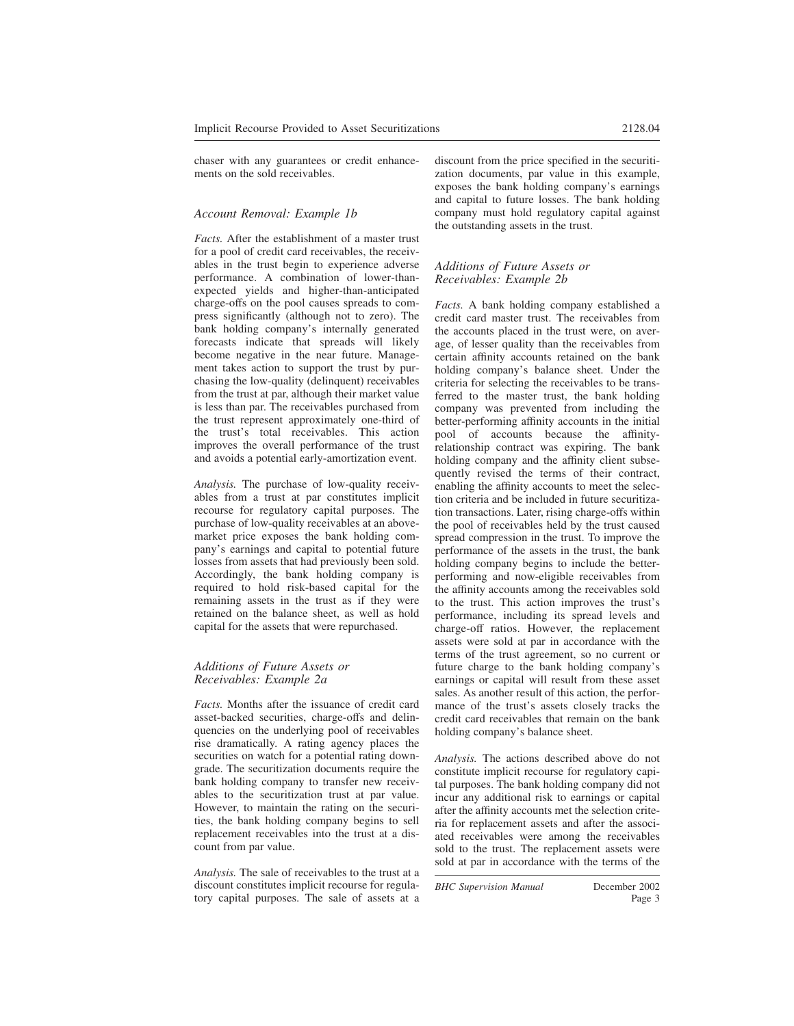chaser with any guarantees or credit enhancements on the sold receivables.

### *Account Removal: Example 1b*

*Facts.* After the establishment of a master trust for a pool of credit card receivables, the receivables in the trust begin to experience adverse performance. A combination of lower-thanexpected yields and higher-than-anticipated charge-offs on the pool causes spreads to compress significantly (although not to zero). The bank holding company's internally generated forecasts indicate that spreads will likely become negative in the near future. Management takes action to support the trust by purchasing the low-quality (delinquent) receivables from the trust at par, although their market value is less than par. The receivables purchased from the trust represent approximately one-third of the trust's total receivables. This action improves the overall performance of the trust and avoids a potential early-amortization event.

*Analysis.* The purchase of low-quality receivables from a trust at par constitutes implicit recourse for regulatory capital purposes. The purchase of low-quality receivables at an abovemarket price exposes the bank holding company's earnings and capital to potential future losses from assets that had previously been sold. Accordingly, the bank holding company is required to hold risk-based capital for the remaining assets in the trust as if they were retained on the balance sheet, as well as hold capital for the assets that were repurchased.

#### *Additions of Future Assets or Receivables: Example 2a*

*Facts.* Months after the issuance of credit card asset-backed securities, charge-offs and delinquencies on the underlying pool of receivables rise dramatically. A rating agency places the securities on watch for a potential rating downgrade. The securitization documents require the bank holding company to transfer new receivables to the securitization trust at par value. However, to maintain the rating on the securities, the bank holding company begins to sell replacement receivables into the trust at a discount from par value.

*Analysis.* The sale of receivables to the trust at a discount constitutes implicit recourse for regulatory capital purposes. The sale of assets at a discount from the price specified in the securitization documents, par value in this example, exposes the bank holding company's earnings and capital to future losses. The bank holding company must hold regulatory capital against the outstanding assets in the trust.

#### *Additions of Future Assets or Receivables: Example 2b*

*Facts.* A bank holding company established a credit card master trust. The receivables from the accounts placed in the trust were, on average, of lesser quality than the receivables from certain affinity accounts retained on the bank holding company's balance sheet. Under the criteria for selecting the receivables to be transferred to the master trust, the bank holding company was prevented from including the better-performing affinity accounts in the initial pool of accounts because the affinityrelationship contract was expiring. The bank holding company and the affinity client subsequently revised the terms of their contract, enabling the affinity accounts to meet the selection criteria and be included in future securitization transactions. Later, rising charge-offs within the pool of receivables held by the trust caused spread compression in the trust. To improve the performance of the assets in the trust, the bank holding company begins to include the betterperforming and now-eligible receivables from the affinity accounts among the receivables sold to the trust. This action improves the trust's performance, including its spread levels and charge-off ratios. However, the replacement assets were sold at par in accordance with the terms of the trust agreement, so no current or future charge to the bank holding company's earnings or capital will result from these asset sales. As another result of this action, the performance of the trust's assets closely tracks the credit card receivables that remain on the bank holding company's balance sheet.

*Analysis.* The actions described above do not constitute implicit recourse for regulatory capital purposes. The bank holding company did not incur any additional risk to earnings or capital after the affinity accounts met the selection criteria for replacement assets and after the associated receivables were among the receivables sold to the trust. The replacement assets were sold at par in accordance with the terms of the

*BHC Supervision Manual* December 2002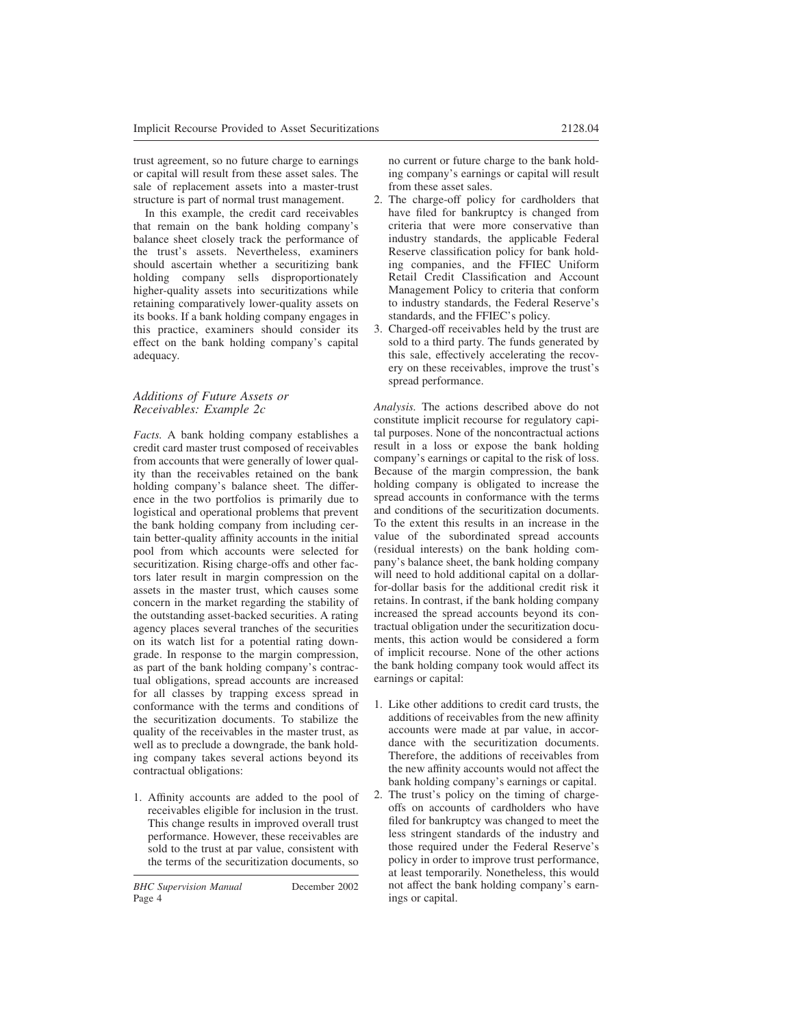trust agreement, so no future charge to earnings or capital will result from these asset sales. The sale of replacement assets into a master-trust structure is part of normal trust management.

In this example, the credit card receivables that remain on the bank holding company's balance sheet closely track the performance of the trust's assets. Nevertheless, examiners should ascertain whether a securitizing bank holding company sells disproportionately higher-quality assets into securitizations while retaining comparatively lower-quality assets on its books. If a bank holding company engages in this practice, examiners should consider its effect on the bank holding company's capital adequacy.

### *Additions of Future Assets or Receivables: Example 2c*

*Facts.* A bank holding company establishes a credit card master trust composed of receivables from accounts that were generally of lower quality than the receivables retained on the bank holding company's balance sheet. The difference in the two portfolios is primarily due to logistical and operational problems that prevent the bank holding company from including certain better-quality affinity accounts in the initial pool from which accounts were selected for securitization. Rising charge-offs and other factors later result in margin compression on the assets in the master trust, which causes some concern in the market regarding the stability of the outstanding asset-backed securities. A rating agency places several tranches of the securities on its watch list for a potential rating downgrade. In response to the margin compression, as part of the bank holding company's contractual obligations, spread accounts are increased for all classes by trapping excess spread in conformance with the terms and conditions of the securitization documents. To stabilize the quality of the receivables in the master trust, as well as to preclude a downgrade, the bank holding company takes several actions beyond its contractual obligations:

1. Affinity accounts are added to the pool of receivables eligible for inclusion in the trust. This change results in improved overall trust performance. However, these receivables are sold to the trust at par value, consistent with the terms of the securitization documents, so

no current or future charge to the bank holding company's earnings or capital will result from these asset sales.

- 2. The charge-off policy for cardholders that have filed for bankruptcy is changed from criteria that were more conservative than industry standards, the applicable Federal Reserve classification policy for bank holding companies, and the FFIEC Uniform Retail Credit Classification and Account Management Policy to criteria that conform to industry standards, the Federal Reserve's standards, and the FFIEC's policy.
- 3. Charged-off receivables held by the trust are sold to a third party. The funds generated by this sale, effectively accelerating the recovery on these receivables, improve the trust's spread performance.

*Analysis.* The actions described above do not constitute implicit recourse for regulatory capital purposes. None of the noncontractual actions result in a loss or expose the bank holding company's earnings or capital to the risk of loss. Because of the margin compression, the bank holding company is obligated to increase the spread accounts in conformance with the terms and conditions of the securitization documents. To the extent this results in an increase in the value of the subordinated spread accounts (residual interests) on the bank holding company's balance sheet, the bank holding company will need to hold additional capital on a dollarfor-dollar basis for the additional credit risk it retains. In contrast, if the bank holding company increased the spread accounts beyond its contractual obligation under the securitization documents, this action would be considered a form of implicit recourse. None of the other actions the bank holding company took would affect its earnings or capital:

- 1. Like other additions to credit card trusts, the additions of receivables from the new affinity accounts were made at par value, in accordance with the securitization documents. Therefore, the additions of receivables from the new affinity accounts would not affect the bank holding company's earnings or capital.
- 2. The trust's policy on the timing of chargeoffs on accounts of cardholders who have filed for bankruptcy was changed to meet the less stringent standards of the industry and those required under the Federal Reserve's policy in order to improve trust performance, at least temporarily. Nonetheless, this would not affect the bank holding company's earnings or capital.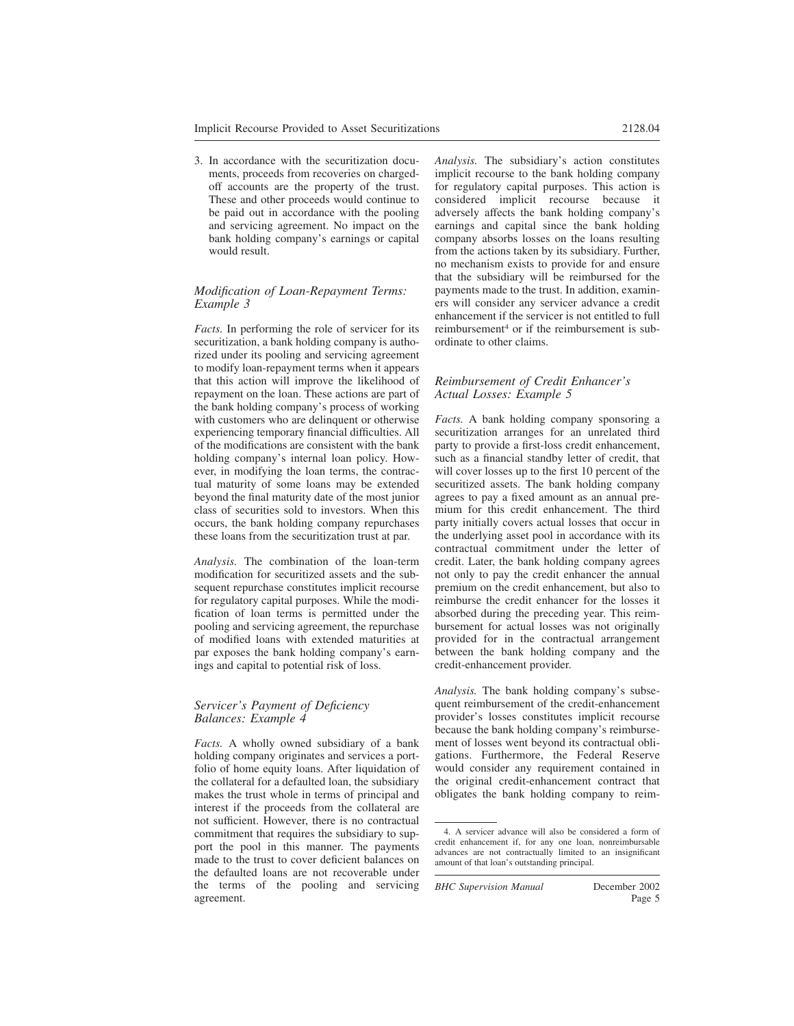3. In accordance with the securitization documents, proceeds from recoveries on chargedoff accounts are the property of the trust. These and other proceeds would continue to be paid out in accordance with the pooling and servicing agreement. No impact on the bank holding company's earnings or capital would result.

### *Modification of Loan-Repayment Terms: Example 3*

*Facts.* In performing the role of servicer for its securitization, a bank holding company is authorized under its pooling and servicing agreement to modify loan-repayment terms when it appears that this action will improve the likelihood of repayment on the loan. These actions are part of the bank holding company's process of working with customers who are delinquent or otherwise experiencing temporary financial difficulties. All of the modifications are consistent with the bank holding company's internal loan policy. However, in modifying the loan terms, the contractual maturity of some loans may be extended beyond the final maturity date of the most junior class of securities sold to investors. When this occurs, the bank holding company repurchases these loans from the securitization trust at par.

*Analysis.* The combination of the loan-term modification for securitized assets and the subsequent repurchase constitutes implicit recourse for regulatory capital purposes. While the modification of loan terms is permitted under the pooling and servicing agreement, the repurchase of modified loans with extended maturities at par exposes the bank holding company's earnings and capital to potential risk of loss.

#### *Servicer's Payment of Deficiency Balances: Example 4*

*Facts.* A wholly owned subsidiary of a bank holding company originates and services a portfolio of home equity loans. After liquidation of the collateral for a defaulted loan, the subsidiary makes the trust whole in terms of principal and interest if the proceeds from the collateral are not sufficient. However, there is no contractual commitment that requires the subsidiary to support the pool in this manner. The payments made to the trust to cover deficient balances on the defaulted loans are not recoverable under the terms of the pooling and servicing agreement.

*Analysis.* The subsidiary's action constitutes implicit recourse to the bank holding company for regulatory capital purposes. This action is considered implicit recourse because it adversely affects the bank holding company's earnings and capital since the bank holding company absorbs losses on the loans resulting from the actions taken by its subsidiary. Further, no mechanism exists to provide for and ensure that the subsidiary will be reimbursed for the payments made to the trust. In addition, examiners will consider any servicer advance a credit enhancement if the servicer is not entitled to full reimbursement<sup>4</sup> or if the reimbursement is sub-

### *Reimbursement of Credit Enhancer's Actual Losses: Example 5*

ordinate to other claims.

*Facts.* A bank holding company sponsoring a securitization arranges for an unrelated third party to provide a first-loss credit enhancement, such as a financial standby letter of credit, that will cover losses up to the first 10 percent of the securitized assets. The bank holding company agrees to pay a fixed amount as an annual premium for this credit enhancement. The third party initially covers actual losses that occur in the underlying asset pool in accordance with its contractual commitment under the letter of credit. Later, the bank holding company agrees not only to pay the credit enhancer the annual premium on the credit enhancement, but also to reimburse the credit enhancer for the losses it absorbed during the preceding year. This reimbursement for actual losses was not originally provided for in the contractual arrangement between the bank holding company and the credit-enhancement provider.

*Analysis.* The bank holding company's subsequent reimbursement of the credit-enhancement provider's losses constitutes implicit recourse because the bank holding company's reimbursement of losses went beyond its contractual obligations. Furthermore, the Federal Reserve would consider any requirement contained in the original credit-enhancement contract that obligates the bank holding company to reim-

<sup>4.</sup> A servicer advance will also be considered a form of credit enhancement if, for any one loan, nonreimbursable advances are not contractually limited to an insignificant amount of that loan's outstanding principal.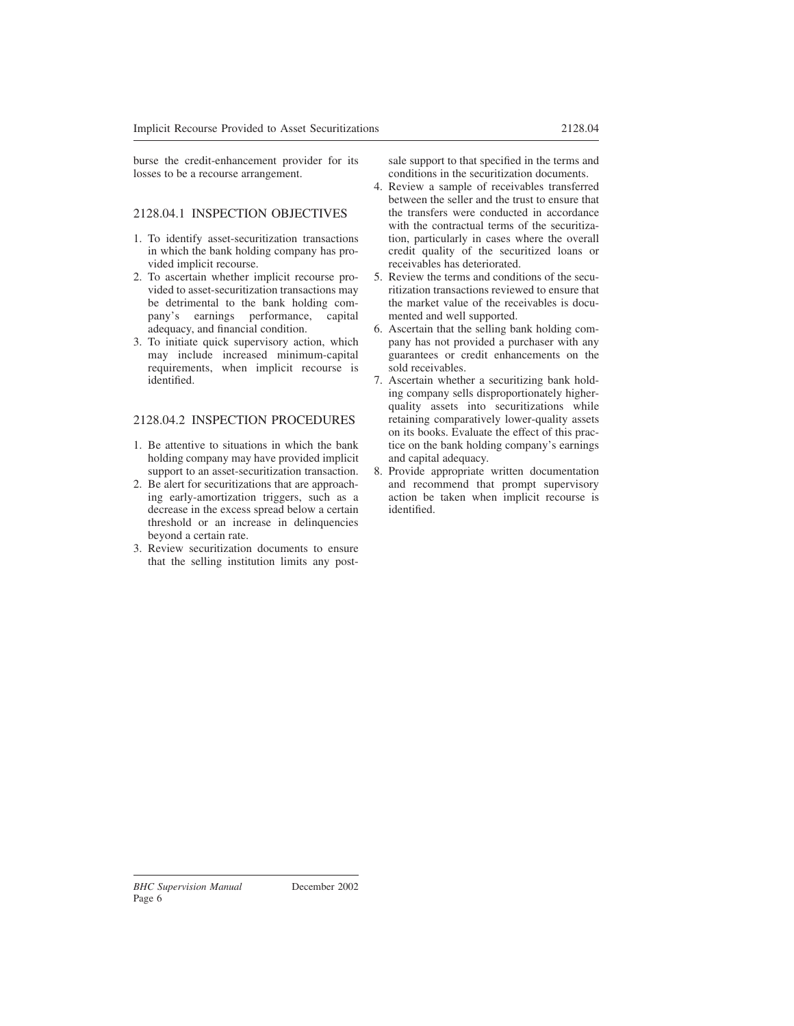burse the credit-enhancement provider for its losses to be a recourse arrangement.

# 2128.04.1 INSPECTION OBJECTIVES

- 1. To identify asset-securitization transactions in which the bank holding company has provided implicit recourse.
- 2. To ascertain whether implicit recourse provided to asset-securitization transactions may be detrimental to the bank holding company's earnings performance, capital adequacy, and financial condition.
- 3. To initiate quick supervisory action, which may include increased minimum-capital requirements, when implicit recourse is identified.

# 2128.04.2 INSPECTION PROCEDURES

- 1. Be attentive to situations in which the bank holding company may have provided implicit support to an asset-securitization transaction.
- 2. Be alert for securitizations that are approaching early-amortization triggers, such as a decrease in the excess spread below a certain threshold or an increase in delinquencies beyond a certain rate.
- 3. Review securitization documents to ensure that the selling institution limits any post-

sale support to that specified in the terms and conditions in the securitization documents.

- 4. Review a sample of receivables transferred between the seller and the trust to ensure that the transfers were conducted in accordance with the contractual terms of the securitization, particularly in cases where the overall credit quality of the securitized loans or receivables has deteriorated.
- 5. Review the terms and conditions of the securitization transactions reviewed to ensure that the market value of the receivables is documented and well supported.
- 6. Ascertain that the selling bank holding company has not provided a purchaser with any guarantees or credit enhancements on the sold receivables.
- 7. Ascertain whether a securitizing bank holding company sells disproportionately higherquality assets into securitizations while retaining comparatively lower-quality assets on its books. Evaluate the effect of this practice on the bank holding company's earnings and capital adequacy.
- 8. Provide appropriate written documentation and recommend that prompt supervisory action be taken when implicit recourse is identified.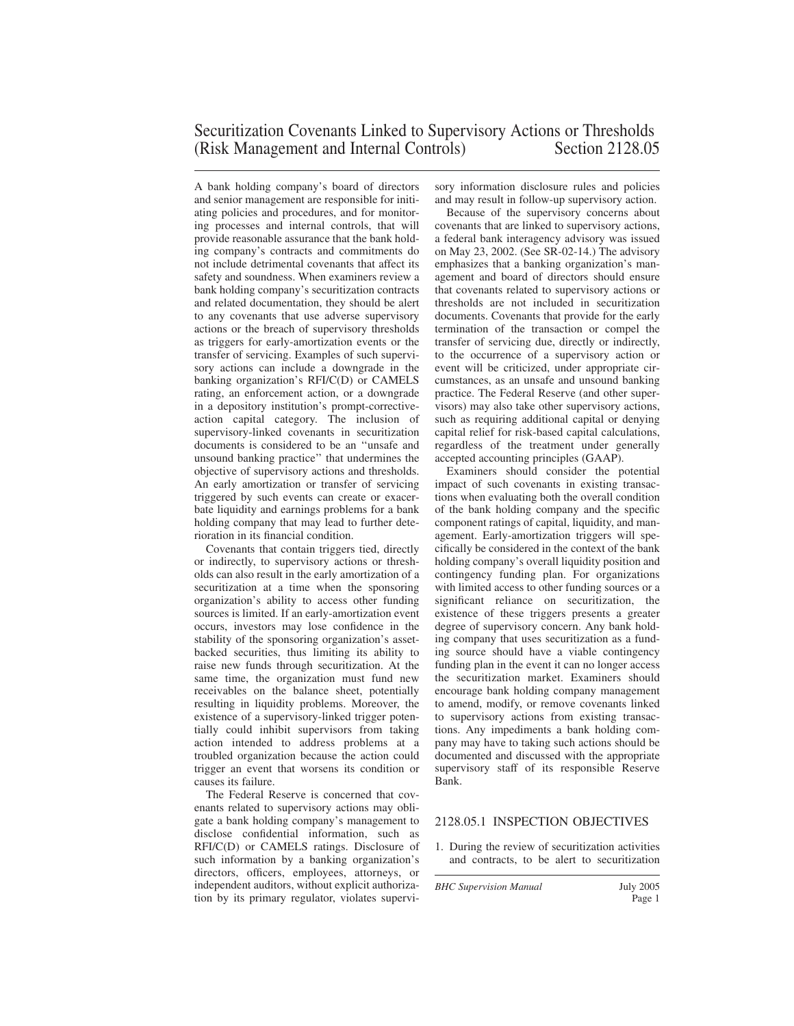A bank holding company's board of directors and senior management are responsible for initiating policies and procedures, and for monitoring processes and internal controls, that will provide reasonable assurance that the bank holding company's contracts and commitments do not include detrimental covenants that affect its safety and soundness. When examiners review a bank holding company's securitization contracts and related documentation, they should be alert to any covenants that use adverse supervisory actions or the breach of supervisory thresholds as triggers for early-amortization events or the transfer of servicing. Examples of such supervisory actions can include a downgrade in the banking organization's RFI/C(D) or CAMELS rating, an enforcement action, or a downgrade in a depository institution's prompt-correctiveaction capital category. The inclusion of supervisory-linked covenants in securitization documents is considered to be an ''unsafe and unsound banking practice'' that undermines the objective of supervisory actions and thresholds. An early amortization or transfer of servicing triggered by such events can create or exacerbate liquidity and earnings problems for a bank holding company that may lead to further deterioration in its financial condition.

Covenants that contain triggers tied, directly or indirectly, to supervisory actions or thresholds can also result in the early amortization of a securitization at a time when the sponsoring organization's ability to access other funding sources is limited. If an early-amortization event occurs, investors may lose confidence in the stability of the sponsoring organization's assetbacked securities, thus limiting its ability to raise new funds through securitization. At the same time, the organization must fund new receivables on the balance sheet, potentially resulting in liquidity problems. Moreover, the existence of a supervisory-linked trigger potentially could inhibit supervisors from taking action intended to address problems at a troubled organization because the action could trigger an event that worsens its condition or causes its failure.

The Federal Reserve is concerned that covenants related to supervisory actions may obligate a bank holding company's management to disclose confidential information, such as RFI/C(D) or CAMELS ratings. Disclosure of such information by a banking organization's directors, officers, employees, attorneys, or independent auditors, without explicit authorization by its primary regulator, violates supervisory information disclosure rules and policies and may result in follow-up supervisory action.

Because of the supervisory concerns about covenants that are linked to supervisory actions, a federal bank interagency advisory was issued on May 23, 2002. (See SR-02-14.) The advisory emphasizes that a banking organization's management and board of directors should ensure that covenants related to supervisory actions or thresholds are not included in securitization documents. Covenants that provide for the early termination of the transaction or compel the transfer of servicing due, directly or indirectly, to the occurrence of a supervisory action or event will be criticized, under appropriate circumstances, as an unsafe and unsound banking practice. The Federal Reserve (and other supervisors) may also take other supervisory actions, such as requiring additional capital or denying capital relief for risk-based capital calculations, regardless of the treatment under generally accepted accounting principles (GAAP).

Examiners should consider the potential impact of such covenants in existing transactions when evaluating both the overall condition of the bank holding company and the specific component ratings of capital, liquidity, and management. Early-amortization triggers will specifically be considered in the context of the bank holding company's overall liquidity position and contingency funding plan. For organizations with limited access to other funding sources or a significant reliance on securitization, the existence of these triggers presents a greater degree of supervisory concern. Any bank holding company that uses securitization as a funding source should have a viable contingency funding plan in the event it can no longer access the securitization market. Examiners should encourage bank holding company management to amend, modify, or remove covenants linked to supervisory actions from existing transactions. Any impediments a bank holding company may have to taking such actions should be documented and discussed with the appropriate supervisory staff of its responsible Reserve Bank.

### 2128.05.1 INSPECTION OBJECTIVES

1. During the review of securitization activities and contracts, to be alert to securitization

*BHC Supervision Manual* July 2005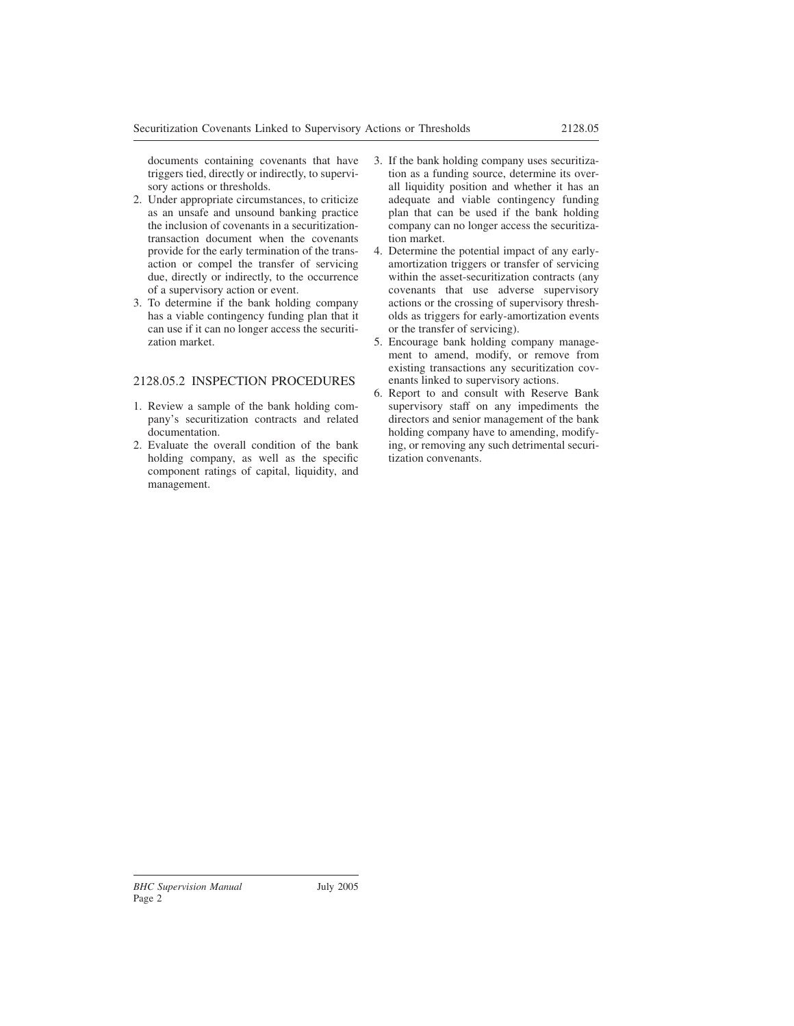documents containing covenants that have triggers tied, directly or indirectly, to supervisory actions or thresholds.

- 2. Under appropriate circumstances, to criticize as an unsafe and unsound banking practice the inclusion of covenants in a securitizationtransaction document when the covenants provide for the early termination of the transaction or compel the transfer of servicing due, directly or indirectly, to the occurrence of a supervisory action or event.
- 3. To determine if the bank holding company has a viable contingency funding plan that it can use if it can no longer access the securitization market.

# 2128.05.2 INSPECTION PROCEDURES

- 1. Review a sample of the bank holding company's securitization contracts and related documentation.
- 2. Evaluate the overall condition of the bank holding company, as well as the specific component ratings of capital, liquidity, and management.
- 3. If the bank holding company uses securitization as a funding source, determine its overall liquidity position and whether it has an adequate and viable contingency funding plan that can be used if the bank holding company can no longer access the securitization market.
- 4. Determine the potential impact of any earlyamortization triggers or transfer of servicing within the asset-securitization contracts (any covenants that use adverse supervisory actions or the crossing of supervisory thresholds as triggers for early-amortization events or the transfer of servicing).
- 5. Encourage bank holding company management to amend, modify, or remove from existing transactions any securitization covenants linked to supervisory actions.
- 6. Report to and consult with Reserve Bank supervisory staff on any impediments the directors and senior management of the bank holding company have to amending, modifying, or removing any such detrimental securitization convenants.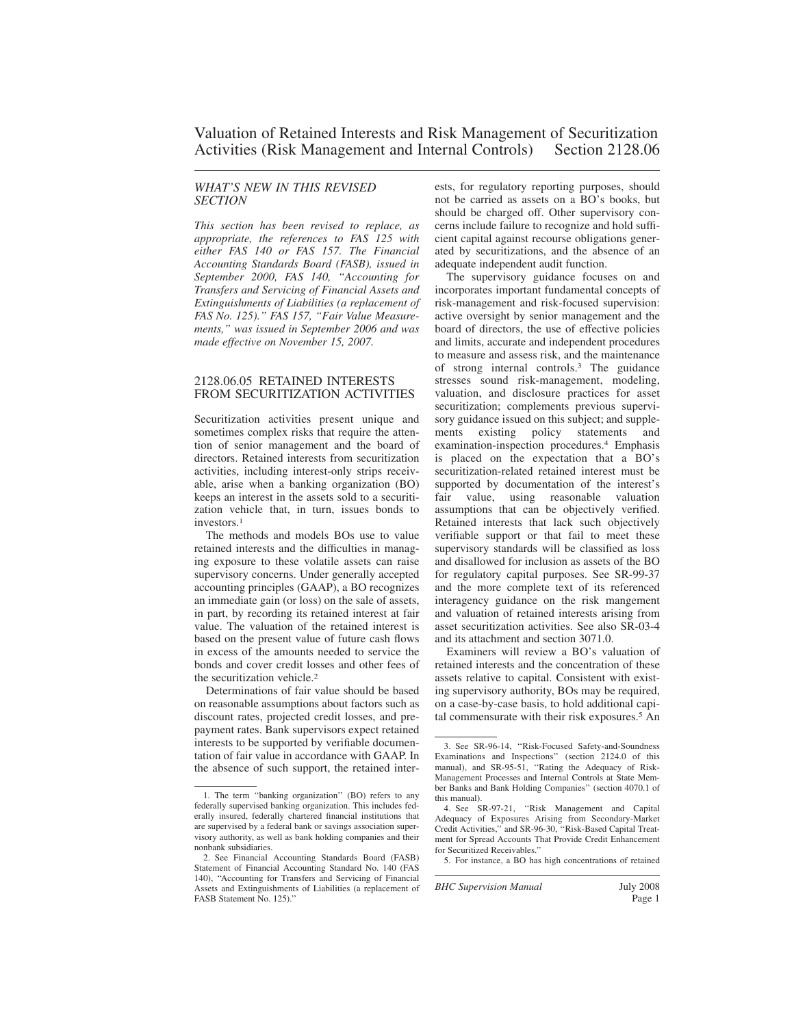### *WHAT'S NEW IN THIS REVISED SECTION*

*This section has been revised to replace, as appropriate, the references to FAS 125 with either FAS 140 or FAS 157. The Financial Accounting Standards Board (FASB), issued in September 2000, FAS 140, "Accounting for Transfers and Servicing of Financial Assets and Extinguishments of Liabilities (a replacement of FAS No. 125)." FAS 157, "Fair Value Measurements," was issued in September 2006 and was made effective on November 15, 2007.*

### 2128.06.05 RETAINED INTERESTS FROM SECURITIZATION ACTIVITIES

Securitization activities present unique and sometimes complex risks that require the attention of senior management and the board of directors. Retained interests from securitization activities, including interest-only strips receivable, arise when a banking organization (BO) keeps an interest in the assets sold to a securitization vehicle that, in turn, issues bonds to investors<sup>1</sup>

The methods and models BOs use to value retained interests and the difficulties in managing exposure to these volatile assets can raise supervisory concerns. Under generally accepted accounting principles (GAAP), a BO recognizes an immediate gain (or loss) on the sale of assets, in part, by recording its retained interest at fair value. The valuation of the retained interest is based on the present value of future cash flows in excess of the amounts needed to service the bonds and cover credit losses and other fees of the securitization vehicle.<sup>2</sup>

Determinations of fair value should be based on reasonable assumptions about factors such as discount rates, projected credit losses, and prepayment rates. Bank supervisors expect retained interests to be supported by verifiable documentation of fair value in accordance with GAAP. In the absence of such support, the retained interests, for regulatory reporting purposes, should not be carried as assets on a BO's books, but should be charged off. Other supervisory concerns include failure to recognize and hold sufficient capital against recourse obligations generated by securitizations, and the absence of an adequate independent audit function.

The supervisory guidance focuses on and incorporates important fundamental concepts of risk-management and risk-focused supervision: active oversight by senior management and the board of directors, the use of effective policies and limits, accurate and independent procedures to measure and assess risk, and the maintenance of strong internal controls.<sup>3</sup> The guidance stresses sound risk-management, modeling, valuation, and disclosure practices for asset securitization; complements previous supervisory guidance issued on this subject; and supple-<br>ments existing policy statements and ments existing policy statements and examination-inspection procedures.<sup>4</sup> Emphasis is placed on the expectation that a BO's securitization-related retained interest must be supported by documentation of the interest's fair value, using reasonable valuation assumptions that can be objectively verified. Retained interests that lack such objectively verifiable support or that fail to meet these supervisory standards will be classified as loss and disallowed for inclusion as assets of the BO for regulatory capital purposes. See SR-99-37 and the more complete text of its referenced interagency guidance on the risk mangement and valuation of retained interests arising from asset securitization activities. See also SR-03-4 and its attachment and section 3071.0.

Examiners will review a BO's valuation of retained interests and the concentration of these assets relative to capital. Consistent with existing supervisory authority, BOs may be required, on a case-by-case basis, to hold additional capital commensurate with their risk exposures.<sup>5</sup> An

<sup>1.</sup> The term ''banking organization'' (BO) refers to any federally supervised banking organization. This includes federally insured, federally chartered financial institutions that are supervised by a federal bank or savings association supervisory authority, as well as bank holding companies and their nonbank subsidiaries.

<sup>2.</sup> See Financial Accounting Standards Board (FASB) Statement of Financial Accounting Standard No. 140 (FAS 140), ''Accounting for Transfers and Servicing of Financial Assets and Extinguishments of Liabilities (a replacement of FASB Statement No. 125).''

<sup>3.</sup> See SR-96-14, ''Risk-Focused Safety-and-Soundness Examinations and Inspections'' (section 2124.0 of this manual), and SR-95-51, ''Rating the Adequacy of Risk-Management Processes and Internal Controls at State Member Banks and Bank Holding Companies'' (section 4070.1 of this manual).

<sup>4.</sup> See SR-97-21, ''Risk Management and Capital Adequacy of Exposures Arising from Secondary-Market Credit Activities,'' and SR-96-30, ''Risk-Based Capital Treatment for Spread Accounts That Provide Credit Enhancement for Securitized Receivables.''

<sup>5.</sup> For instance, a BO has high concentrations of retained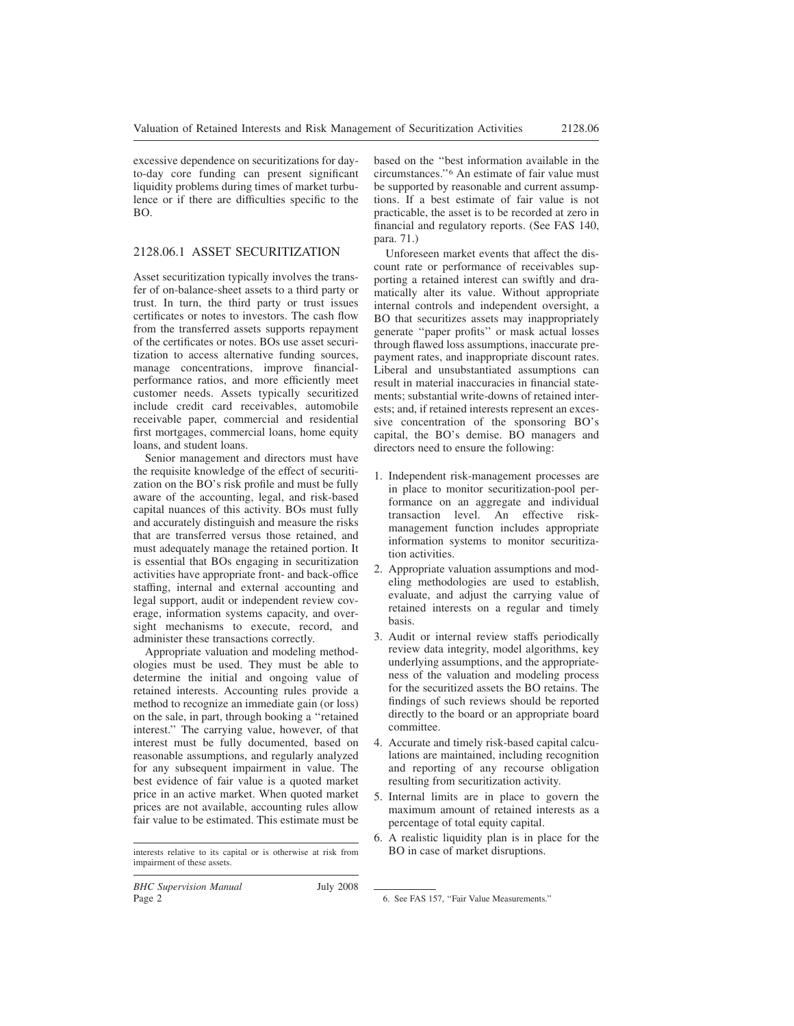excessive dependence on securitizations for dayto-day core funding can present significant liquidity problems during times of market turbulence or if there are difficulties specific to the BO.

# 2128.06.1 ASSET SECURITIZATION

Asset securitization typically involves the transfer of on-balance-sheet assets to a third party or trust. In turn, the third party or trust issues certificates or notes to investors. The cash flow from the transferred assets supports repayment of the certificates or notes. BOs use asset securitization to access alternative funding sources, manage concentrations, improve financialperformance ratios, and more efficiently meet customer needs. Assets typically securitized include credit card receivables, automobile receivable paper, commercial and residential first mortgages, commercial loans, home equity loans, and student loans.

Senior management and directors must have the requisite knowledge of the effect of securitization on the BO's risk profile and must be fully aware of the accounting, legal, and risk-based capital nuances of this activity. BOs must fully and accurately distinguish and measure the risks that are transferred versus those retained, and must adequately manage the retained portion. It is essential that BOs engaging in securitization activities have appropriate front- and back-office staffing, internal and external accounting and legal support, audit or independent review coverage, information systems capacity, and oversight mechanisms to execute, record, and administer these transactions correctly.

Appropriate valuation and modeling methodologies must be used. They must be able to determine the initial and ongoing value of retained interests. Accounting rules provide a method to recognize an immediate gain (or loss) on the sale, in part, through booking a ''retained interest.'' The carrying value, however, of that interest must be fully documented, based on reasonable assumptions, and regularly analyzed for any subsequent impairment in value. The best evidence of fair value is a quoted market price in an active market. When quoted market prices are not available, accounting rules allow fair value to be estimated. This estimate must be

based on the ''best information available in the circumstances.''<sup>6</sup> An estimate of fair value must be supported by reasonable and current assumptions. If a best estimate of fair value is not practicable, the asset is to be recorded at zero in financial and regulatory reports. (See FAS 140, para. 71.)

Unforeseen market events that affect the discount rate or performance of receivables supporting a retained interest can swiftly and dramatically alter its value. Without appropriate internal controls and independent oversight, a BO that securitizes assets may inappropriately generate ''paper profits'' or mask actual losses through flawed loss assumptions, inaccurate prepayment rates, and inappropriate discount rates. Liberal and unsubstantiated assumptions can result in material inaccuracies in financial statements; substantial write-downs of retained interests; and, if retained interests represent an excessive concentration of the sponsoring BO's capital, the BO's demise. BO managers and directors need to ensure the following:

- 1. Independent risk-management processes are in place to monitor securitization-pool performance on an aggregate and individual transaction level. An effective riskmanagement function includes appropriate information systems to monitor securitization activities.
- 2. Appropriate valuation assumptions and modeling methodologies are used to establish, evaluate, and adjust the carrying value of retained interests on a regular and timely basis.
- 3. Audit or internal review staffs periodically review data integrity, model algorithms, key underlying assumptions, and the appropriateness of the valuation and modeling process for the securitized assets the BO retains. The findings of such reviews should be reported directly to the board or an appropriate board committee.
- 4. Accurate and timely risk-based capital calculations are maintained, including recognition and reporting of any recourse obligation resulting from securitization activity.
- 5. Internal limits are in place to govern the maximum amount of retained interests as a percentage of total equity capital.
- 6. A realistic liquidity plan is in place for the

interests relative to its capital or is otherwise at risk from impairment of these assets.

<sup>6.</sup> See FAS 157, ''Fair Value Measurements.''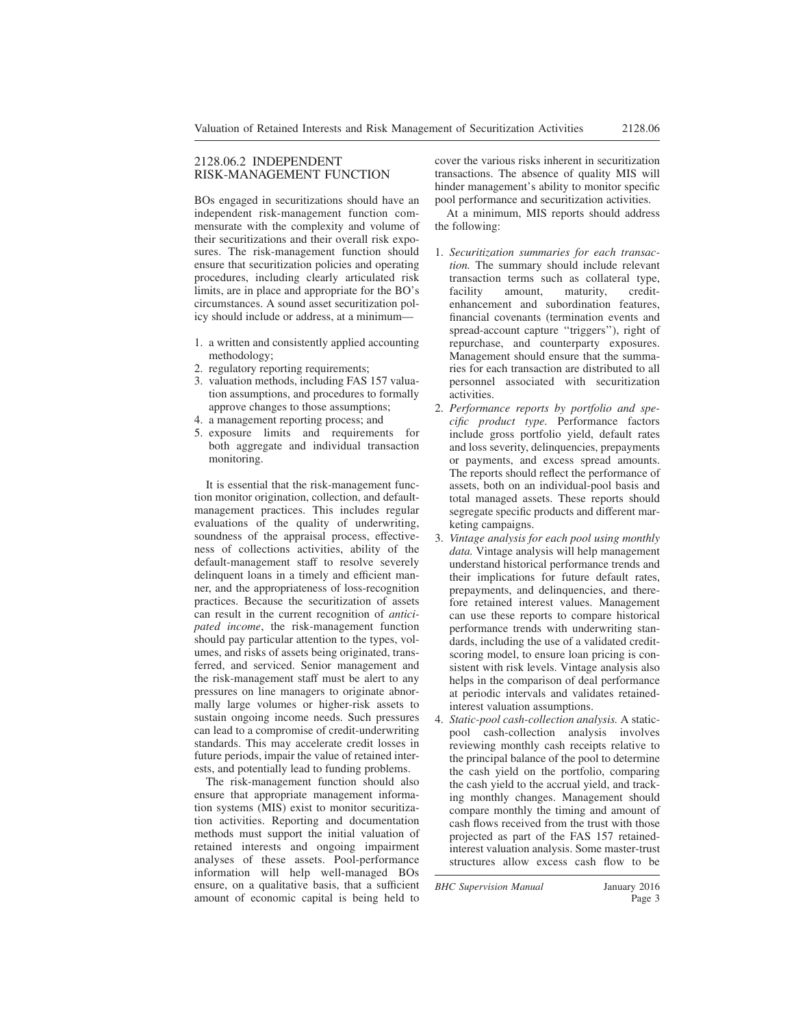### 2128.06.2 INDEPENDENT RISK-MANAGEMENT FUNCTION

BOs engaged in securitizations should have an independent risk-management function commensurate with the complexity and volume of their securitizations and their overall risk exposures. The risk-management function should ensure that securitization policies and operating procedures, including clearly articulated risk limits, are in place and appropriate for the BO's circumstances. A sound asset securitization policy should include or address, at a minimum—

- 1. a written and consistently applied accounting methodology;
- 2. regulatory reporting requirements;
- 3. valuation methods, including FAS 157 valuation assumptions, and procedures to formally approve changes to those assumptions;
- 4. a management reporting process; and
- 5. exposure limits and requirements for both aggregate and individual transaction monitoring.

It is essential that the risk-management function monitor origination, collection, and defaultmanagement practices. This includes regular evaluations of the quality of underwriting, soundness of the appraisal process, effectiveness of collections activities, ability of the default-management staff to resolve severely delinquent loans in a timely and efficient manner, and the appropriateness of loss-recognition practices. Because the securitization of assets can result in the current recognition of *anticipated income*, the risk-management function should pay particular attention to the types, volumes, and risks of assets being originated, transferred, and serviced. Senior management and the risk-management staff must be alert to any pressures on line managers to originate abnormally large volumes or higher-risk assets to sustain ongoing income needs. Such pressures can lead to a compromise of credit-underwriting standards. This may accelerate credit losses in future periods, impair the value of retained interests, and potentially lead to funding problems.

The risk-management function should also ensure that appropriate management information systems (MIS) exist to monitor securitization activities. Reporting and documentation methods must support the initial valuation of retained interests and ongoing impairment analyses of these assets. Pool-performance information will help well-managed BOs ensure, on a qualitative basis, that a sufficient amount of economic capital is being held to cover the various risks inherent in securitization transactions. The absence of quality MIS will hinder management's ability to monitor specific pool performance and securitization activities.

At a minimum, MIS reports should address the following:

- 1. *Securitization summaries for each transaction.* The summary should include relevant transaction terms such as collateral type, facility amount, maturity, creditenhancement and subordination features, financial covenants (termination events and spread-account capture ''triggers''), right of repurchase, and counterparty exposures. Management should ensure that the summaries for each transaction are distributed to all personnel associated with securitization activities.
- 2. *Performance reports by portfolio and specific product type.* Performance factors include gross portfolio yield, default rates and loss severity, delinquencies, prepayments or payments, and excess spread amounts. The reports should reflect the performance of assets, both on an individual-pool basis and total managed assets. These reports should segregate specific products and different marketing campaigns.
- 3. *Vintage analysis for each pool using monthly data.* Vintage analysis will help management understand historical performance trends and their implications for future default rates, prepayments, and delinquencies, and therefore retained interest values. Management can use these reports to compare historical performance trends with underwriting standards, including the use of a validated creditscoring model, to ensure loan pricing is consistent with risk levels. Vintage analysis also helps in the comparison of deal performance at periodic intervals and validates retainedinterest valuation assumptions.
- 4. *Static-pool cash-collection analysis.* A staticpool cash-collection analysis involves reviewing monthly cash receipts relative to the principal balance of the pool to determine the cash yield on the portfolio, comparing the cash yield to the accrual yield, and tracking monthly changes. Management should compare monthly the timing and amount of cash flows received from the trust with those projected as part of the FAS 157 retainedinterest valuation analysis. Some master-trust structures allow excess cash flow to be

*BHC Supervision Manual* January 2016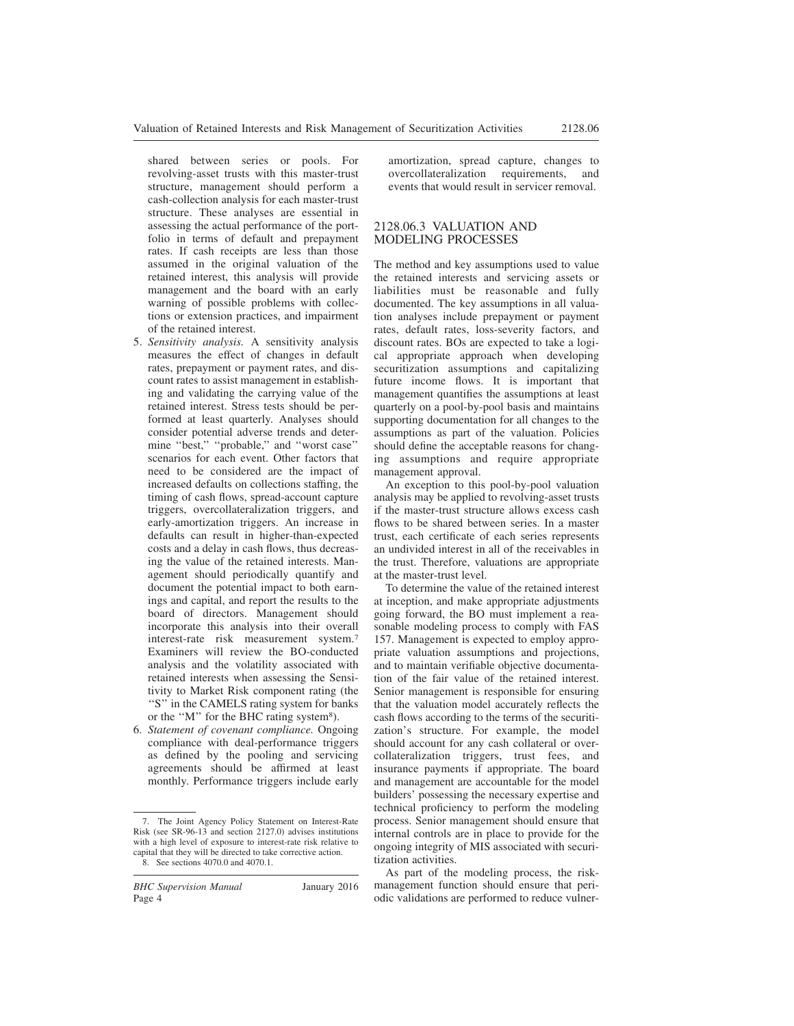shared between series or pools. For revolving-asset trusts with this master-trust structure, management should perform a cash-collection analysis for each master-trust structure. These analyses are essential in assessing the actual performance of the portfolio in terms of default and prepayment rates. If cash receipts are less than those assumed in the original valuation of the retained interest, this analysis will provide management and the board with an early warning of possible problems with collections or extension practices, and impairment of the retained interest.

- 5. *Sensitivity analysis.* A sensitivity analysis measures the effect of changes in default rates, prepayment or payment rates, and discount rates to assist management in establishing and validating the carrying value of the retained interest. Stress tests should be performed at least quarterly. Analyses should consider potential adverse trends and determine "best," "probable," and "worst case" scenarios for each event. Other factors that need to be considered are the impact of increased defaults on collections staffing, the timing of cash flows, spread-account capture triggers, overcollateralization triggers, and early-amortization triggers. An increase in defaults can result in higher-than-expected costs and a delay in cash flows, thus decreasing the value of the retained interests. Management should periodically quantify and document the potential impact to both earnings and capital, and report the results to the board of directors. Management should incorporate this analysis into their overall interest-rate risk measurement system.<sup>7</sup> Examiners will review the BO-conducted analysis and the volatility associated with retained interests when assessing the Sensitivity to Market Risk component rating (the ''S'' in the CAMELS rating system for banks or the "M" for the BHC rating system<sup>8</sup>).
- 6. *Statement of covenant compliance.* Ongoing compliance with deal-performance triggers as defined by the pooling and servicing agreements should be affirmed at least monthly. Performance triggers include early

*BHC Supervision Manual* January 2016 Page 4

amortization, spread capture, changes to overcollateralization requirements, and events that would result in servicer removal.

# 2128.06.3 VALUATION AND MODELING PROCESSES

The method and key assumptions used to value the retained interests and servicing assets or liabilities must be reasonable and fully documented. The key assumptions in all valuation analyses include prepayment or payment rates, default rates, loss-severity factors, and discount rates. BOs are expected to take a logical appropriate approach when developing securitization assumptions and capitalizing future income flows. It is important that management quantifies the assumptions at least quarterly on a pool-by-pool basis and maintains supporting documentation for all changes to the assumptions as part of the valuation. Policies should define the acceptable reasons for changing assumptions and require appropriate management approval.

An exception to this pool-by-pool valuation analysis may be applied to revolving-asset trusts if the master-trust structure allows excess cash flows to be shared between series. In a master trust, each certificate of each series represents an undivided interest in all of the receivables in the trust. Therefore, valuations are appropriate at the master-trust level.

To determine the value of the retained interest at inception, and make appropriate adjustments going forward, the BO must implement a reasonable modeling process to comply with FAS 157. Management is expected to employ appropriate valuation assumptions and projections, and to maintain verifiable objective documentation of the fair value of the retained interest. Senior management is responsible for ensuring that the valuation model accurately reflects the cash flows according to the terms of the securitization's structure. For example, the model should account for any cash collateral or overcollateralization triggers, trust fees, and insurance payments if appropriate. The board and management are accountable for the model builders' possessing the necessary expertise and technical proficiency to perform the modeling process. Senior management should ensure that internal controls are in place to provide for the ongoing integrity of MIS associated with securitization activities.

As part of the modeling process, the riskmanagement function should ensure that periodic validations are performed to reduce vulner-

<sup>7.</sup> The Joint Agency Policy Statement on Interest-Rate Risk (see SR-96-13 and section 2127.0) advises institutions with a high level of exposure to interest-rate risk relative to capital that they will be directed to take corrective action. 8. See sections 4070.0 and 4070.1.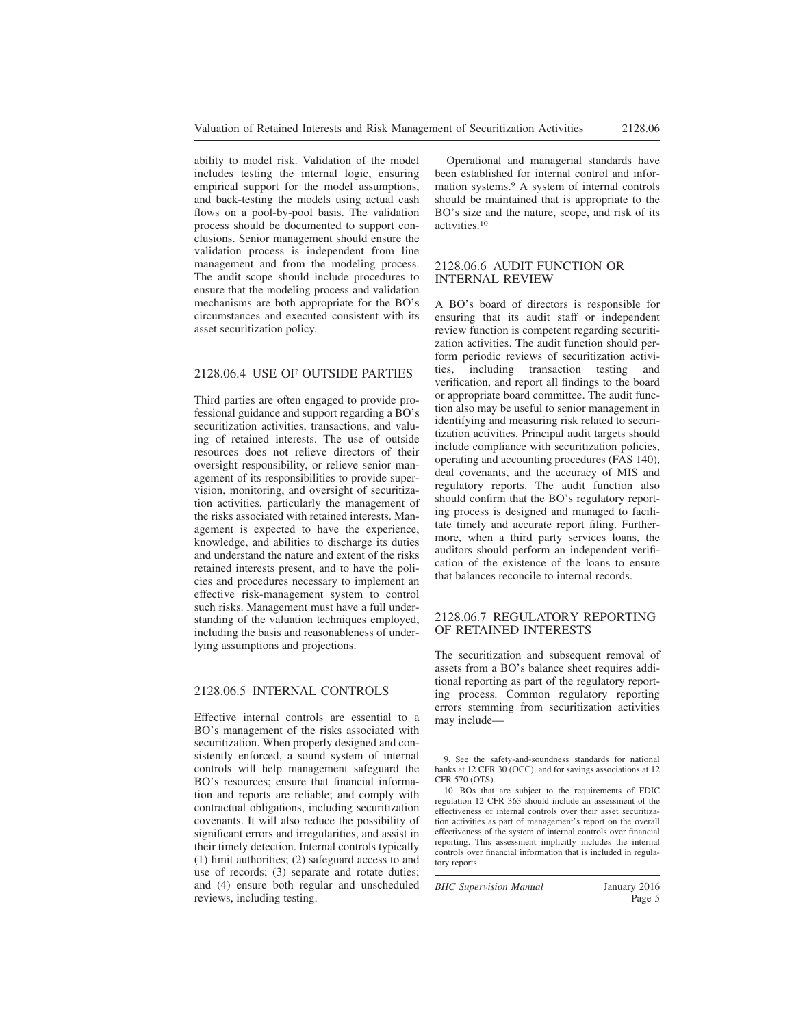ability to model risk. Validation of the model includes testing the internal logic, ensuring empirical support for the model assumptions, and back-testing the models using actual cash flows on a pool-by-pool basis. The validation process should be documented to support conclusions. Senior management should ensure the validation process is independent from line management and from the modeling process. The audit scope should include procedures to ensure that the modeling process and validation mechanisms are both appropriate for the BO's circumstances and executed consistent with its asset securitization policy.

#### 2128.06.4 USE OF OUTSIDE PARTIES

Third parties are often engaged to provide professional guidance and support regarding a BO's securitization activities, transactions, and valuing of retained interests. The use of outside resources does not relieve directors of their oversight responsibility, or relieve senior management of its responsibilities to provide supervision, monitoring, and oversight of securitization activities, particularly the management of the risks associated with retained interests. Management is expected to have the experience, knowledge, and abilities to discharge its duties and understand the nature and extent of the risks retained interests present, and to have the policies and procedures necessary to implement an effective risk-management system to control such risks. Management must have a full understanding of the valuation techniques employed, including the basis and reasonableness of underlying assumptions and projections.

#### 2128.06.5 INTERNAL CONTROLS

Effective internal controls are essential to a BO's management of the risks associated with securitization. When properly designed and consistently enforced, a sound system of internal controls will help management safeguard the BO's resources; ensure that financial information and reports are reliable; and comply with contractual obligations, including securitization covenants. It will also reduce the possibility of significant errors and irregularities, and assist in their timely detection. Internal controls typically (1) limit authorities; (2) safeguard access to and use of records; (3) separate and rotate duties; and (4) ensure both regular and unscheduled reviews, including testing.

Operational and managerial standards have been established for internal control and information systems.<sup>9</sup> A system of internal controls should be maintained that is appropriate to the BO's size and the nature, scope, and risk of its activities.<sup>10</sup>

#### 2128.06.6 AUDIT FUNCTION OR INTERNAL REVIEW

A BO's board of directors is responsible for ensuring that its audit staff or independent review function is competent regarding securitization activities. The audit function should perform periodic reviews of securitization activities, including transaction testing and verification, and report all findings to the board or appropriate board committee. The audit function also may be useful to senior management in identifying and measuring risk related to securitization activities. Principal audit targets should include compliance with securitization policies, operating and accounting procedures (FAS 140), deal covenants, and the accuracy of MIS and regulatory reports. The audit function also should confirm that the BO's regulatory reporting process is designed and managed to facilitate timely and accurate report filing. Furthermore, when a third party services loans, the auditors should perform an independent verification of the existence of the loans to ensure that balances reconcile to internal records.

#### 2128.06.7 REGULATORY REPORTING OF RETAINED INTERESTS

The securitization and subsequent removal of assets from a BO's balance sheet requires additional reporting as part of the regulatory reporting process. Common regulatory reporting errors stemming from securitization activities may include—

*BHC Supervision Manual* January 2016

<sup>9.</sup> See the safety-and-soundness standards for national banks at 12 CFR 30 (OCC), and for savings associations at 12 CFR 570 (OTS).

<sup>10.</sup> BOs that are subject to the requirements of FDIC regulation 12 CFR 363 should include an assessment of the effectiveness of internal controls over their asset securitization activities as part of management's report on the overall effectiveness of the system of internal controls over financial reporting. This assessment implicitly includes the internal controls over financial information that is included in regulatory reports.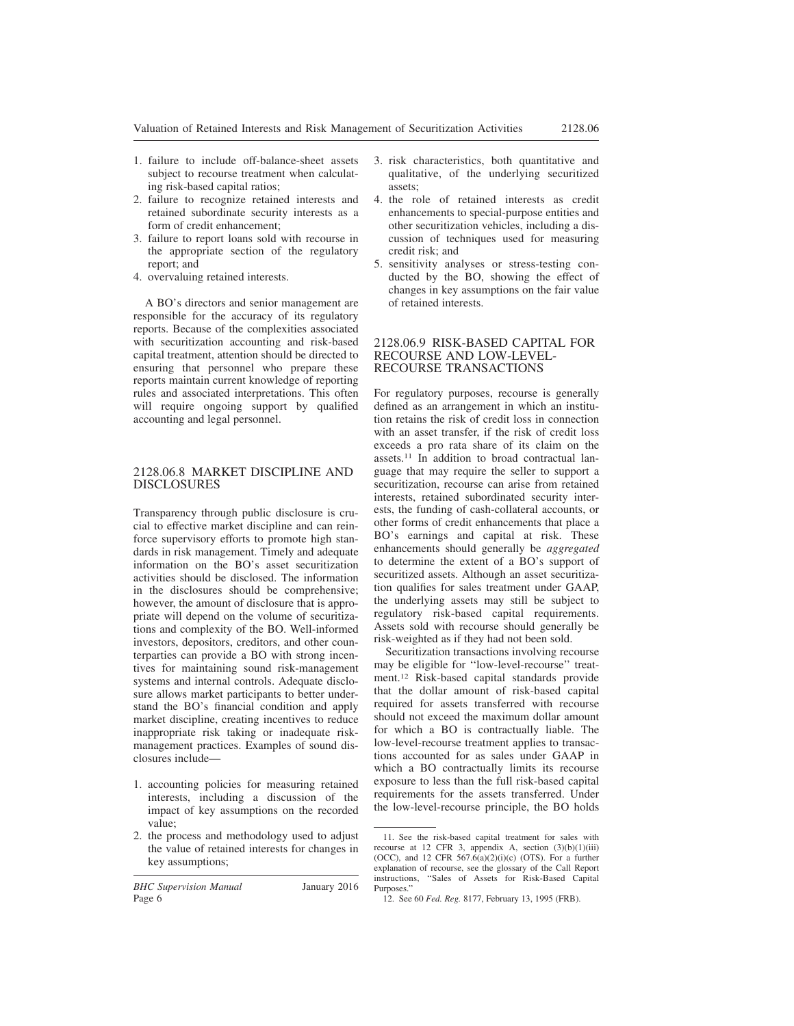- 1. failure to include off-balance-sheet assets subject to recourse treatment when calculating risk-based capital ratios;
- 2. failure to recognize retained interests and retained subordinate security interests as a form of credit enhancement;
- 3. failure to report loans sold with recourse in the appropriate section of the regulatory report; and
- 4. overvaluing retained interests.

A BO's directors and senior management are responsible for the accuracy of its regulatory reports. Because of the complexities associated with securitization accounting and risk-based capital treatment, attention should be directed to ensuring that personnel who prepare these reports maintain current knowledge of reporting rules and associated interpretations. This often will require ongoing support by qualified accounting and legal personnel.

### 2128.06.8 MARKET DISCIPLINE AND DISCLOSURES

Transparency through public disclosure is crucial to effective market discipline and can reinforce supervisory efforts to promote high standards in risk management. Timely and adequate information on the BO's asset securitization activities should be disclosed. The information in the disclosures should be comprehensive; however, the amount of disclosure that is appropriate will depend on the volume of securitizations and complexity of the BO. Well-informed investors, depositors, creditors, and other counterparties can provide a BO with strong incentives for maintaining sound risk-management systems and internal controls. Adequate disclosure allows market participants to better understand the BO's financial condition and apply market discipline, creating incentives to reduce inappropriate risk taking or inadequate riskmanagement practices. Examples of sound disclosures include—

- 1. accounting policies for measuring retained interests, including a discussion of the impact of key assumptions on the recorded value;
- 2. the process and methodology used to adjust the value of retained interests for changes in key assumptions;

*BHC Supervision Manual* January 2016 Page 6

- 3. risk characteristics, both quantitative and qualitative, of the underlying securitized assets;
- 4. the role of retained interests as credit enhancements to special-purpose entities and other securitization vehicles, including a discussion of techniques used for measuring credit risk; and
- 5. sensitivity analyses or stress-testing conducted by the BO, showing the effect of changes in key assumptions on the fair value of retained interests.

#### 2128.06.9 RISK-BASED CAPITAL FOR RECOURSE AND LOW-LEVEL-RECOURSE TRANSACTIONS

For regulatory purposes, recourse is generally defined as an arrangement in which an institution retains the risk of credit loss in connection with an asset transfer, if the risk of credit loss exceeds a pro rata share of its claim on the assets.<sup>11</sup> In addition to broad contractual language that may require the seller to support a securitization, recourse can arise from retained interests, retained subordinated security interests, the funding of cash-collateral accounts, or other forms of credit enhancements that place a BO's earnings and capital at risk. These enhancements should generally be *aggregated* to determine the extent of a BO's support of securitized assets. Although an asset securitization qualifies for sales treatment under GAAP, the underlying assets may still be subject to regulatory risk-based capital requirements. Assets sold with recourse should generally be risk-weighted as if they had not been sold.

Securitization transactions involving recourse may be eligible for ''low-level-recourse'' treatment.<sup>12</sup> Risk-based capital standards provide that the dollar amount of risk-based capital required for assets transferred with recourse should not exceed the maximum dollar amount for which a BO is contractually liable. The low-level-recourse treatment applies to transactions accounted for as sales under GAAP in which a BO contractually limits its recourse exposure to less than the full risk-based capital requirements for the assets transferred. Under the low-level-recourse principle, the BO holds

<sup>11.</sup> See the risk-based capital treatment for sales with recourse at 12 CFR 3, appendix A, section (3)(b)(1)(iii) (OCC), and 12 CFR  $567.6(a)(2)(i)(c)$  (OTS). For a further explanation of recourse, see the glossary of the Call Report instructions, ''Sales of Assets for Risk-Based Capital Purposes.''

<sup>12.</sup> See 60 *Fed. Reg.* 8177, February 13, 1995 (FRB).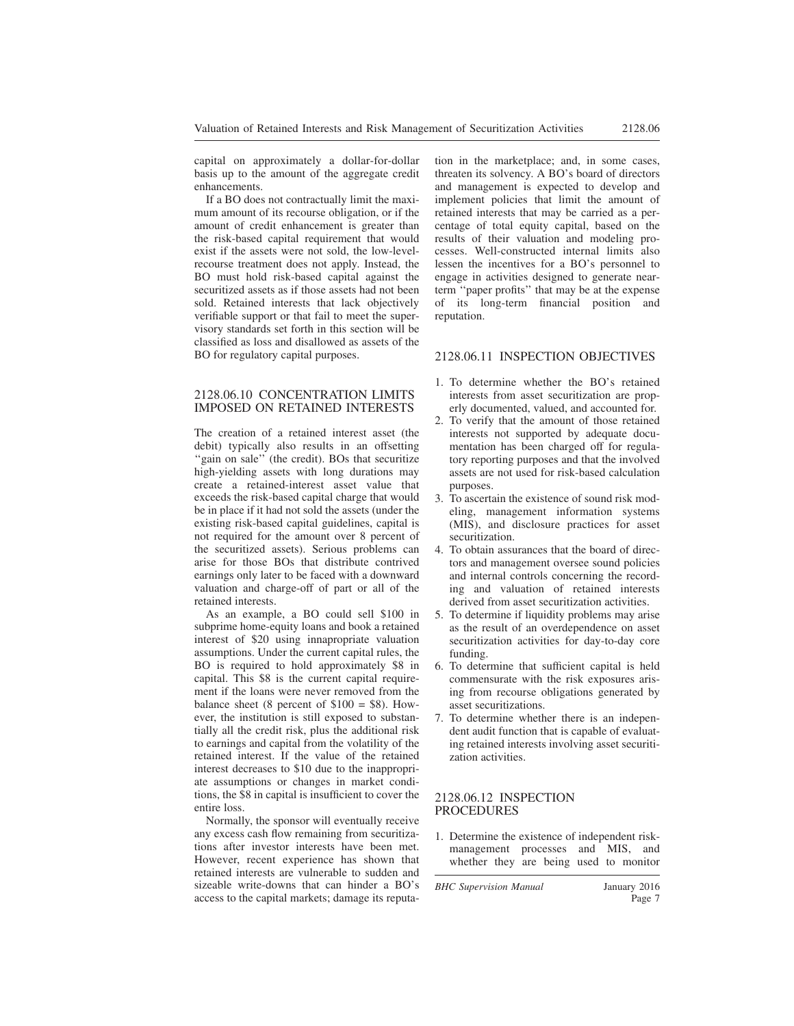capital on approximately a dollar-for-dollar basis up to the amount of the aggregate credit enhancements.

If a BO does not contractually limit the maximum amount of its recourse obligation, or if the amount of credit enhancement is greater than the risk-based capital requirement that would exist if the assets were not sold, the low-levelrecourse treatment does not apply. Instead, the BO must hold risk-based capital against the securitized assets as if those assets had not been sold. Retained interests that lack objectively verifiable support or that fail to meet the supervisory standards set forth in this section will be classified as loss and disallowed as assets of the BO for regulatory capital purposes.

#### 2128.06.10 CONCENTRATION LIMITS IMPOSED ON RETAINED INTERESTS

The creation of a retained interest asset (the debit) typically also results in an offsetting ''gain on sale'' (the credit). BOs that securitize high-yielding assets with long durations may create a retained-interest asset value that exceeds the risk-based capital charge that would be in place if it had not sold the assets (under the existing risk-based capital guidelines, capital is not required for the amount over 8 percent of the securitized assets). Serious problems can arise for those BOs that distribute contrived earnings only later to be faced with a downward valuation and charge-off of part or all of the retained interests.

As an example, a BO could sell \$100 in subprime home-equity loans and book a retained interest of \$20 using innapropriate valuation assumptions. Under the current capital rules, the BO is required to hold approximately \$8 in capital. This \$8 is the current capital requirement if the loans were never removed from the balance sheet (8 percent of  $$100 = $8$ ). However, the institution is still exposed to substantially all the credit risk, plus the additional risk to earnings and capital from the volatility of the retained interest. If the value of the retained interest decreases to \$10 due to the inappropriate assumptions or changes in market conditions, the \$8 in capital is insufficient to cover the entire loss.

Normally, the sponsor will eventually receive any excess cash flow remaining from securitizations after investor interests have been met. However, recent experience has shown that retained interests are vulnerable to sudden and sizeable write-downs that can hinder a BO's access to the capital markets; damage its reputation in the marketplace; and, in some cases, threaten its solvency. A BO's board of directors and management is expected to develop and implement policies that limit the amount of retained interests that may be carried as a percentage of total equity capital, based on the results of their valuation and modeling processes. Well-constructed internal limits also lessen the incentives for a BO's personnel to engage in activities designed to generate nearterm ''paper profits'' that may be at the expense of its long-term financial position and reputation.

#### 2128.06.11 INSPECTION OBJECTIVES

- 1. To determine whether the BO's retained interests from asset securitization are properly documented, valued, and accounted for.
- 2. To verify that the amount of those retained interests not supported by adequate documentation has been charged off for regulatory reporting purposes and that the involved assets are not used for risk-based calculation purposes.
- 3. To ascertain the existence of sound risk modeling, management information systems (MIS), and disclosure practices for asset securitization.
- 4. To obtain assurances that the board of directors and management oversee sound policies and internal controls concerning the recording and valuation of retained interests derived from asset securitization activities.
- 5. To determine if liquidity problems may arise as the result of an overdependence on asset securitization activities for day-to-day core funding.
- 6. To determine that sufficient capital is held commensurate with the risk exposures arising from recourse obligations generated by asset securitizations.
- 7. To determine whether there is an independent audit function that is capable of evaluating retained interests involving asset securitization activities.

#### 2128.06.12 INSPECTION PROCEDURES

1. Determine the existence of independent riskmanagement processes and MIS, and whether they are being used to monitor

*BHC Supervision Manual* January 2016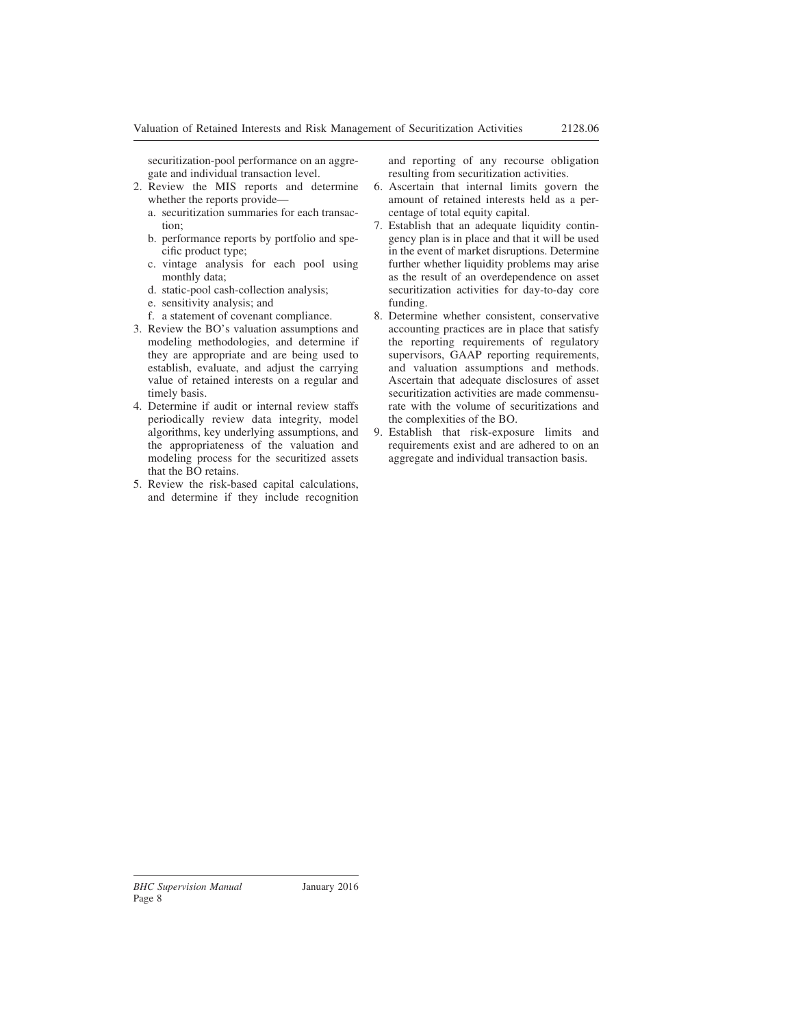securitization-pool performance on an aggregate and individual transaction level.

- 2. Review the MIS reports and determine whether the reports provide
	- a. securitization summaries for each transaction;
	- b. performance reports by portfolio and specific product type;
	- c. vintage analysis for each pool using monthly data;
	- d. static-pool cash-collection analysis;
	- e. sensitivity analysis; and
	- f. a statement of covenant compliance.
- 3. Review the BO's valuation assumptions and modeling methodologies, and determine if they are appropriate and are being used to establish, evaluate, and adjust the carrying value of retained interests on a regular and timely basis.
- 4. Determine if audit or internal review staffs periodically review data integrity, model algorithms, key underlying assumptions, and the appropriateness of the valuation and modeling process for the securitized assets that the BO retains.
- 5. Review the risk-based capital calculations, and determine if they include recognition

and reporting of any recourse obligation resulting from securitization activities.

- 6. Ascertain that internal limits govern the amount of retained interests held as a percentage of total equity capital.
- 7. Establish that an adequate liquidity contingency plan is in place and that it will be used in the event of market disruptions. Determine further whether liquidity problems may arise as the result of an overdependence on asset securitization activities for day-to-day core funding.
- 8. Determine whether consistent, conservative accounting practices are in place that satisfy the reporting requirements of regulatory supervisors, GAAP reporting requirements, and valuation assumptions and methods. Ascertain that adequate disclosures of asset securitization activities are made commensurate with the volume of securitizations and the complexities of the BO.
- 9. Establish that risk-exposure limits and requirements exist and are adhered to on an aggregate and individual transaction basis.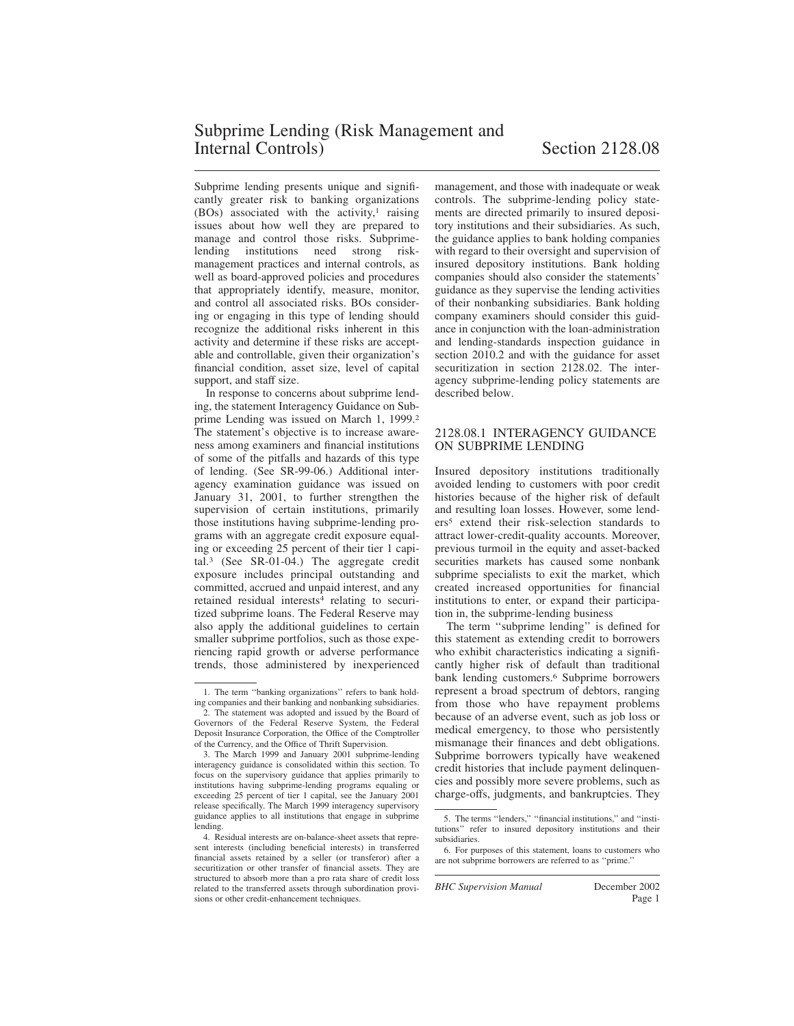Subprime lending presents unique and significantly greater risk to banking organizations  $(BOs)$  associated with the activity,<sup>1</sup> raising issues about how well they are prepared to manage and control those risks. Subprimelending institutions need strong riskmanagement practices and internal controls, as well as board-approved policies and procedures that appropriately identify, measure, monitor, and control all associated risks. BOs considering or engaging in this type of lending should recognize the additional risks inherent in this activity and determine if these risks are acceptable and controllable, given their organization's financial condition, asset size, level of capital support, and staff size.

In response to concerns about subprime lending, the statement Interagency Guidance on Subprime Lending was issued on March 1, 1999.<sup>2</sup> The statement's objective is to increase awareness among examiners and financial institutions of some of the pitfalls and hazards of this type of lending. (See SR-99-06.) Additional interagency examination guidance was issued on January 31, 2001, to further strengthen the supervision of certain institutions, primarily those institutions having subprime-lending programs with an aggregate credit exposure equaling or exceeding 25 percent of their tier 1 capital.<sup>3</sup> (See SR-01-04.) The aggregate credit exposure includes principal outstanding and committed, accrued and unpaid interest, and any retained residual interests<sup>4</sup> relating to securitized subprime loans. The Federal Reserve may also apply the additional guidelines to certain smaller subprime portfolios, such as those experiencing rapid growth or adverse performance trends, those administered by inexperienced management, and those with inadequate or weak controls. The subprime-lending policy statements are directed primarily to insured depository institutions and their subsidiaries. As such, the guidance applies to bank holding companies with regard to their oversight and supervision of insured depository institutions. Bank holding companies should also consider the statements' guidance as they supervise the lending activities of their nonbanking subsidiaries. Bank holding company examiners should consider this guidance in conjunction with the loan-administration and lending-standards inspection guidance in section 2010.2 and with the guidance for asset securitization in section 2128.02. The interagency subprime-lending policy statements are described below.

#### 2128.08.1 INTERAGENCY GUIDANCE ON SUBPRIME LENDING

Insured depository institutions traditionally avoided lending to customers with poor credit histories because of the higher risk of default and resulting loan losses. However, some lenders<sup>5</sup> extend their risk-selection standards to attract lower-credit-quality accounts. Moreover, previous turmoil in the equity and asset-backed securities markets has caused some nonbank subprime specialists to exit the market, which created increased opportunities for financial institutions to enter, or expand their participation in, the subprime-lending business

The term ''subprime lending'' is defined for this statement as extending credit to borrowers who exhibit characteristics indicating a significantly higher risk of default than traditional bank lending customers.<sup>6</sup> Subprime borrowers represent a broad spectrum of debtors, ranging from those who have repayment problems because of an adverse event, such as job loss or medical emergency, to those who persistently mismanage their finances and debt obligations. Subprime borrowers typically have weakened credit histories that include payment delinquencies and possibly more severe problems, such as charge-offs, judgments, and bankruptcies. They

<sup>1.</sup> The term ''banking organizations'' refers to bank holding companies and their banking and nonbanking subsidiaries.

<sup>2.</sup> The statement was adopted and issued by the Board of Governors of the Federal Reserve System, the Federal Deposit Insurance Corporation, the Office of the Comptroller of the Currency, and the Office of Thrift Supervision.

<sup>3.</sup> The March 1999 and January 2001 subprime-lending interagency guidance is consolidated within this section. To focus on the supervisory guidance that applies primarily to institutions having subprime-lending programs equaling or exceeding 25 percent of tier 1 capital, see the January 2001 release specifically. The March 1999 interagency supervisory guidance applies to all institutions that engage in subprime lending.

<sup>4.</sup> Residual interests are on-balance-sheet assets that represent interests (including beneficial interests) in transferred financial assets retained by a seller (or transferor) after a securitization or other transfer of financial assets. They are structured to absorb more than a pro rata share of credit loss related to the transferred assets through subordination provisions or other credit-enhancement techniques.

<sup>5.</sup> The terms ''lenders,'' ''financial institutions,'' and ''institutions'' refer to insured depository institutions and their subsidiaries.

<sup>6.</sup> For purposes of this statement, loans to customers who are not subprime borrowers are referred to as ''prime.''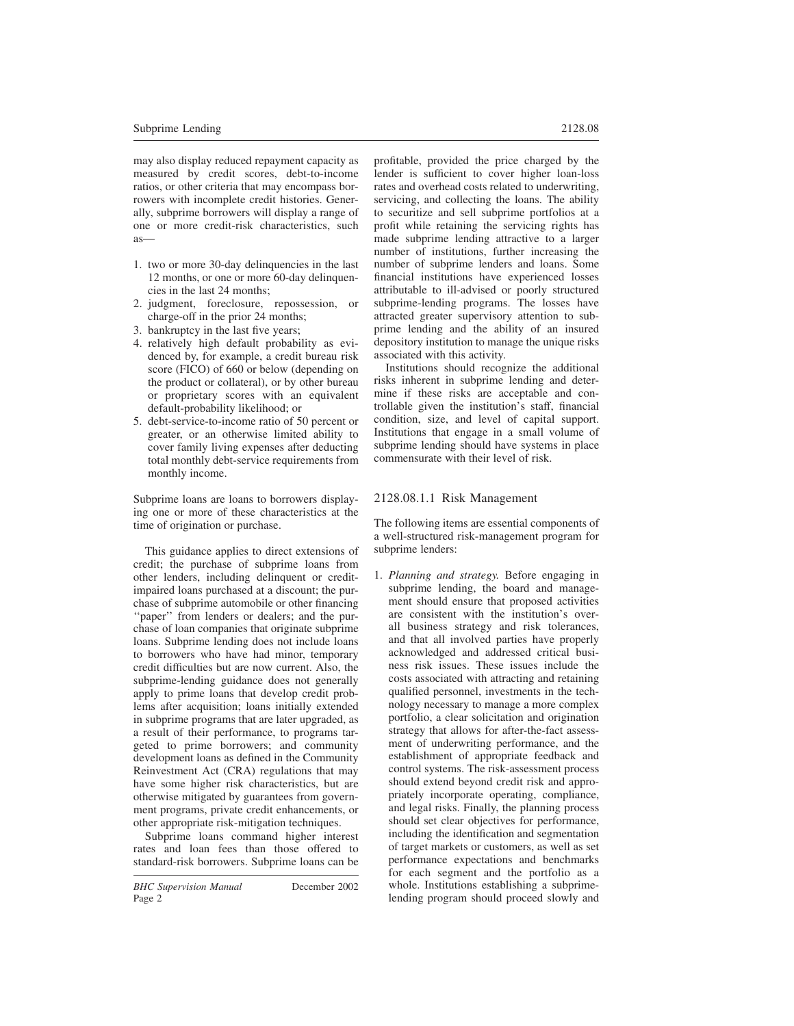may also display reduced repayment capacity as measured by credit scores, debt-to-income ratios, or other criteria that may encompass borrowers with incomplete credit histories. Generally, subprime borrowers will display a range of one or more credit-risk characteristics, such as—

- 1. two or more 30-day delinquencies in the last 12 months, or one or more 60-day delinquencies in the last 24 months;
- 2. judgment, foreclosure, repossession, or charge-off in the prior 24 months;
- 3. bankruptcy in the last five years;
- 4. relatively high default probability as evidenced by, for example, a credit bureau risk score (FICO) of 660 or below (depending on the product or collateral), or by other bureau or proprietary scores with an equivalent default-probability likelihood; or
- 5. debt-service-to-income ratio of 50 percent or greater, or an otherwise limited ability to cover family living expenses after deducting total monthly debt-service requirements from monthly income.

Subprime loans are loans to borrowers displaying one or more of these characteristics at the time of origination or purchase.

This guidance applies to direct extensions of credit; the purchase of subprime loans from other lenders, including delinquent or creditimpaired loans purchased at a discount; the purchase of subprime automobile or other financing ''paper'' from lenders or dealers; and the purchase of loan companies that originate subprime loans. Subprime lending does not include loans to borrowers who have had minor, temporary credit difficulties but are now current. Also, the subprime-lending guidance does not generally apply to prime loans that develop credit problems after acquisition; loans initially extended in subprime programs that are later upgraded, as a result of their performance, to programs targeted to prime borrowers; and community development loans as defined in the Community Reinvestment Act (CRA) regulations that may have some higher risk characteristics, but are otherwise mitigated by guarantees from government programs, private credit enhancements, or other appropriate risk-mitigation techniques.

Subprime loans command higher interest rates and loan fees than those offered to standard-risk borrowers. Subprime loans can be profitable, provided the price charged by the lender is sufficient to cover higher loan-loss rates and overhead costs related to underwriting, servicing, and collecting the loans. The ability to securitize and sell subprime portfolios at a profit while retaining the servicing rights has made subprime lending attractive to a larger number of institutions, further increasing the number of subprime lenders and loans. Some financial institutions have experienced losses attributable to ill-advised or poorly structured subprime-lending programs. The losses have attracted greater supervisory attention to subprime lending and the ability of an insured depository institution to manage the unique risks associated with this activity.

Institutions should recognize the additional risks inherent in subprime lending and determine if these risks are acceptable and controllable given the institution's staff, financial condition, size, and level of capital support. Institutions that engage in a small volume of subprime lending should have systems in place commensurate with their level of risk.

# 2128.08.1.1 Risk Management

The following items are essential components of a well-structured risk-management program for subprime lenders:

1. *Planning and strategy.* Before engaging in subprime lending, the board and management should ensure that proposed activities are consistent with the institution's overall business strategy and risk tolerances, and that all involved parties have properly acknowledged and addressed critical business risk issues. These issues include the costs associated with attracting and retaining qualified personnel, investments in the technology necessary to manage a more complex portfolio, a clear solicitation and origination strategy that allows for after-the-fact assessment of underwriting performance, and the establishment of appropriate feedback and control systems. The risk-assessment process should extend beyond credit risk and appropriately incorporate operating, compliance, and legal risks. Finally, the planning process should set clear objectives for performance, including the identification and segmentation of target markets or customers, as well as set performance expectations and benchmarks for each segment and the portfolio as a whole. Institutions establishing a subprimelending program should proceed slowly and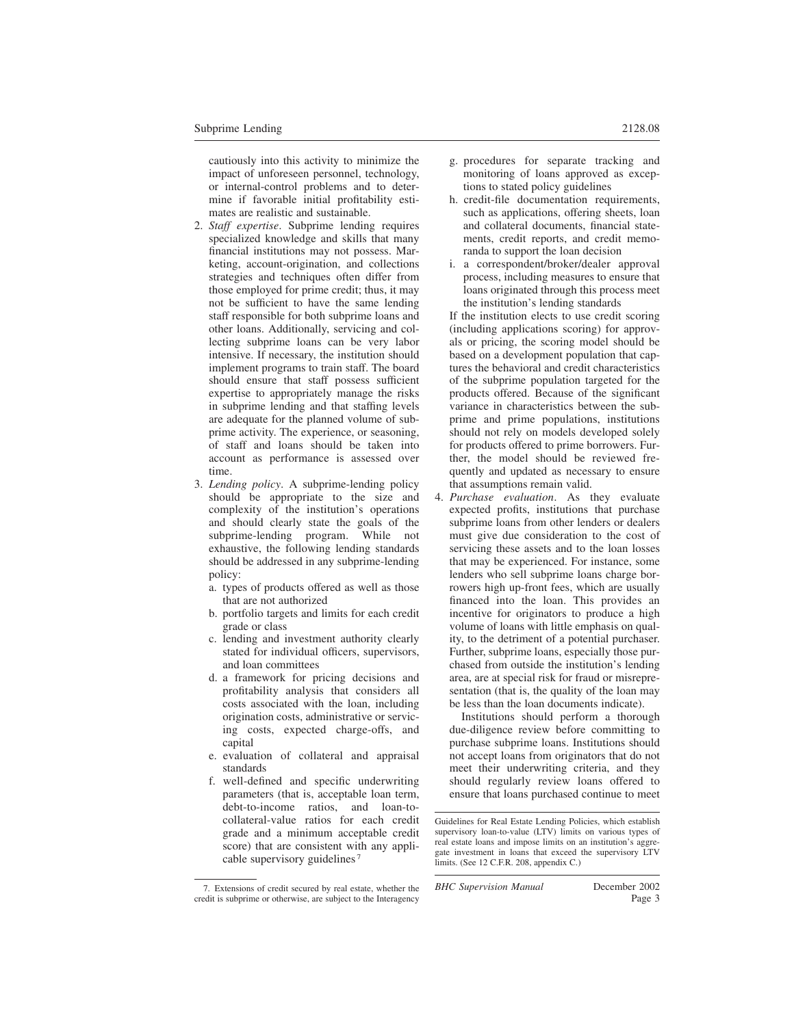cautiously into this activity to minimize the impact of unforeseen personnel, technology, or internal-control problems and to determine if favorable initial profitability estimates are realistic and sustainable.

- 2. *Staff expertise*. Subprime lending requires specialized knowledge and skills that many financial institutions may not possess. Marketing, account-origination, and collections strategies and techniques often differ from those employed for prime credit; thus, it may not be sufficient to have the same lending staff responsible for both subprime loans and other loans. Additionally, servicing and collecting subprime loans can be very labor intensive. If necessary, the institution should implement programs to train staff. The board should ensure that staff possess sufficient expertise to appropriately manage the risks in subprime lending and that staffing levels are adequate for the planned volume of subprime activity. The experience, or seasoning, of staff and loans should be taken into account as performance is assessed over time.
- 3. *Lending policy*. A subprime-lending policy should be appropriate to the size and complexity of the institution's operations and should clearly state the goals of the subprime-lending program. While not exhaustive, the following lending standards should be addressed in any subprime-lending policy:
	- a. types of products offered as well as those that are not authorized
	- b. portfolio targets and limits for each credit grade or class
	- c. lending and investment authority clearly stated for individual officers, supervisors, and loan committees
	- d. a framework for pricing decisions and profitability analysis that considers all costs associated with the loan, including origination costs, administrative or servicing costs, expected charge-offs, and capital
	- e. evaluation of collateral and appraisal standards
	- f. well-defined and specific underwriting parameters (that is, acceptable loan term, debt-to-income ratios, and loan-tocollateral-value ratios for each credit grade and a minimum acceptable credit score) that are consistent with any applicable supervisory guidelines <sup>7</sup>
- g. procedures for separate tracking and monitoring of loans approved as exceptions to stated policy guidelines
- h. credit-file documentation requirements, such as applications, offering sheets, loan and collateral documents, financial statements, credit reports, and credit memoranda to support the loan decision
- i. a correspondent/broker/dealer approval process, including measures to ensure that loans originated through this process meet the institution's lending standards

If the institution elects to use credit scoring (including applications scoring) for approvals or pricing, the scoring model should be based on a development population that captures the behavioral and credit characteristics of the subprime population targeted for the products offered. Because of the significant variance in characteristics between the subprime and prime populations, institutions should not rely on models developed solely for products offered to prime borrowers. Further, the model should be reviewed frequently and updated as necessary to ensure that assumptions remain valid.

4. *Purchase evaluation*. As they evaluate expected profits, institutions that purchase subprime loans from other lenders or dealers must give due consideration to the cost of servicing these assets and to the loan losses that may be experienced. For instance, some lenders who sell subprime loans charge borrowers high up-front fees, which are usually financed into the loan. This provides an incentive for originators to produce a high volume of loans with little emphasis on quality, to the detriment of a potential purchaser. Further, subprime loans, especially those purchased from outside the institution's lending area, are at special risk for fraud or misrepresentation (that is, the quality of the loan may be less than the loan documents indicate).

Institutions should perform a thorough due-diligence review before committing to purchase subprime loans. Institutions should not accept loans from originators that do not meet their underwriting criteria, and they should regularly review loans offered to ensure that loans purchased continue to meet

<sup>7.</sup> Extensions of credit secured by real estate, whether the credit is subprime or otherwise, are subject to the Interagency

Guidelines for Real Estate Lending Policies, which establish supervisory loan-to-value (LTV) limits on various types of real estate loans and impose limits on an institution's aggregate investment in loans that exceed the supervisory LTV limits. (See 12 C.F.R. 208, appendix C.)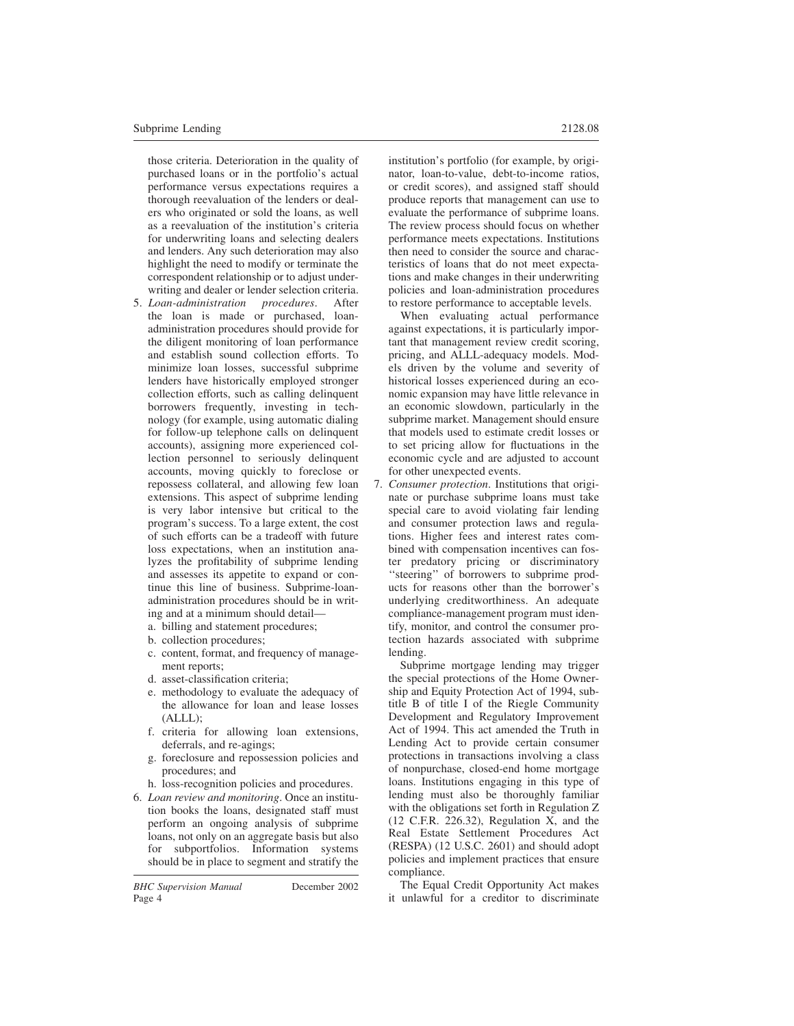those criteria. Deterioration in the quality of purchased loans or in the portfolio's actual performance versus expectations requires a thorough reevaluation of the lenders or dealers who originated or sold the loans, as well as a reevaluation of the institution's criteria for underwriting loans and selecting dealers and lenders. Any such deterioration may also highlight the need to modify or terminate the correspondent relationship or to adjust underwriting and dealer or lender selection criteria.<br>Loan-administration procedures. After

- 5. *Loan-administration procedures*. After the loan is made or purchased, loanadministration procedures should provide for the diligent monitoring of loan performance and establish sound collection efforts. To minimize loan losses, successful subprime lenders have historically employed stronger collection efforts, such as calling delinquent borrowers frequently, investing in technology (for example, using automatic dialing for follow-up telephone calls on delinquent accounts), assigning more experienced collection personnel to seriously delinquent accounts, moving quickly to foreclose or repossess collateral, and allowing few loan extensions. This aspect of subprime lending is very labor intensive but critical to the program's success. To a large extent, the cost of such efforts can be a tradeoff with future loss expectations, when an institution analyzes the profitability of subprime lending and assesses its appetite to expand or continue this line of business. Subprime-loanadministration procedures should be in writing and at a minimum should detail
	- a. billing and statement procedures;
	- b. collection procedures;
	- c. content, format, and frequency of management reports;
	- d. asset-classification criteria;
	- e. methodology to evaluate the adequacy of the allowance for loan and lease losses (ALLL);
	- f. criteria for allowing loan extensions, deferrals, and re-agings;
	- g. foreclosure and repossession policies and procedures; and
	- h. loss-recognition policies and procedures.
- 6. *Loan review and monitoring*. Once an institution books the loans, designated staff must perform an ongoing analysis of subprime loans, not only on an aggregate basis but also for subportfolios. Information systems should be in place to segment and stratify the

to restore performance to acceptable levels. When evaluating actual performance against expectations, it is particularly important that management review credit scoring, pricing, and ALLL-adequacy models. Models driven by the volume and severity of historical losses experienced during an economic expansion may have little relevance in an economic slowdown, particularly in the subprime market. Management should ensure that models used to estimate credit losses or to set pricing allow for fluctuations in the economic cycle and are adjusted to account for other unexpected events.

teristics of loans that do not meet expectations and make changes in their underwriting policies and loan-administration procedures

7. *Consumer protection*. Institutions that originate or purchase subprime loans must take special care to avoid violating fair lending and consumer protection laws and regulations. Higher fees and interest rates combined with compensation incentives can foster predatory pricing or discriminatory "steering" of borrowers to subprime products for reasons other than the borrower's underlying creditworthiness. An adequate compliance-management program must identify, monitor, and control the consumer protection hazards associated with subprime lending.

Subprime mortgage lending may trigger the special protections of the Home Ownership and Equity Protection Act of 1994, subtitle B of title I of the Riegle Community Development and Regulatory Improvement Act of 1994. This act amended the Truth in Lending Act to provide certain consumer protections in transactions involving a class of nonpurchase, closed-end home mortgage loans. Institutions engaging in this type of lending must also be thoroughly familiar with the obligations set forth in Regulation Z (12 C.F.R. 226.32), Regulation X, and the Real Estate Settlement Procedures Act (RESPA) (12 U.S.C. 2601) and should adopt policies and implement practices that ensure compliance.

The Equal Credit Opportunity Act makes it unlawful for a creditor to discriminate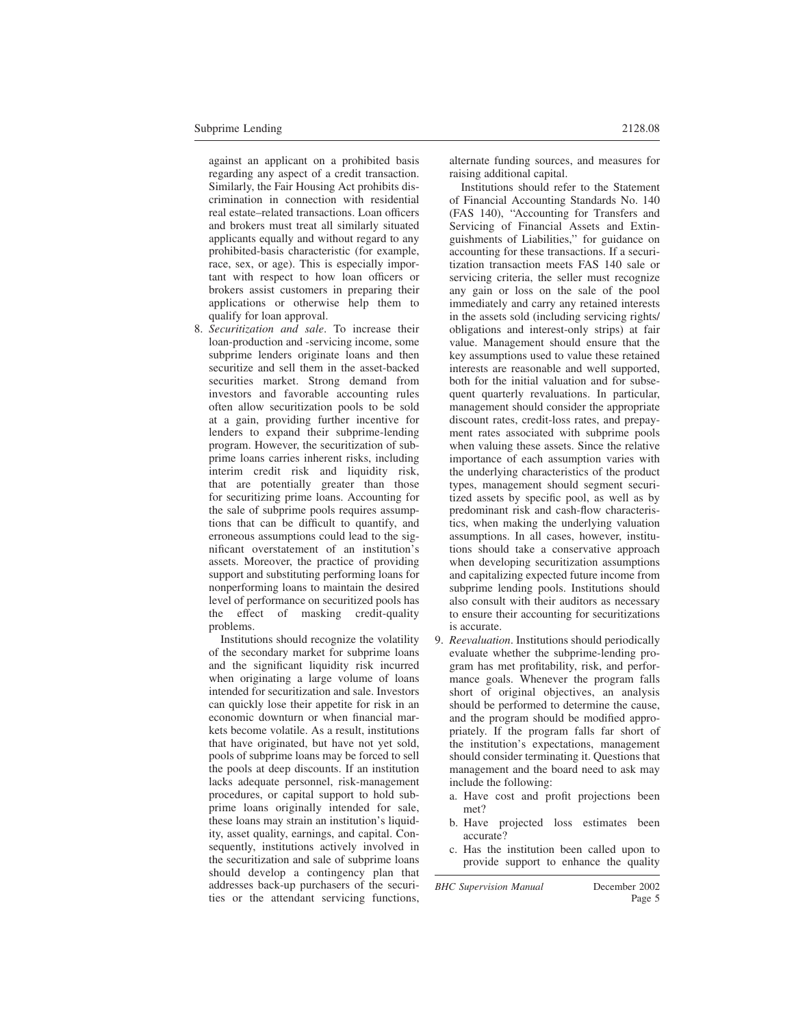against an applicant on a prohibited basis regarding any aspect of a credit transaction. Similarly, the Fair Housing Act prohibits discrimination in connection with residential real estate–related transactions. Loan officers and brokers must treat all similarly situated applicants equally and without regard to any prohibited-basis characteristic (for example, race, sex, or age). This is especially important with respect to how loan officers or brokers assist customers in preparing their applications or otherwise help them to qualify for loan approval.

8. *Securitization and sale*. To increase their loan-production and -servicing income, some subprime lenders originate loans and then securitize and sell them in the asset-backed securities market. Strong demand from investors and favorable accounting rules often allow securitization pools to be sold at a gain, providing further incentive for lenders to expand their subprime-lending program. However, the securitization of subprime loans carries inherent risks, including interim credit risk and liquidity risk, that are potentially greater than those for securitizing prime loans. Accounting for the sale of subprime pools requires assumptions that can be difficult to quantify, and erroneous assumptions could lead to the significant overstatement of an institution's assets. Moreover, the practice of providing support and substituting performing loans for nonperforming loans to maintain the desired level of performance on securitized pools has the effect of masking credit-quality problems.

Institutions should recognize the volatility of the secondary market for subprime loans and the significant liquidity risk incurred when originating a large volume of loans intended for securitization and sale. Investors can quickly lose their appetite for risk in an economic downturn or when financial markets become volatile. As a result, institutions that have originated, but have not yet sold, pools of subprime loans may be forced to sell the pools at deep discounts. If an institution lacks adequate personnel, risk-management procedures, or capital support to hold subprime loans originally intended for sale, these loans may strain an institution's liquidity, asset quality, earnings, and capital. Consequently, institutions actively involved in the securitization and sale of subprime loans should develop a contingency plan that addresses back-up purchasers of the securities or the attendant servicing functions, alternate funding sources, and measures for raising additional capital.

Institutions should refer to the Statement of Financial Accounting Standards No. 140 (FAS 140), ''Accounting for Transfers and Servicing of Financial Assets and Extinguishments of Liabilities,'' for guidance on accounting for these transactions. If a securitization transaction meets FAS 140 sale or servicing criteria, the seller must recognize any gain or loss on the sale of the pool immediately and carry any retained interests in the assets sold (including servicing rights/ obligations and interest-only strips) at fair value. Management should ensure that the key assumptions used to value these retained interests are reasonable and well supported, both for the initial valuation and for subsequent quarterly revaluations. In particular, management should consider the appropriate discount rates, credit-loss rates, and prepayment rates associated with subprime pools when valuing these assets. Since the relative importance of each assumption varies with the underlying characteristics of the product types, management should segment securitized assets by specific pool, as well as by predominant risk and cash-flow characteristics, when making the underlying valuation assumptions. In all cases, however, institutions should take a conservative approach when developing securitization assumptions and capitalizing expected future income from subprime lending pools. Institutions should also consult with their auditors as necessary to ensure their accounting for securitizations is accurate.

- 9. *Reevaluation*. Institutions should periodically evaluate whether the subprime-lending program has met profitability, risk, and performance goals. Whenever the program falls short of original objectives, an analysis should be performed to determine the cause, and the program should be modified appropriately. If the program falls far short of the institution's expectations, management should consider terminating it. Questions that management and the board need to ask may include the following:
	- a. Have cost and profit projections been met?
	- b. Have projected loss estimates been accurate?
	- c. Has the institution been called upon to provide support to enhance the quality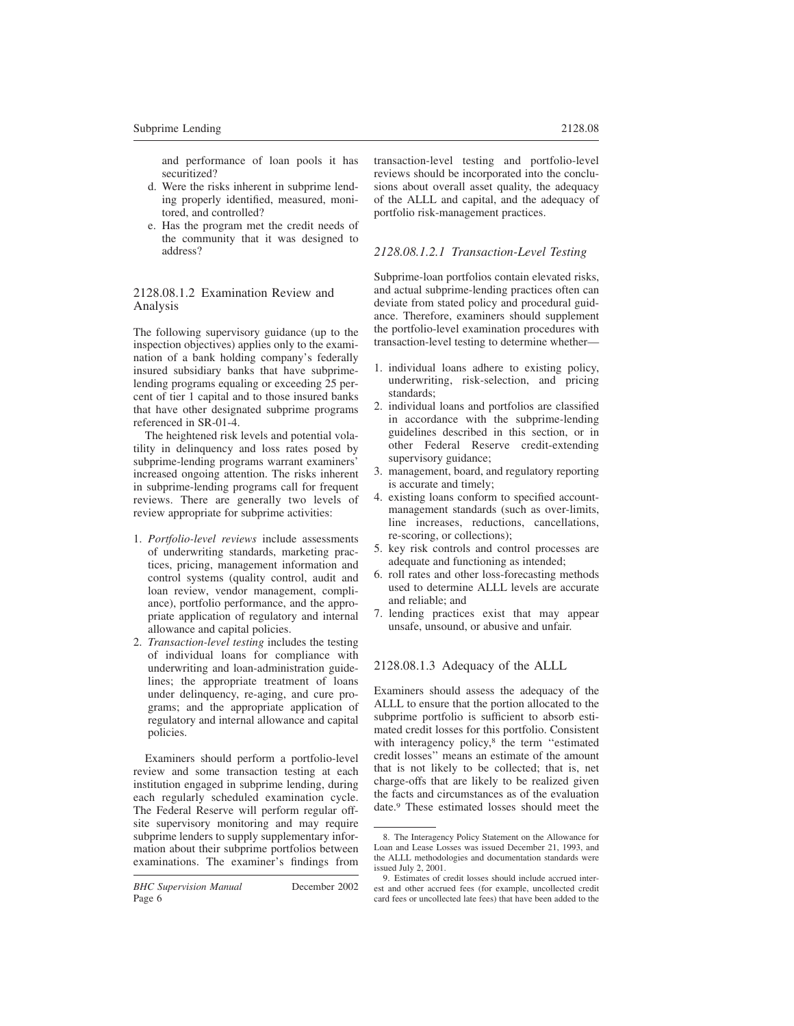and performance of loan pools it has securitized?

- d. Were the risks inherent in subprime lending properly identified, measured, monitored, and controlled?
- e. Has the program met the credit needs of the community that it was designed to address?

# 2128.08.1.2 Examination Review and Analysis

The following supervisory guidance (up to the inspection objectives) applies only to the examination of a bank holding company's federally insured subsidiary banks that have subprimelending programs equaling or exceeding 25 percent of tier 1 capital and to those insured banks that have other designated subprime programs referenced in SR-01-4.

The heightened risk levels and potential volatility in delinquency and loss rates posed by subprime-lending programs warrant examiners' increased ongoing attention. The risks inherent in subprime-lending programs call for frequent reviews. There are generally two levels of review appropriate for subprime activities:

- 1. *Portfolio-level reviews* include assessments of underwriting standards, marketing practices, pricing, management information and control systems (quality control, audit and loan review, vendor management, compliance), portfolio performance, and the appropriate application of regulatory and internal allowance and capital policies.
- 2. *Transaction-level testing* includes the testing of individual loans for compliance with underwriting and loan-administration guidelines; the appropriate treatment of loans under delinquency, re-aging, and cure programs; and the appropriate application of regulatory and internal allowance and capital policies.

Examiners should perform a portfolio-level review and some transaction testing at each institution engaged in subprime lending, during each regularly scheduled examination cycle. The Federal Reserve will perform regular offsite supervisory monitoring and may require subprime lenders to supply supplementary information about their subprime portfolios between examinations. The examiner's findings from transaction-level testing and portfolio-level reviews should be incorporated into the conclusions about overall asset quality, the adequacy of the ALLL and capital, and the adequacy of portfolio risk-management practices.

# *2128.08.1.2.1 Transaction-Level Testing*

Subprime-loan portfolios contain elevated risks, and actual subprime-lending practices often can deviate from stated policy and procedural guidance. Therefore, examiners should supplement the portfolio-level examination procedures with transaction-level testing to determine whether—

- 1. individual loans adhere to existing policy, underwriting, risk-selection, and pricing standards;
- 2. individual loans and portfolios are classified in accordance with the subprime-lending guidelines described in this section, or in other Federal Reserve credit-extending supervisory guidance;
- 3. management, board, and regulatory reporting is accurate and timely;
- 4. existing loans conform to specified accountmanagement standards (such as over-limits, line increases, reductions, cancellations, re-scoring, or collections);
- 5. key risk controls and control processes are adequate and functioning as intended;
- 6. roll rates and other loss-forecasting methods used to determine ALLL levels are accurate and reliable; and
- 7. lending practices exist that may appear unsafe, unsound, or abusive and unfair.

# 2128.08.1.3 Adequacy of the ALLL

Examiners should assess the adequacy of the ALLL to ensure that the portion allocated to the subprime portfolio is sufficient to absorb estimated credit losses for this portfolio. Consistent with interagency policy,<sup>8</sup> the term "estimated credit losses'' means an estimate of the amount that is not likely to be collected; that is, net charge-offs that are likely to be realized given the facts and circumstances as of the evaluation date.<sup>9</sup> These estimated losses should meet the

<sup>8.</sup> The Interagency Policy Statement on the Allowance for Loan and Lease Losses was issued December 21, 1993, and the ALLL methodologies and documentation standards were issued July 2, 2001.

<sup>9.</sup> Estimates of credit losses should include accrued interest and other accrued fees (for example, uncollected credit card fees or uncollected late fees) that have been added to the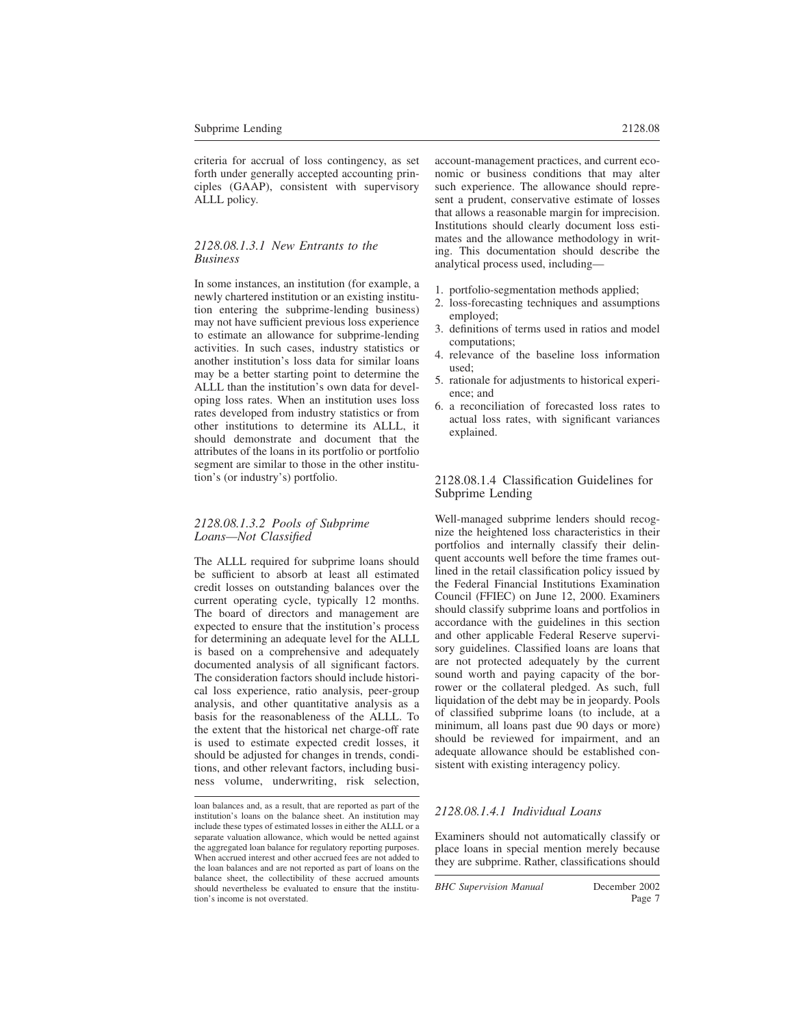criteria for accrual of loss contingency, as set forth under generally accepted accounting principles (GAAP), consistent with supervisory ALLL policy.

#### *2128.08.1.3.1 New Entrants to the Business*

In some instances, an institution (for example, a newly chartered institution or an existing institution entering the subprime-lending business) may not have sufficient previous loss experience to estimate an allowance for subprime-lending activities. In such cases, industry statistics or another institution's loss data for similar loans may be a better starting point to determine the ALLL than the institution's own data for developing loss rates. When an institution uses loss rates developed from industry statistics or from other institutions to determine its ALLL, it should demonstrate and document that the attributes of the loans in its portfolio or portfolio segment are similar to those in the other institution's (or industry's) portfolio.

#### *2128.08.1.3.2 Pools of Subprime Loans—Not Classified*

The ALLL required for subprime loans should be sufficient to absorb at least all estimated credit losses on outstanding balances over the current operating cycle, typically 12 months. The board of directors and management are expected to ensure that the institution's process for determining an adequate level for the ALLL is based on a comprehensive and adequately documented analysis of all significant factors. The consideration factors should include historical loss experience, ratio analysis, peer-group analysis, and other quantitative analysis as a basis for the reasonableness of the ALLL. To the extent that the historical net charge-off rate is used to estimate expected credit losses, it should be adjusted for changes in trends, conditions, and other relevant factors, including business volume, underwriting, risk selection, account-management practices, and current economic or business conditions that may alter such experience. The allowance should represent a prudent, conservative estimate of losses that allows a reasonable margin for imprecision. Institutions should clearly document loss estimates and the allowance methodology in writing. This documentation should describe the analytical process used, including—

- 1. portfolio-segmentation methods applied;
- 2. loss-forecasting techniques and assumptions employed;
- 3. definitions of terms used in ratios and model computations;
- 4. relevance of the baseline loss information used;
- 5. rationale for adjustments to historical experience; and
- 6. a reconciliation of forecasted loss rates to actual loss rates, with significant variances explained.

## 2128.08.1.4 Classification Guidelines for Subprime Lending

Well-managed subprime lenders should recognize the heightened loss characteristics in their portfolios and internally classify their delinquent accounts well before the time frames outlined in the retail classification policy issued by the Federal Financial Institutions Examination Council (FFIEC) on June 12, 2000. Examiners should classify subprime loans and portfolios in accordance with the guidelines in this section and other applicable Federal Reserve supervisory guidelines. Classified loans are loans that are not protected adequately by the current sound worth and paying capacity of the borrower or the collateral pledged. As such, full liquidation of the debt may be in jeopardy. Pools of classified subprime loans (to include, at a minimum, all loans past due 90 days or more) should be reviewed for impairment, and an adequate allowance should be established consistent with existing interagency policy.

#### *2128.08.1.4.1 Individual Loans*

Examiners should not automatically classify or place loans in special mention merely because they are subprime. Rather, classifications should

loan balances and, as a result, that are reported as part of the institution's loans on the balance sheet. An institution may include these types of estimated losses in either the ALLL or a separate valuation allowance, which would be netted against the aggregated loan balance for regulatory reporting purposes. When accrued interest and other accrued fees are not added to the loan balances and are not reported as part of loans on the balance sheet, the collectibility of these accrued amounts should nevertheless be evaluated to ensure that the institution's income is not overstated.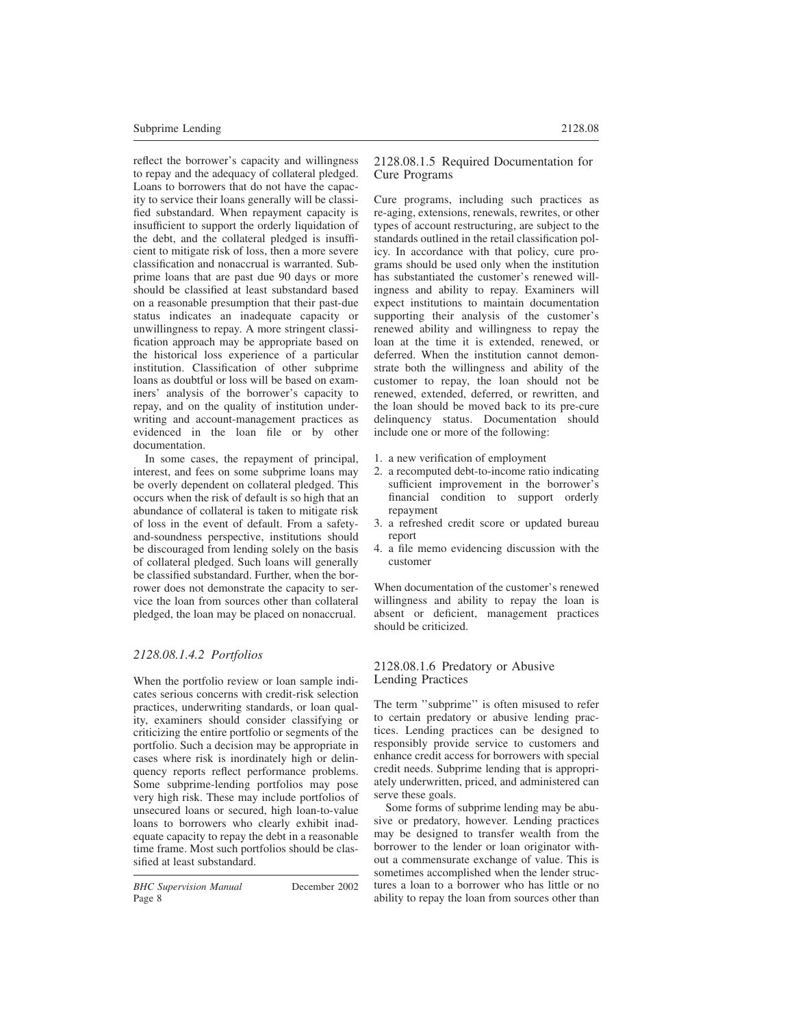reflect the borrower's capacity and willingness to repay and the adequacy of collateral pledged. Loans to borrowers that do not have the capacity to service their loans generally will be classified substandard. When repayment capacity is insufficient to support the orderly liquidation of the debt, and the collateral pledged is insufficient to mitigate risk of loss, then a more severe classification and nonaccrual is warranted. Subprime loans that are past due 90 days or more should be classified at least substandard based on a reasonable presumption that their past-due status indicates an inadequate capacity or unwillingness to repay. A more stringent classification approach may be appropriate based on the historical loss experience of a particular institution. Classification of other subprime loans as doubtful or loss will be based on examiners' analysis of the borrower's capacity to repay, and on the quality of institution underwriting and account-management practices as evidenced in the loan file or by other documentation.

In some cases, the repayment of principal, interest, and fees on some subprime loans may be overly dependent on collateral pledged. This occurs when the risk of default is so high that an abundance of collateral is taken to mitigate risk of loss in the event of default. From a safetyand-soundness perspective, institutions should be discouraged from lending solely on the basis of collateral pledged. Such loans will generally be classified substandard. Further, when the borrower does not demonstrate the capacity to service the loan from sources other than collateral pledged, the loan may be placed on nonaccrual.

# *2128.08.1.4.2 Portfolios*

When the portfolio review or loan sample indicates serious concerns with credit-risk selection practices, underwriting standards, or loan quality, examiners should consider classifying or criticizing the entire portfolio or segments of the portfolio. Such a decision may be appropriate in cases where risk is inordinately high or delinquency reports reflect performance problems. Some subprime-lending portfolios may pose very high risk. These may include portfolios of unsecured loans or secured, high loan-to-value loans to borrowers who clearly exhibit inadequate capacity to repay the debt in a reasonable time frame. Most such portfolios should be classified at least substandard.

Cure programs, including such practices as re-aging, extensions, renewals, rewrites, or other types of account restructuring, are subject to the standards outlined in the retail classification policy. In accordance with that policy, cure programs should be used only when the institution has substantiated the customer's renewed willingness and ability to repay. Examiners will expect institutions to maintain documentation supporting their analysis of the customer's renewed ability and willingness to repay the loan at the time it is extended, renewed, or deferred. When the institution cannot demonstrate both the willingness and ability of the customer to repay, the loan should not be renewed, extended, deferred, or rewritten, and the loan should be moved back to its pre-cure delinquency status. Documentation should include one or more of the following:

- 1. a new verification of employment
- 2. a recomputed debt-to-income ratio indicating sufficient improvement in the borrower's financial condition to support orderly repayment
- 3. a refreshed credit score or updated bureau report
- 4. a file memo evidencing discussion with the customer

When documentation of the customer's renewed willingness and ability to repay the loan is absent or deficient, management practices should be criticized.

## 2128.08.1.6 Predatory or Abusive Lending Practices

The term ''subprime'' is often misused to refer to certain predatory or abusive lending practices. Lending practices can be designed to responsibly provide service to customers and enhance credit access for borrowers with special credit needs. Subprime lending that is appropriately underwritten, priced, and administered can serve these goals.

Some forms of subprime lending may be abusive or predatory, however. Lending practices may be designed to transfer wealth from the borrower to the lender or loan originator without a commensurate exchange of value. This is sometimes accomplished when the lender structures a loan to a borrower who has little or no ability to repay the loan from sources other than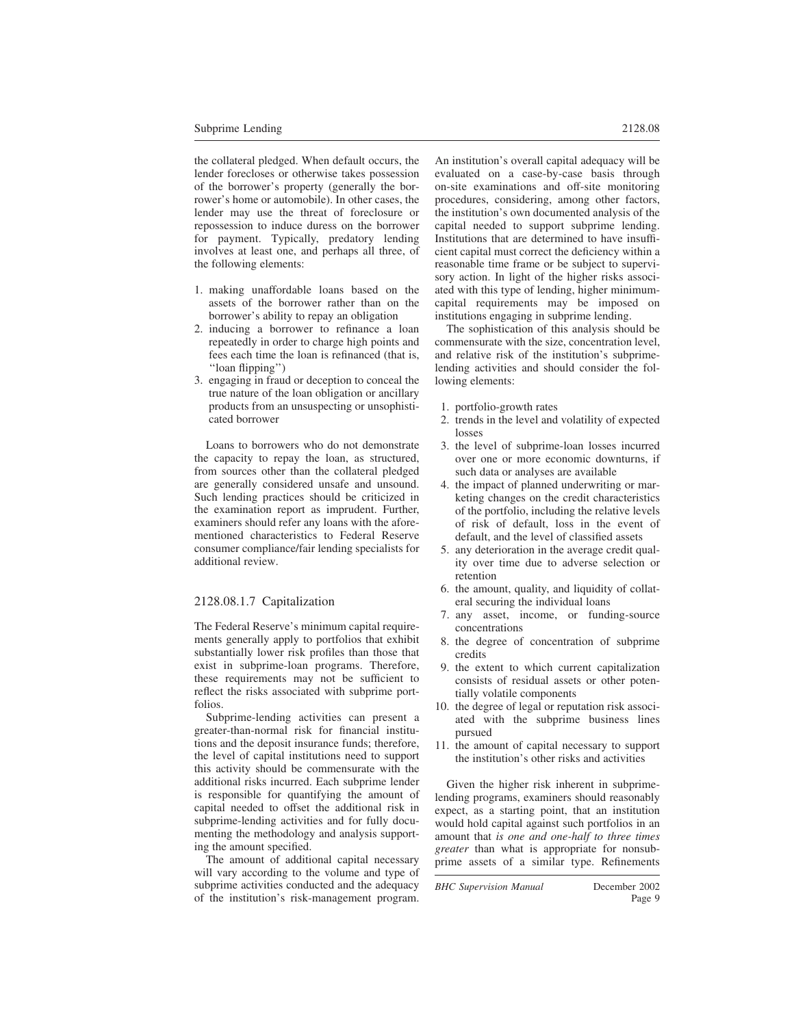the collateral pledged. When default occurs, the lender forecloses or otherwise takes possession of the borrower's property (generally the borrower's home or automobile). In other cases, the lender may use the threat of foreclosure or repossession to induce duress on the borrower for payment. Typically, predatory lending involves at least one, and perhaps all three, of the following elements:

- 1. making unaffordable loans based on the assets of the borrower rather than on the borrower's ability to repay an obligation
- 2. inducing a borrower to refinance a loan repeatedly in order to charge high points and fees each time the loan is refinanced (that is, ''loan flipping'')
- 3. engaging in fraud or deception to conceal the true nature of the loan obligation or ancillary products from an unsuspecting or unsophisticated borrower

Loans to borrowers who do not demonstrate the capacity to repay the loan, as structured, from sources other than the collateral pledged are generally considered unsafe and unsound. Such lending practices should be criticized in the examination report as imprudent. Further, examiners should refer any loans with the aforementioned characteristics to Federal Reserve consumer compliance/fair lending specialists for additional review.

# 2128.08.1.7 Capitalization

The Federal Reserve's minimum capital requirements generally apply to portfolios that exhibit substantially lower risk profiles than those that exist in subprime-loan programs. Therefore, these requirements may not be sufficient to reflect the risks associated with subprime portfolios.

Subprime-lending activities can present a greater-than-normal risk for financial institutions and the deposit insurance funds; therefore, the level of capital institutions need to support this activity should be commensurate with the additional risks incurred. Each subprime lender is responsible for quantifying the amount of capital needed to offset the additional risk in subprime-lending activities and for fully documenting the methodology and analysis supporting the amount specified.

The amount of additional capital necessary will vary according to the volume and type of subprime activities conducted and the adequacy of the institution's risk-management program. An institution's overall capital adequacy will be evaluated on a case-by-case basis through on-site examinations and off-site monitoring procedures, considering, among other factors, the institution's own documented analysis of the capital needed to support subprime lending. Institutions that are determined to have insufficient capital must correct the deficiency within a reasonable time frame or be subject to supervisory action. In light of the higher risks associated with this type of lending, higher minimumcapital requirements may be imposed on institutions engaging in subprime lending.

The sophistication of this analysis should be commensurate with the size, concentration level, and relative risk of the institution's subprimelending activities and should consider the following elements:

- 1. portfolio-growth rates
- 2. trends in the level and volatility of expected losses
- 3. the level of subprime-loan losses incurred over one or more economic downturns, if such data or analyses are available
- 4. the impact of planned underwriting or marketing changes on the credit characteristics of the portfolio, including the relative levels of risk of default, loss in the event of default, and the level of classified assets
- 5. any deterioration in the average credit quality over time due to adverse selection or retention
- 6. the amount, quality, and liquidity of collateral securing the individual loans
- 7. any asset, income, or funding-source concentrations
- 8. the degree of concentration of subprime credits
- 9. the extent to which current capitalization consists of residual assets or other potentially volatile components
- 10. the degree of legal or reputation risk associated with the subprime business lines pursued
- 11. the amount of capital necessary to support the institution's other risks and activities

Given the higher risk inherent in subprimelending programs, examiners should reasonably expect, as a starting point, that an institution would hold capital against such portfolios in an amount that *is one and one-half to three times greater* than what is appropriate for nonsubprime assets of a similar type. Refinements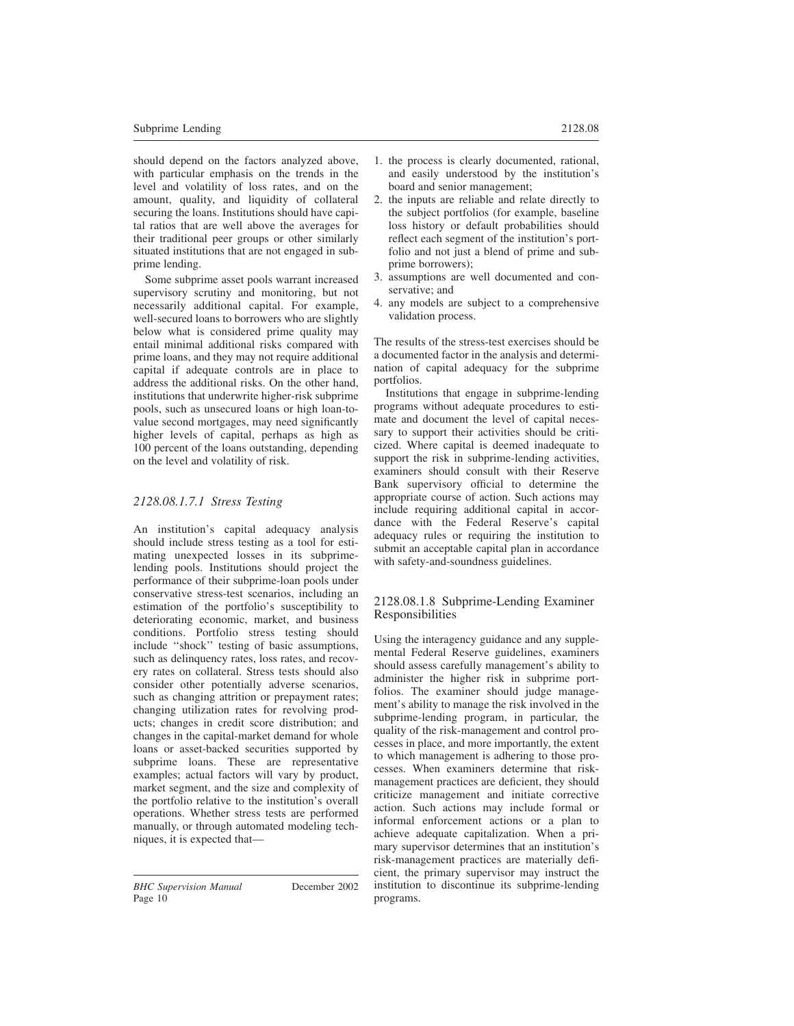should depend on the factors analyzed above, with particular emphasis on the trends in the level and volatility of loss rates, and on the amount, quality, and liquidity of collateral securing the loans. Institutions should have capital ratios that are well above the averages for their traditional peer groups or other similarly situated institutions that are not engaged in subprime lending.

Some subprime asset pools warrant increased supervisory scrutiny and monitoring, but not necessarily additional capital. For example, well-secured loans to borrowers who are slightly below what is considered prime quality may entail minimal additional risks compared with prime loans, and they may not require additional capital if adequate controls are in place to address the additional risks. On the other hand, institutions that underwrite higher-risk subprime pools, such as unsecured loans or high loan-tovalue second mortgages, may need significantly higher levels of capital, perhaps as high as 100 percent of the loans outstanding, depending on the level and volatility of risk.

# *2128.08.1.7.1 Stress Testing*

An institution's capital adequacy analysis should include stress testing as a tool for estimating unexpected losses in its subprimelending pools. Institutions should project the performance of their subprime-loan pools under conservative stress-test scenarios, including an estimation of the portfolio's susceptibility to deteriorating economic, market, and business conditions. Portfolio stress testing should include ''shock'' testing of basic assumptions, such as delinquency rates, loss rates, and recovery rates on collateral. Stress tests should also consider other potentially adverse scenarios, such as changing attrition or prepayment rates; changing utilization rates for revolving products; changes in credit score distribution; and changes in the capital-market demand for whole loans or asset-backed securities supported by subprime loans. These are representative examples; actual factors will vary by product, market segment, and the size and complexity of the portfolio relative to the institution's overall operations. Whether stress tests are performed manually, or through automated modeling techniques, it is expected that—

- 1. the process is clearly documented, rational, and easily understood by the institution's board and senior management;
- 2. the inputs are reliable and relate directly to the subject portfolios (for example, baseline loss history or default probabilities should reflect each segment of the institution's portfolio and not just a blend of prime and subprime borrowers);
- 3. assumptions are well documented and conservative; and
- 4. any models are subject to a comprehensive validation process.

The results of the stress-test exercises should be a documented factor in the analysis and determination of capital adequacy for the subprime portfolios.

Institutions that engage in subprime-lending programs without adequate procedures to estimate and document the level of capital necessary to support their activities should be criticized. Where capital is deemed inadequate to support the risk in subprime-lending activities, examiners should consult with their Reserve Bank supervisory official to determine the appropriate course of action. Such actions may include requiring additional capital in accordance with the Federal Reserve's capital adequacy rules or requiring the institution to submit an acceptable capital plan in accordance with safety-and-soundness guidelines.

#### 2128.08.1.8 Subprime-Lending Examiner Responsibilities

Using the interagency guidance and any supplemental Federal Reserve guidelines, examiners should assess carefully management's ability to administer the higher risk in subprime portfolios. The examiner should judge management's ability to manage the risk involved in the subprime-lending program, in particular, the quality of the risk-management and control processes in place, and more importantly, the extent to which management is adhering to those processes. When examiners determine that riskmanagement practices are deficient, they should criticize management and initiate corrective action. Such actions may include formal or informal enforcement actions or a plan to achieve adequate capitalization. When a primary supervisor determines that an institution's risk-management practices are materially deficient, the primary supervisor may instruct the institution to discontinue its subprime-lending programs.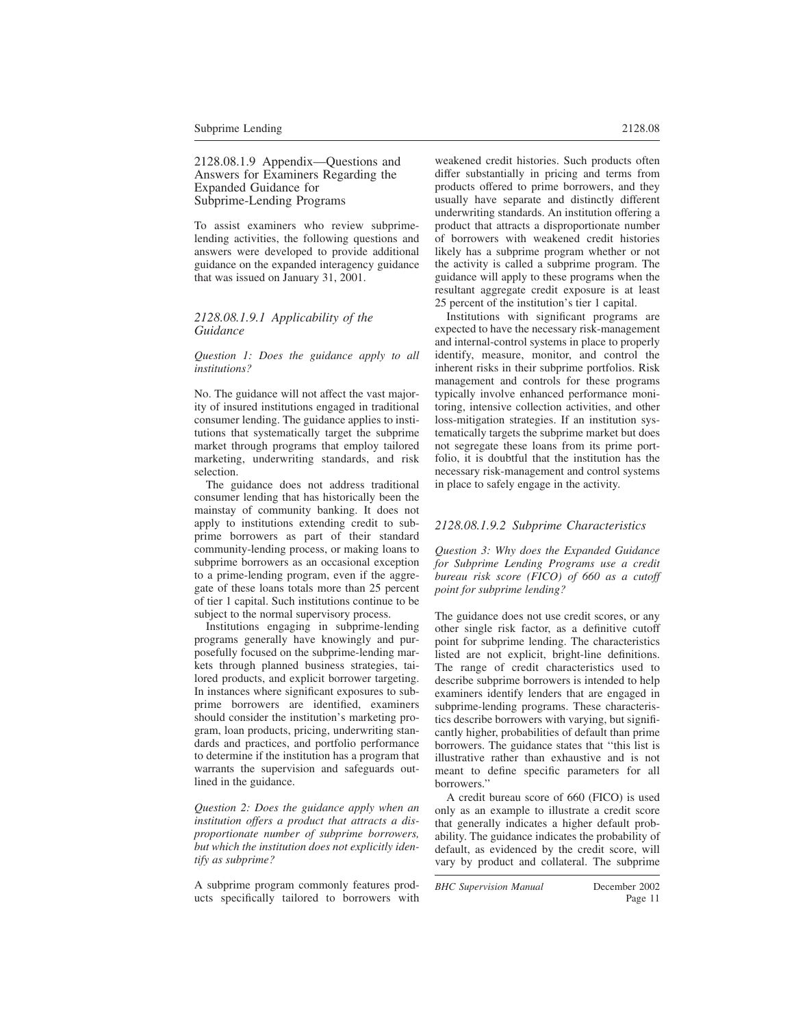2128.08.1.9 Appendix—Questions and Answers for Examiners Regarding the Expanded Guidance for Subprime-Lending Programs

To assist examiners who review subprimelending activities, the following questions and answers were developed to provide additional guidance on the expanded interagency guidance that was issued on January 31, 2001.

#### *2128.08.1.9.1 Applicability of the Guidance*

*Question 1: Does the guidance apply to all institutions?*

No. The guidance will not affect the vast majority of insured institutions engaged in traditional consumer lending. The guidance applies to institutions that systematically target the subprime market through programs that employ tailored marketing, underwriting standards, and risk selection.

The guidance does not address traditional consumer lending that has historically been the mainstay of community banking. It does not apply to institutions extending credit to subprime borrowers as part of their standard community-lending process, or making loans to subprime borrowers as an occasional exception to a prime-lending program, even if the aggregate of these loans totals more than 25 percent of tier 1 capital. Such institutions continue to be subject to the normal supervisory process.

Institutions engaging in subprime-lending programs generally have knowingly and purposefully focused on the subprime-lending markets through planned business strategies, tailored products, and explicit borrower targeting. In instances where significant exposures to subprime borrowers are identified, examiners should consider the institution's marketing program, loan products, pricing, underwriting standards and practices, and portfolio performance to determine if the institution has a program that warrants the supervision and safeguards outlined in the guidance.

*Question 2: Does the guidance apply when an institution offers a product that attracts a disproportionate number of subprime borrowers, but which the institution does not explicitly identify as subprime?*

A subprime program commonly features products specifically tailored to borrowers with weakened credit histories. Such products often differ substantially in pricing and terms from products offered to prime borrowers, and they usually have separate and distinctly different underwriting standards. An institution offering a product that attracts a disproportionate number of borrowers with weakened credit histories likely has a subprime program whether or not the activity is called a subprime program. The guidance will apply to these programs when the resultant aggregate credit exposure is at least 25 percent of the institution's tier 1 capital.

Institutions with significant programs are expected to have the necessary risk-management and internal-control systems in place to properly identify, measure, monitor, and control the inherent risks in their subprime portfolios. Risk management and controls for these programs typically involve enhanced performance monitoring, intensive collection activities, and other loss-mitigation strategies. If an institution systematically targets the subprime market but does not segregate these loans from its prime portfolio, it is doubtful that the institution has the necessary risk-management and control systems in place to safely engage in the activity.

# *2128.08.1.9.2 Subprime Characteristics*

*Question 3: Why does the Expanded Guidance for Subprime Lending Programs use a credit bureau risk score (FICO) of 660 as a cutoff point for subprime lending?*

The guidance does not use credit scores, or any other single risk factor, as a definitive cutoff point for subprime lending. The characteristics listed are not explicit, bright-line definitions. The range of credit characteristics used to describe subprime borrowers is intended to help examiners identify lenders that are engaged in subprime-lending programs. These characteristics describe borrowers with varying, but significantly higher, probabilities of default than prime borrowers. The guidance states that ''this list is illustrative rather than exhaustive and is not meant to define specific parameters for all borrowers.''

A credit bureau score of 660 (FICO) is used only as an example to illustrate a credit score that generally indicates a higher default probability. The guidance indicates the probability of default, as evidenced by the credit score, will vary by product and collateral. The subprime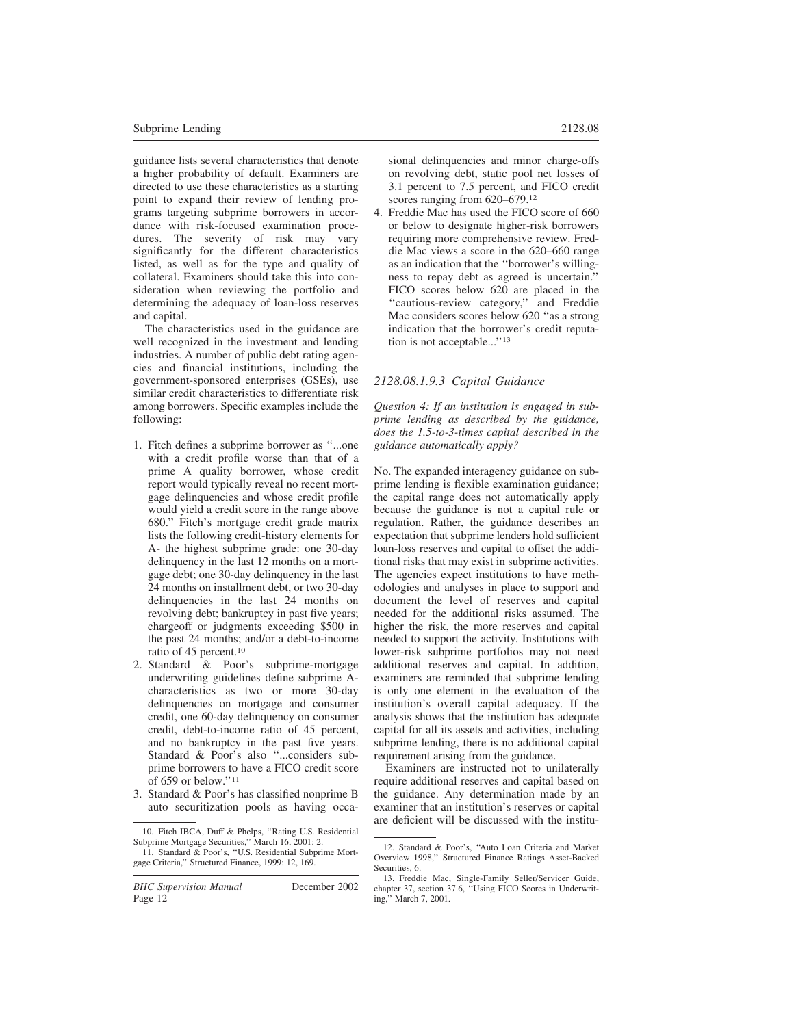guidance lists several characteristics that denote a higher probability of default. Examiners are directed to use these characteristics as a starting point to expand their review of lending programs targeting subprime borrowers in accordance with risk-focused examination procedures. The severity of risk may vary significantly for the different characteristics listed, as well as for the type and quality of collateral. Examiners should take this into consideration when reviewing the portfolio and determining the adequacy of loan-loss reserves and capital.

The characteristics used in the guidance are well recognized in the investment and lending industries. A number of public debt rating agencies and financial institutions, including the government-sponsored enterprises (GSEs), use similar credit characteristics to differentiate risk among borrowers. Specific examples include the following:

- 1. Fitch defines a subprime borrower as ''...one with a credit profile worse than that of a prime A quality borrower, whose credit report would typically reveal no recent mortgage delinquencies and whose credit profile would yield a credit score in the range above 680.'' Fitch's mortgage credit grade matrix lists the following credit-history elements for A- the highest subprime grade: one 30-day delinquency in the last 12 months on a mortgage debt; one 30-day delinquency in the last 24 months on installment debt, or two 30-day delinquencies in the last 24 months on revolving debt; bankruptcy in past five years; chargeoff or judgments exceeding \$500 in the past 24 months; and/or a debt-to-income ratio of 45 percent.<sup>10</sup>
- 2. Standard & Poor's subprime-mortgage underwriting guidelines define subprime Acharacteristics as two or more 30-day delinquencies on mortgage and consumer credit, one 60-day delinquency on consumer credit, debt-to-income ratio of 45 percent, and no bankruptcy in the past five years. Standard & Poor's also ''...considers subprime borrowers to have a FICO credit score of 659 or below.''<sup>11</sup>
- 3. Standard & Poor's has classified nonprime B auto securitization pools as having occa-

*BHC Supervision Manual* December 2002 Page 12

sional delinquencies and minor charge-offs on revolving debt, static pool net losses of 3.1 percent to 7.5 percent, and FICO credit scores ranging from 620–679.<sup>12</sup>

4. Freddie Mac has used the FICO score of 660 or below to designate higher-risk borrowers requiring more comprehensive review. Freddie Mac views a score in the 620–660 range as an indication that the ''borrower's willingness to repay debt as agreed is uncertain.'' FICO scores below 620 are placed in the ''cautious-review category,'' and Freddie Mac considers scores below 620 "as a strong indication that the borrower's credit reputation is not acceptable...''<sup>13</sup>

## *2128.08.1.9.3 Capital Guidance*

*Question 4: If an institution is engaged in subprime lending as described by the guidance, does the 1.5-to-3-times capital described in the guidance automatically apply?*

No. The expanded interagency guidance on subprime lending is flexible examination guidance; the capital range does not automatically apply because the guidance is not a capital rule or regulation. Rather, the guidance describes an expectation that subprime lenders hold sufficient loan-loss reserves and capital to offset the additional risks that may exist in subprime activities. The agencies expect institutions to have methodologies and analyses in place to support and document the level of reserves and capital needed for the additional risks assumed. The higher the risk, the more reserves and capital needed to support the activity. Institutions with lower-risk subprime portfolios may not need additional reserves and capital. In addition, examiners are reminded that subprime lending is only one element in the evaluation of the institution's overall capital adequacy. If the analysis shows that the institution has adequate capital for all its assets and activities, including subprime lending, there is no additional capital requirement arising from the guidance.

Examiners are instructed not to unilaterally require additional reserves and capital based on the guidance. Any determination made by an examiner that an institution's reserves or capital are deficient will be discussed with the institu-

<sup>10.</sup> Fitch IBCA, Duff & Phelps, ''Rating U.S. Residential Subprime Mortgage Securities,'' March 16, 2001: 2.

<sup>11.</sup> Standard & Poor's, ''U.S. Residential Subprime Mortgage Criteria,'' Structured Finance, 1999: 12, 169.

<sup>12.</sup> Standard & Poor's, ''Auto Loan Criteria and Market Overview 1998,'' Structured Finance Ratings Asset-Backed Securities, 6.

<sup>13.</sup> Freddie Mac, Single-Family Seller/Servicer Guide, chapter 37, section 37.6, ''Using FICO Scores in Underwriting,'' March 7, 2001.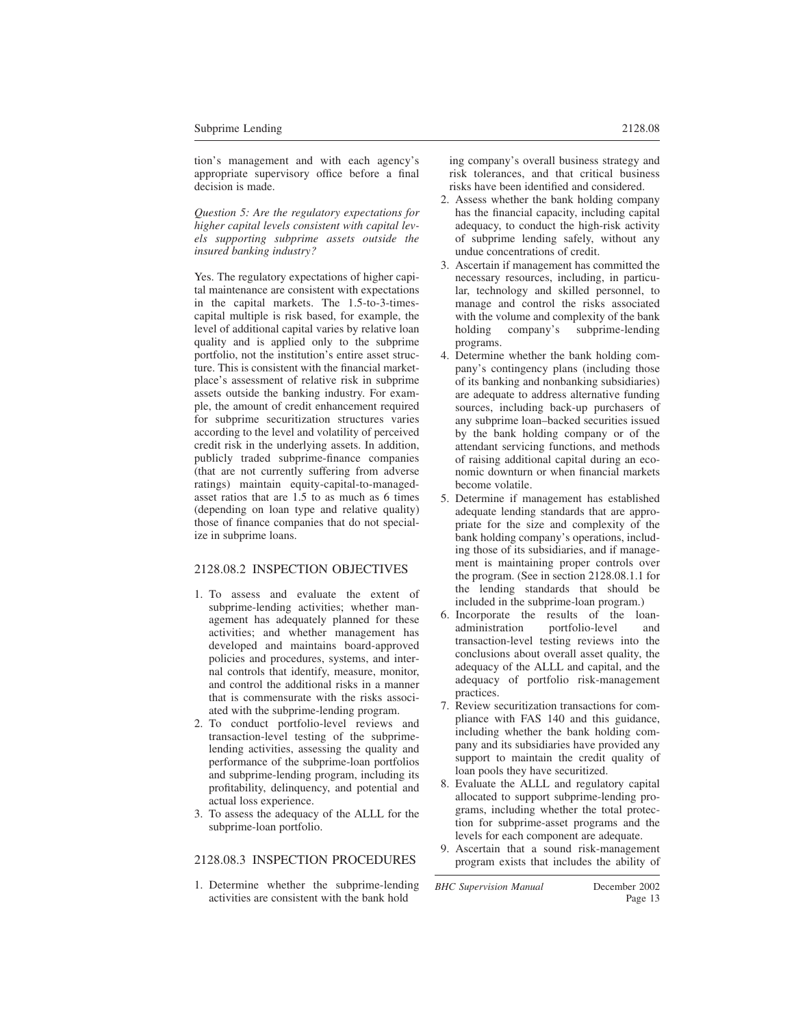tion's management and with each agency's appropriate supervisory office before a final decision is made.

*Question 5: Are the regulatory expectations for higher capital levels consistent with capital levels supporting subprime assets outside the insured banking industry?*

Yes. The regulatory expectations of higher capital maintenance are consistent with expectations in the capital markets. The 1.5-to-3-timescapital multiple is risk based, for example, the level of additional capital varies by relative loan quality and is applied only to the subprime portfolio, not the institution's entire asset structure. This is consistent with the financial marketplace's assessment of relative risk in subprime assets outside the banking industry. For example, the amount of credit enhancement required for subprime securitization structures varies according to the level and volatility of perceived credit risk in the underlying assets. In addition, publicly traded subprime-finance companies (that are not currently suffering from adverse ratings) maintain equity-capital-to-managedasset ratios that are 1.5 to as much as 6 times (depending on loan type and relative quality) those of finance companies that do not specialize in subprime loans.

# 2128.08.2 INSPECTION OBJECTIVES

- 1. To assess and evaluate the extent of subprime-lending activities; whether management has adequately planned for these activities; and whether management has developed and maintains board-approved policies and procedures, systems, and internal controls that identify, measure, monitor, and control the additional risks in a manner that is commensurate with the risks associated with the subprime-lending program.
- 2. To conduct portfolio-level reviews and transaction-level testing of the subprimelending activities, assessing the quality and performance of the subprime-loan portfolios and subprime-lending program, including its profitability, delinquency, and potential and actual loss experience.
- 3. To assess the adequacy of the ALLL for the subprime-loan portfolio.

# 2128.08.3 INSPECTION PROCEDURES

1. Determine whether the subprime-lending activities are consistent with the bank hold

- 2. Assess whether the bank holding company has the financial capacity, including capital adequacy, to conduct the high-risk activity of subprime lending safely, without any undue concentrations of credit.
- 3. Ascertain if management has committed the necessary resources, including, in particular, technology and skilled personnel, to manage and control the risks associated with the volume and complexity of the bank holding company's subprime-lending programs.
- 4. Determine whether the bank holding company's contingency plans (including those of its banking and nonbanking subsidiaries) are adequate to address alternative funding sources, including back-up purchasers of any subprime loan–backed securities issued by the bank holding company or of the attendant servicing functions, and methods of raising additional capital during an economic downturn or when financial markets become volatile.
- 5. Determine if management has established adequate lending standards that are appropriate for the size and complexity of the bank holding company's operations, including those of its subsidiaries, and if management is maintaining proper controls over the program. (See in section 2128.08.1.1 for the lending standards that should be included in the subprime-loan program.)
- 6. Incorporate the results of the loanadministration portfolio-level and transaction-level testing reviews into the conclusions about overall asset quality, the adequacy of the ALLL and capital, and the adequacy of portfolio risk-management practices.
- 7. Review securitization transactions for compliance with FAS 140 and this guidance, including whether the bank holding company and its subsidiaries have provided any support to maintain the credit quality of loan pools they have securitized.
- 8. Evaluate the ALLL and regulatory capital allocated to support subprime-lending programs, including whether the total protection for subprime-asset programs and the levels for each component are adequate.
- 9. Ascertain that a sound risk-management program exists that includes the ability of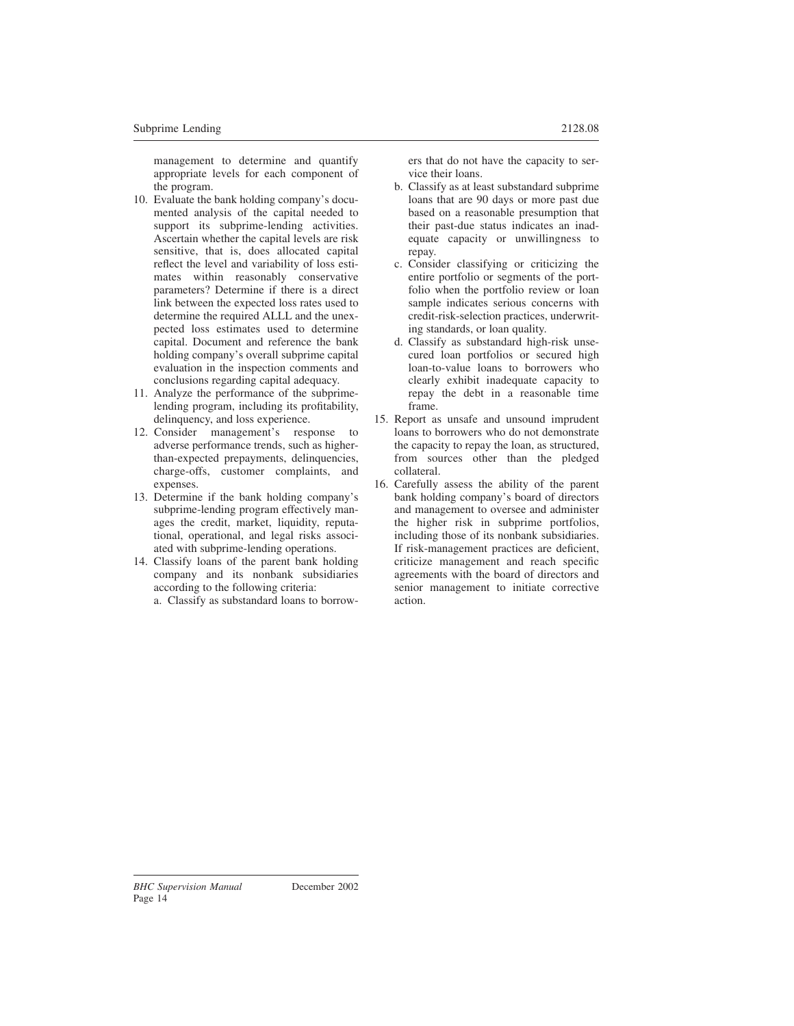management to determine and quantify appropriate levels for each component of the program.

- 10. Evaluate the bank holding company's documented analysis of the capital needed to support its subprime-lending activities. Ascertain whether the capital levels are risk sensitive, that is, does allocated capital reflect the level and variability of loss estimates within reasonably conservative parameters? Determine if there is a direct link between the expected loss rates used to determine the required ALLL and the unexpected loss estimates used to determine capital. Document and reference the bank holding company's overall subprime capital evaluation in the inspection comments and conclusions regarding capital adequacy.
- 11. Analyze the performance of the subprimelending program, including its profitability, delinquency, and loss experience.
- 12. Consider management's response to adverse performance trends, such as higherthan-expected prepayments, delinquencies, charge-offs, customer complaints, and expenses.
- 13. Determine if the bank holding company's subprime-lending program effectively manages the credit, market, liquidity, reputational, operational, and legal risks associated with subprime-lending operations.
- 14. Classify loans of the parent bank holding company and its nonbank subsidiaries according to the following criteria:

a. Classify as substandard loans to borrow-

ers that do not have the capacity to service their loans.

- b. Classify as at least substandard subprime loans that are 90 days or more past due based on a reasonable presumption that their past-due status indicates an inadequate capacity or unwillingness to repay.
- c. Consider classifying or criticizing the entire portfolio or segments of the portfolio when the portfolio review or loan sample indicates serious concerns with credit-risk-selection practices, underwriting standards, or loan quality.
- d. Classify as substandard high-risk unsecured loan portfolios or secured high loan-to-value loans to borrowers who clearly exhibit inadequate capacity to repay the debt in a reasonable time frame.
- 15. Report as unsafe and unsound imprudent loans to borrowers who do not demonstrate the capacity to repay the loan, as structured, from sources other than the pledged collateral.
- 16. Carefully assess the ability of the parent bank holding company's board of directors and management to oversee and administer the higher risk in subprime portfolios, including those of its nonbank subsidiaries. If risk-management practices are deficient, criticize management and reach specific agreements with the board of directors and senior management to initiate corrective action.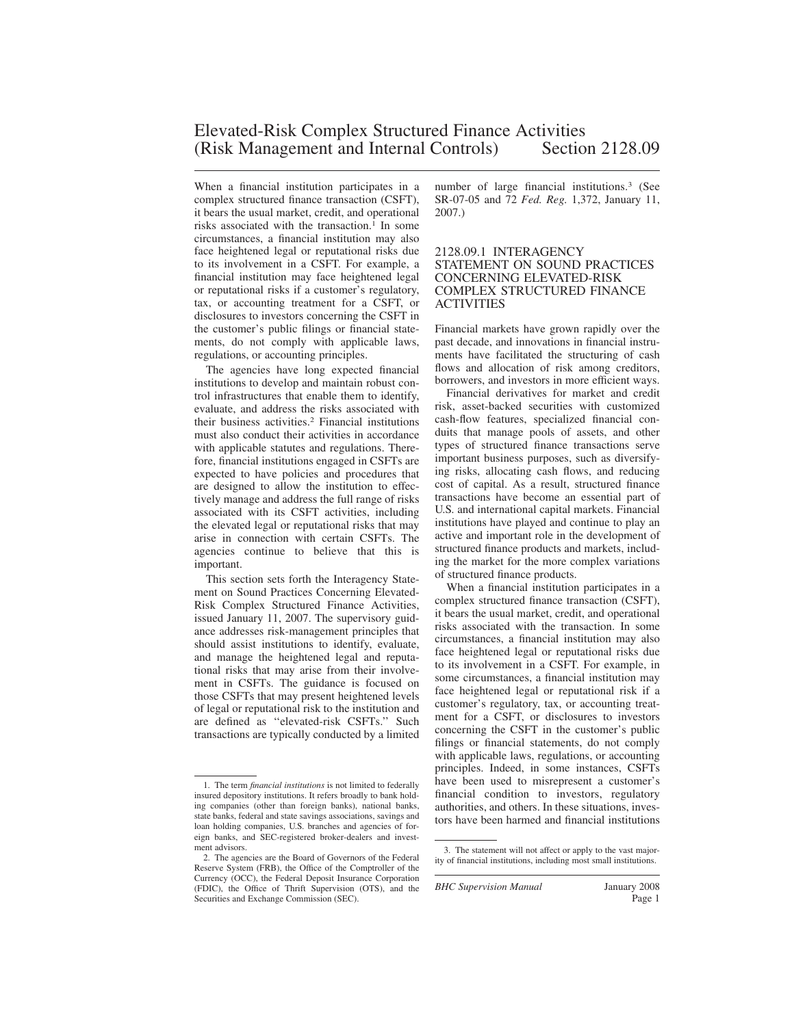When a financial institution participates in a complex structured finance transaction (CSFT), it bears the usual market, credit, and operational risks associated with the transaction.<sup>1</sup> In some circumstances, a financial institution may also face heightened legal or reputational risks due to its involvement in a CSFT. For example, a financial institution may face heightened legal or reputational risks if a customer's regulatory, tax, or accounting treatment for a CSFT, or disclosures to investors concerning the CSFT in the customer's public filings or financial statements, do not comply with applicable laws, regulations, or accounting principles.

The agencies have long expected financial institutions to develop and maintain robust control infrastructures that enable them to identify, evaluate, and address the risks associated with their business activities.<sup>2</sup> Financial institutions must also conduct their activities in accordance with applicable statutes and regulations. Therefore, financial institutions engaged in CSFTs are expected to have policies and procedures that are designed to allow the institution to effectively manage and address the full range of risks associated with its CSFT activities, including the elevated legal or reputational risks that may arise in connection with certain CSFTs. The agencies continue to believe that this is important.

This section sets forth the Interagency Statement on Sound Practices Concerning Elevated-Risk Complex Structured Finance Activities, issued January 11, 2007. The supervisory guidance addresses risk-management principles that should assist institutions to identify, evaluate, and manage the heightened legal and reputational risks that may arise from their involvement in CSFTs. The guidance is focused on those CSFTs that may present heightened levels of legal or reputational risk to the institution and are defined as ''elevated-risk CSFTs.'' Such transactions are typically conducted by a limited

number of large financial institutions.<sup>3</sup> (See SR-07-05 and 72 *Fed. Reg.* 1,372, January 11, 2007.)

#### 2128.09.1 INTERAGENCY STATEMENT ON SOUND PRACTICES CONCERNING ELEVATED-RISK COMPLEX STRUCTURED FINANCE ACTIVITIES

Financial markets have grown rapidly over the past decade, and innovations in financial instruments have facilitated the structuring of cash flows and allocation of risk among creditors, borrowers, and investors in more efficient ways.

Financial derivatives for market and credit risk, asset-backed securities with customized cash-flow features, specialized financial conduits that manage pools of assets, and other types of structured finance transactions serve important business purposes, such as diversifying risks, allocating cash flows, and reducing cost of capital. As a result, structured finance transactions have become an essential part of U.S. and international capital markets. Financial institutions have played and continue to play an active and important role in the development of structured finance products and markets, including the market for the more complex variations of structured finance products.

When a financial institution participates in a complex structured finance transaction (CSFT), it bears the usual market, credit, and operational risks associated with the transaction. In some circumstances, a financial institution may also face heightened legal or reputational risks due to its involvement in a CSFT. For example, in some circumstances, a financial institution may face heightened legal or reputational risk if a customer's regulatory, tax, or accounting treatment for a CSFT, or disclosures to investors concerning the CSFT in the customer's public filings or financial statements, do not comply with applicable laws, regulations, or accounting principles. Indeed, in some instances, CSFTs have been used to misrepresent a customer's financial condition to investors, regulatory authorities, and others. In these situations, investors have been harmed and financial institutions

<sup>1.</sup> The term *financial institutions* is not limited to federally insured depository institutions. It refers broadly to bank holding companies (other than foreign banks), national banks, state banks, federal and state savings associations, savings and loan holding companies, U.S. branches and agencies of foreign banks, and SEC-registered broker-dealers and investment advisors.

<sup>2.</sup> The agencies are the Board of Governors of the Federal Reserve System (FRB), the Office of the Comptroller of the Currency (OCC), the Federal Deposit Insurance Corporation (FDIC), the Office of Thrift Supervision (OTS), and the Securities and Exchange Commission (SEC).

<sup>3.</sup> The statement will not affect or apply to the vast majority of financial institutions, including most small institutions.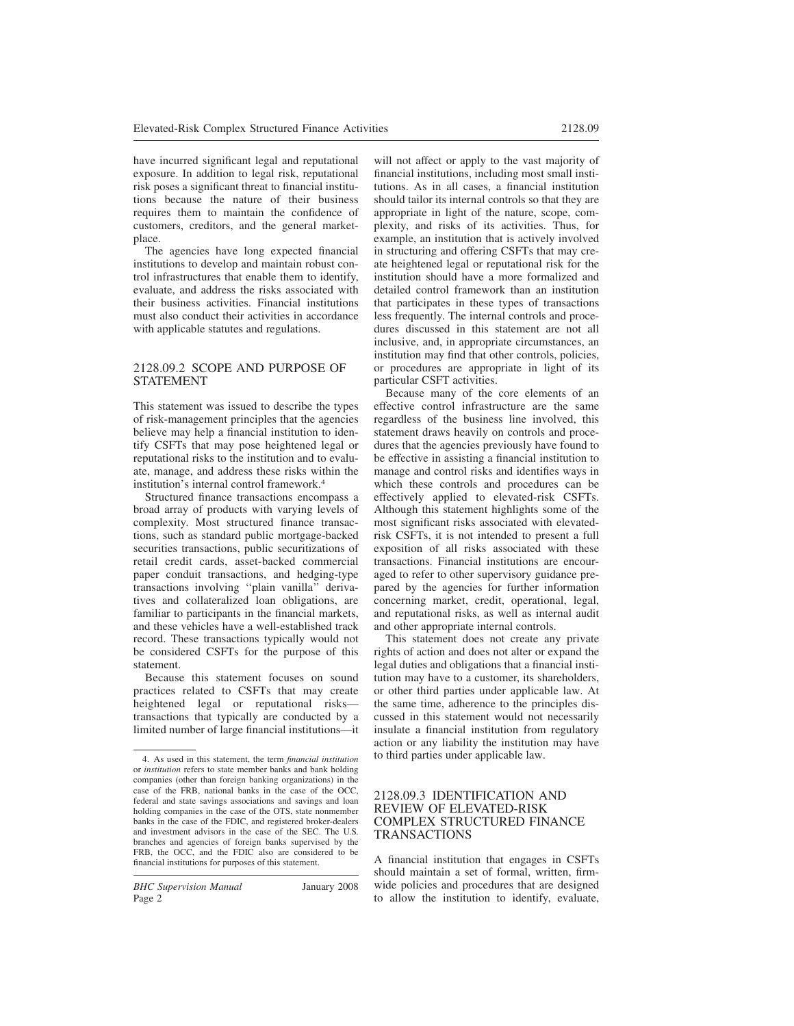have incurred significant legal and reputational exposure. In addition to legal risk, reputational risk poses a significant threat to financial institutions because the nature of their business requires them to maintain the confidence of customers, creditors, and the general marketplace.

The agencies have long expected financial institutions to develop and maintain robust control infrastructures that enable them to identify, evaluate, and address the risks associated with their business activities. Financial institutions must also conduct their activities in accordance with applicable statutes and regulations.

#### 2128.09.2 SCOPE AND PURPOSE OF STATEMENT

This statement was issued to describe the types of risk-management principles that the agencies believe may help a financial institution to identify CSFTs that may pose heightened legal or reputational risks to the institution and to evaluate, manage, and address these risks within the institution's internal control framework.<sup>4</sup>

Structured finance transactions encompass a broad array of products with varying levels of complexity. Most structured finance transactions, such as standard public mortgage-backed securities transactions, public securitizations of retail credit cards, asset-backed commercial paper conduit transactions, and hedging-type transactions involving ''plain vanilla'' derivatives and collateralized loan obligations, are familiar to participants in the financial markets, and these vehicles have a well-established track record. These transactions typically would not be considered CSFTs for the purpose of this statement.

Because this statement focuses on sound practices related to CSFTs that may create heightened legal or reputational risks transactions that typically are conducted by a limited number of large financial institutions—it

*BHC Supervision Manual* January 2008 Page 2

will not affect or apply to the vast majority of financial institutions, including most small institutions. As in all cases, a financial institution should tailor its internal controls so that they are appropriate in light of the nature, scope, complexity, and risks of its activities. Thus, for example, an institution that is actively involved in structuring and offering CSFTs that may create heightened legal or reputational risk for the institution should have a more formalized and detailed control framework than an institution that participates in these types of transactions less frequently. The internal controls and procedures discussed in this statement are not all inclusive, and, in appropriate circumstances, an institution may find that other controls, policies, or procedures are appropriate in light of its particular CSFT activities.

Because many of the core elements of an effective control infrastructure are the same regardless of the business line involved, this statement draws heavily on controls and procedures that the agencies previously have found to be effective in assisting a financial institution to manage and control risks and identifies ways in which these controls and procedures can be effectively applied to elevated-risk CSFTs. Although this statement highlights some of the most significant risks associated with elevatedrisk CSFTs, it is not intended to present a full exposition of all risks associated with these transactions. Financial institutions are encouraged to refer to other supervisory guidance prepared by the agencies for further information concerning market, credit, operational, legal, and reputational risks, as well as internal audit and other appropriate internal controls.

This statement does not create any private rights of action and does not alter or expand the legal duties and obligations that a financial institution may have to a customer, its shareholders, or other third parties under applicable law. At the same time, adherence to the principles discussed in this statement would not necessarily insulate a financial institution from regulatory action or any liability the institution may have to third parties under applicable law.

#### 2128.09.3 IDENTIFICATION AND REVIEW OF ELEVATED-RISK COMPLEX STRUCTURED FINANCE TRANSACTIONS

A financial institution that engages in CSFTs should maintain a set of formal, written, firmwide policies and procedures that are designed to allow the institution to identify, evaluate,

<sup>4.</sup> As used in this statement, the term *financial institution* or *institution* refers to state member banks and bank holding companies (other than foreign banking organizations) in the case of the FRB, national banks in the case of the OCC, federal and state savings associations and savings and loan holding companies in the case of the OTS, state nonmember banks in the case of the FDIC, and registered broker-dealers and investment advisors in the case of the SEC. The U.S. branches and agencies of foreign banks supervised by the FRB, the OCC, and the FDIC also are considered to be financial institutions for purposes of this statement.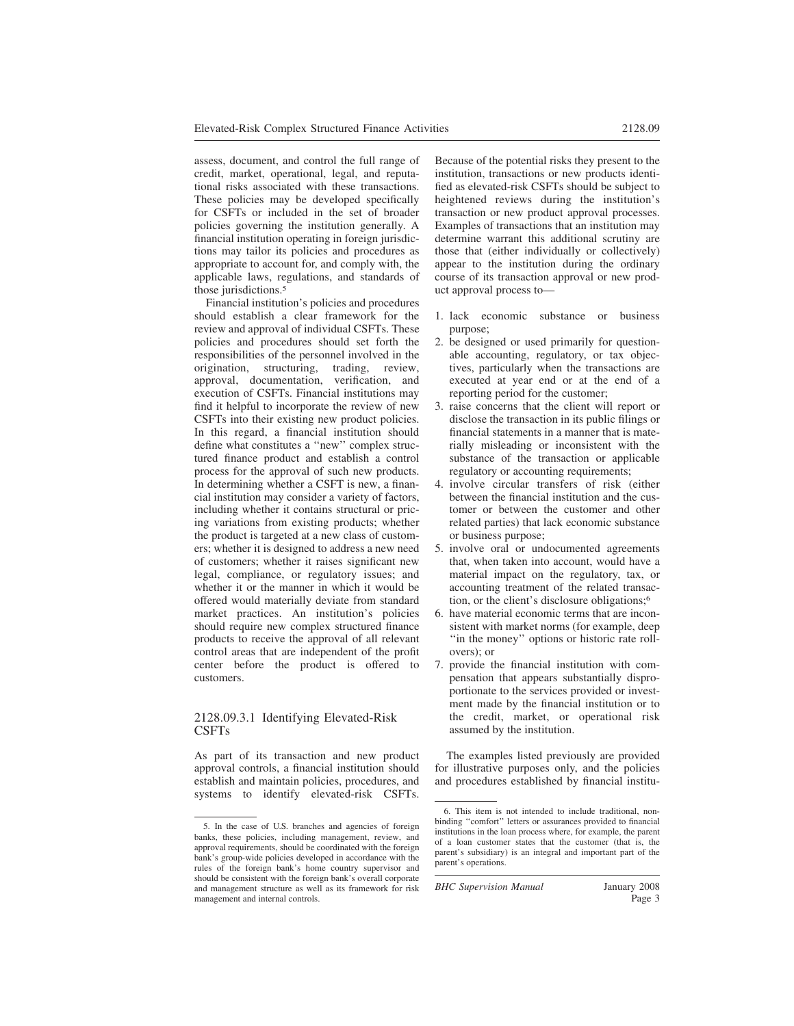assess, document, and control the full range of credit, market, operational, legal, and reputational risks associated with these transactions. These policies may be developed specifically for CSFTs or included in the set of broader policies governing the institution generally. A financial institution operating in foreign jurisdictions may tailor its policies and procedures as appropriate to account for, and comply with, the applicable laws, regulations, and standards of those jurisdictions.<sup>5</sup>

Financial institution's policies and procedures should establish a clear framework for the review and approval of individual CSFTs. These policies and procedures should set forth the responsibilities of the personnel involved in the origination, structuring, trading, review, approval, documentation, verification, and execution of CSFTs. Financial institutions may find it helpful to incorporate the review of new CSFTs into their existing new product policies. In this regard, a financial institution should define what constitutes a ''new'' complex structured finance product and establish a control process for the approval of such new products. In determining whether a CSFT is new, a financial institution may consider a variety of factors, including whether it contains structural or pricing variations from existing products; whether the product is targeted at a new class of customers; whether it is designed to address a new need of customers; whether it raises significant new legal, compliance, or regulatory issues; and whether it or the manner in which it would be offered would materially deviate from standard market practices. An institution's policies should require new complex structured finance products to receive the approval of all relevant control areas that are independent of the profit center before the product is offered to customers.

### 2128.09.3.1 Identifying Elevated-Risk CSFTs

As part of its transaction and new product approval controls, a financial institution should establish and maintain policies, procedures, and systems to identify elevated-risk CSFTs.

Because of the potential risks they present to the institution, transactions or new products identified as elevated-risk CSFTs should be subject to heightened reviews during the institution's transaction or new product approval processes. Examples of transactions that an institution may determine warrant this additional scrutiny are those that (either individually or collectively) appear to the institution during the ordinary course of its transaction approval or new product approval process to—

- 1. lack economic substance or business purpose;
- 2. be designed or used primarily for questionable accounting, regulatory, or tax objectives, particularly when the transactions are executed at year end or at the end of a reporting period for the customer;
- 3. raise concerns that the client will report or disclose the transaction in its public filings or financial statements in a manner that is materially misleading or inconsistent with the substance of the transaction or applicable regulatory or accounting requirements;
- 4. involve circular transfers of risk (either between the financial institution and the customer or between the customer and other related parties) that lack economic substance or business purpose;
- 5. involve oral or undocumented agreements that, when taken into account, would have a material impact on the regulatory, tax, or accounting treatment of the related transaction, or the client's disclosure obligations;<sup>6</sup>
- 6. have material economic terms that are inconsistent with market norms (for example, deep ''in the money'' options or historic rate rollovers); or
- 7. provide the financial institution with compensation that appears substantially disproportionate to the services provided or investment made by the financial institution or to the credit, market, or operational risk assumed by the institution.

The examples listed previously are provided for illustrative purposes only, and the policies and procedures established by financial institu-

*BHC Supervision Manual* January 2008

<sup>5.</sup> In the case of U.S. branches and agencies of foreign banks, these policies, including management, review, and approval requirements, should be coordinated with the foreign bank's group-wide policies developed in accordance with the rules of the foreign bank's home country supervisor and should be consistent with the foreign bank's overall corporate and management structure as well as its framework for risk management and internal controls.

<sup>6.</sup> This item is not intended to include traditional, nonbinding ''comfort'' letters or assurances provided to financial institutions in the loan process where, for example, the parent of a loan customer states that the customer (that is, the parent's subsidiary) is an integral and important part of the parent's operations.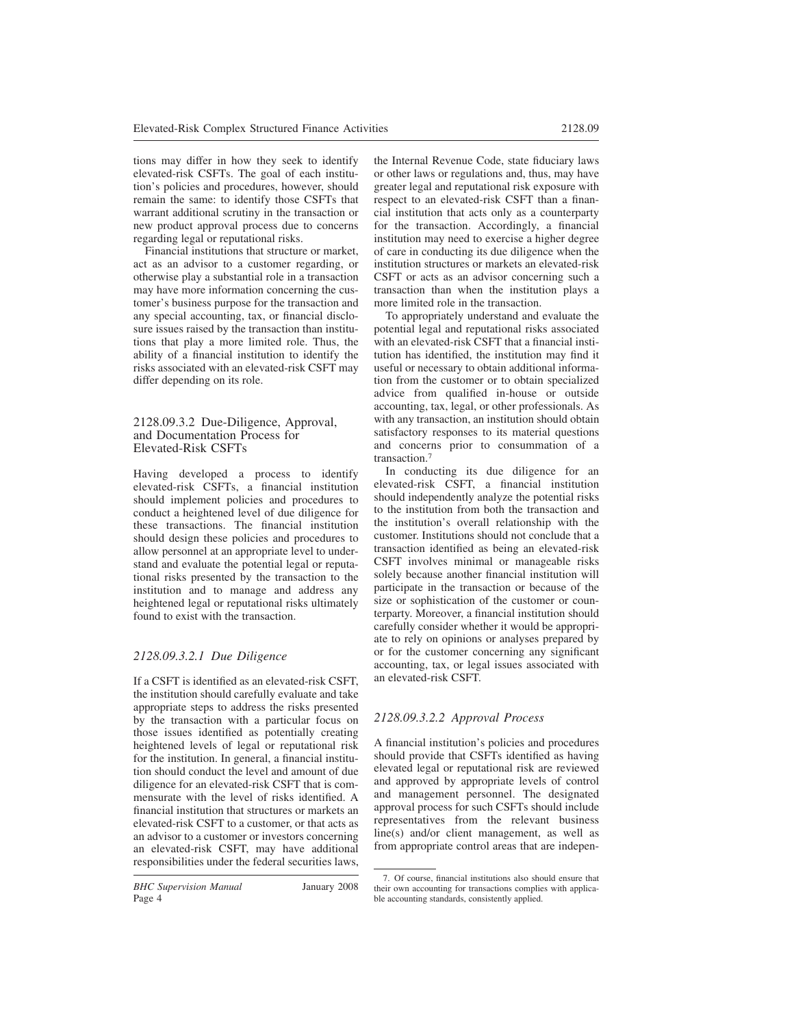tions may differ in how they seek to identify elevated-risk CSFTs. The goal of each institution's policies and procedures, however, should remain the same: to identify those CSFTs that warrant additional scrutiny in the transaction or new product approval process due to concerns regarding legal or reputational risks.

Financial institutions that structure or market, act as an advisor to a customer regarding, or otherwise play a substantial role in a transaction may have more information concerning the customer's business purpose for the transaction and any special accounting, tax, or financial disclosure issues raised by the transaction than institutions that play a more limited role. Thus, the ability of a financial institution to identify the risks associated with an elevated-risk CSFT may differ depending on its role.

#### 2128.09.3.2 Due-Diligence, Approval, and Documentation Process for Elevated-Risk CSFTs

Having developed a process to identify elevated-risk CSFTs, a financial institution should implement policies and procedures to conduct a heightened level of due diligence for these transactions. The financial institution should design these policies and procedures to allow personnel at an appropriate level to understand and evaluate the potential legal or reputational risks presented by the transaction to the institution and to manage and address any heightened legal or reputational risks ultimately found to exist with the transaction.

# *2128.09.3.2.1 Due Diligence*

If a CSFT is identified as an elevated-risk CSFT, the institution should carefully evaluate and take appropriate steps to address the risks presented by the transaction with a particular focus on those issues identified as potentially creating heightened levels of legal or reputational risk for the institution. In general, a financial institution should conduct the level and amount of due diligence for an elevated-risk CSFT that is commensurate with the level of risks identified. A financial institution that structures or markets an elevated-risk CSFT to a customer, or that acts as an advisor to a customer or investors concerning an elevated-risk CSFT, may have additional responsibilities under the federal securities laws, the Internal Revenue Code, state fiduciary laws or other laws or regulations and, thus, may have greater legal and reputational risk exposure with respect to an elevated-risk CSFT than a financial institution that acts only as a counterparty for the transaction. Accordingly, a financial institution may need to exercise a higher degree of care in conducting its due diligence when the institution structures or markets an elevated-risk CSFT or acts as an advisor concerning such a transaction than when the institution plays a more limited role in the transaction.

To appropriately understand and evaluate the potential legal and reputational risks associated with an elevated-risk CSFT that a financial institution has identified, the institution may find it useful or necessary to obtain additional information from the customer or to obtain specialized advice from qualified in-house or outside accounting, tax, legal, or other professionals. As with any transaction, an institution should obtain satisfactory responses to its material questions and concerns prior to consummation of a transaction.<sup>7</sup>

In conducting its due diligence for an elevated-risk CSFT, a financial institution should independently analyze the potential risks to the institution from both the transaction and the institution's overall relationship with the customer. Institutions should not conclude that a transaction identified as being an elevated-risk CSFT involves minimal or manageable risks solely because another financial institution will participate in the transaction or because of the size or sophistication of the customer or counterparty. Moreover, a financial institution should carefully consider whether it would be appropriate to rely on opinions or analyses prepared by or for the customer concerning any significant accounting, tax, or legal issues associated with an elevated-risk CSFT.

# *2128.09.3.2.2 Approval Process*

A financial institution's policies and procedures should provide that CSFTs identified as having elevated legal or reputational risk are reviewed and approved by appropriate levels of control and management personnel. The designated approval process for such CSFTs should include representatives from the relevant business line(s) and/or client management, as well as from appropriate control areas that are indepen-

<sup>7.</sup> Of course, financial institutions also should ensure that their own accounting for transactions complies with applicable accounting standards, consistently applied.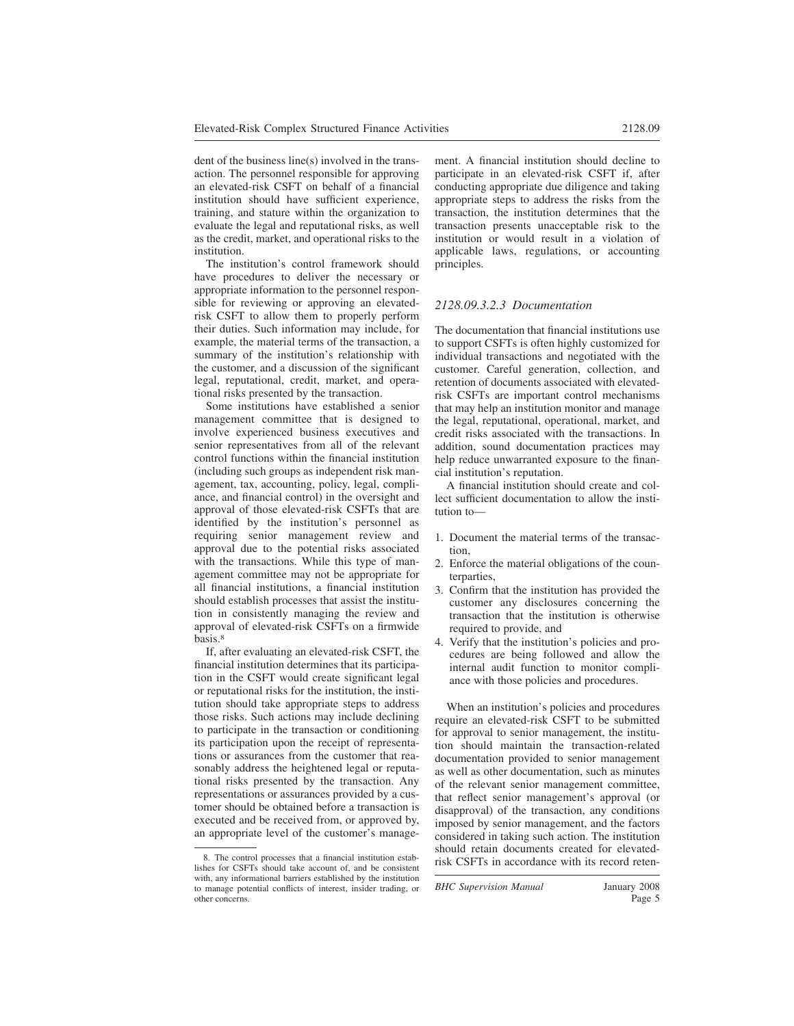dent of the business line(s) involved in the transaction. The personnel responsible for approving an elevated-risk CSFT on behalf of a financial institution should have sufficient experience, training, and stature within the organization to evaluate the legal and reputational risks, as well as the credit, market, and operational risks to the institution.

The institution's control framework should have procedures to deliver the necessary or appropriate information to the personnel responsible for reviewing or approving an elevatedrisk CSFT to allow them to properly perform their duties. Such information may include, for example, the material terms of the transaction, a summary of the institution's relationship with the customer, and a discussion of the significant legal, reputational, credit, market, and operational risks presented by the transaction.

Some institutions have established a senior management committee that is designed to involve experienced business executives and senior representatives from all of the relevant control functions within the financial institution (including such groups as independent risk management, tax, accounting, policy, legal, compliance, and financial control) in the oversight and approval of those elevated-risk CSFTs that are identified by the institution's personnel as requiring senior management review and approval due to the potential risks associated with the transactions. While this type of management committee may not be appropriate for all financial institutions, a financial institution should establish processes that assist the institution in consistently managing the review and approval of elevated-risk CSFTs on a firmwide basis.<sup>8</sup>

If, after evaluating an elevated-risk CSFT, the financial institution determines that its participation in the CSFT would create significant legal or reputational risks for the institution, the institution should take appropriate steps to address those risks. Such actions may include declining to participate in the transaction or conditioning its participation upon the receipt of representations or assurances from the customer that reasonably address the heightened legal or reputational risks presented by the transaction. Any representations or assurances provided by a customer should be obtained before a transaction is executed and be received from, or approved by, an appropriate level of the customer's management. A financial institution should decline to participate in an elevated-risk CSFT if, after conducting appropriate due diligence and taking appropriate steps to address the risks from the transaction, the institution determines that the transaction presents unacceptable risk to the institution or would result in a violation of applicable laws, regulations, or accounting principles.

#### *2128.09.3.2.3 Documentation*

The documentation that financial institutions use to support CSFTs is often highly customized for individual transactions and negotiated with the customer. Careful generation, collection, and retention of documents associated with elevatedrisk CSFTs are important control mechanisms that may help an institution monitor and manage the legal, reputational, operational, market, and credit risks associated with the transactions. In addition, sound documentation practices may help reduce unwarranted exposure to the financial institution's reputation.

A financial institution should create and collect sufficient documentation to allow the institution to—

- 1. Document the material terms of the transaction,
- 2. Enforce the material obligations of the counterparties,
- 3. Confirm that the institution has provided the customer any disclosures concerning the transaction that the institution is otherwise required to provide, and
- 4. Verify that the institution's policies and procedures are being followed and allow the internal audit function to monitor compliance with those policies and procedures.

When an institution's policies and procedures require an elevated-risk CSFT to be submitted for approval to senior management, the institution should maintain the transaction-related documentation provided to senior management as well as other documentation, such as minutes of the relevant senior management committee, that reflect senior management's approval (or disapproval) of the transaction, any conditions imposed by senior management, and the factors considered in taking such action. The institution should retain documents created for elevated-8. The control processes that a financial institution estab-<br>risk CSFTs in accordance with its record reten-

*BHC Supervision Manual* January 2008

lishes for CSFTs should take account of, and be consistent with, any informational barriers established by the institution to manage potential conflicts of interest, insider trading, or other concerns.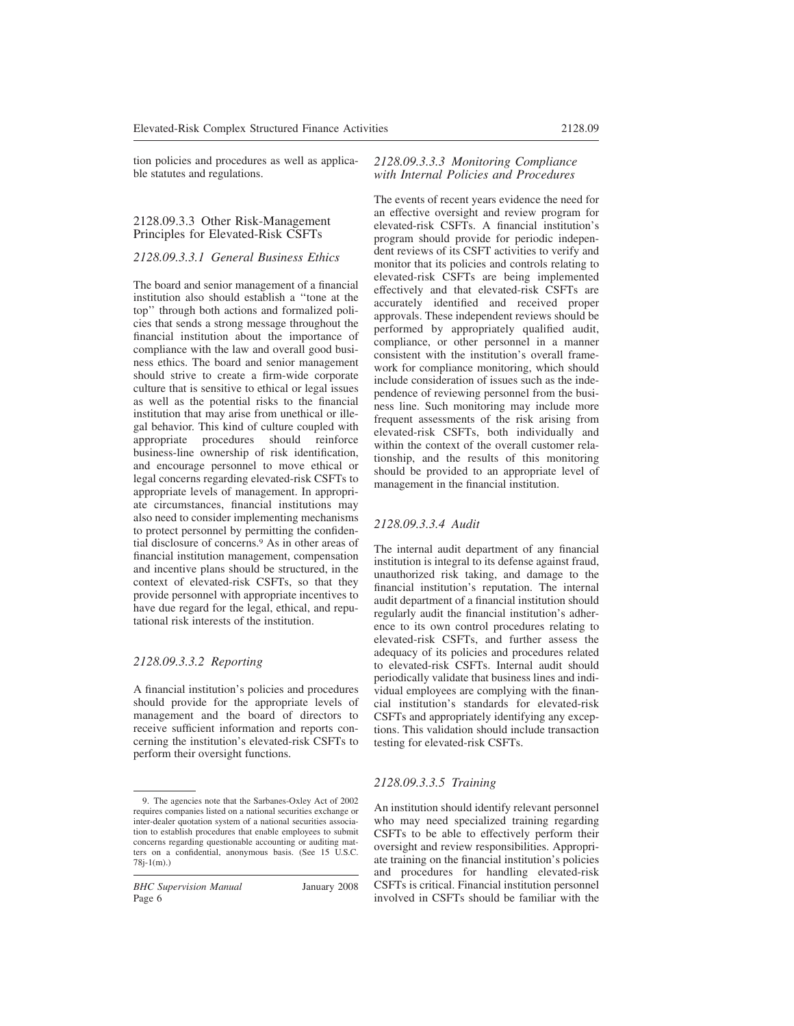tion policies and procedures as well as applicable statutes and regulations.

#### 2128.09.3.3 Other Risk-Management Principles for Elevated-Risk CSFTs

#### *2128.09.3.3.1 General Business Ethics*

The board and senior management of a financial institution also should establish a ''tone at the top'' through both actions and formalized policies that sends a strong message throughout the financial institution about the importance of compliance with the law and overall good business ethics. The board and senior management should strive to create a firm-wide corporate culture that is sensitive to ethical or legal issues as well as the potential risks to the financial institution that may arise from unethical or illegal behavior. This kind of culture coupled with appropriate procedures should reinforce business-line ownership of risk identification, and encourage personnel to move ethical or legal concerns regarding elevated-risk CSFTs to appropriate levels of management. In appropriate circumstances, financial institutions may also need to consider implementing mechanisms to protect personnel by permitting the confidential disclosure of concerns.<sup>9</sup> As in other areas of financial institution management, compensation and incentive plans should be structured, in the context of elevated-risk CSFTs, so that they provide personnel with appropriate incentives to have due regard for the legal, ethical, and reputational risk interests of the institution.

#### *2128.09.3.3.2 Reporting*

A financial institution's policies and procedures should provide for the appropriate levels of management and the board of directors to receive sufficient information and reports concerning the institution's elevated-risk CSFTs to perform their oversight functions.

#### *2128.09.3.3.3 Monitoring Compliance with Internal Policies and Procedures*

The events of recent years evidence the need for an effective oversight and review program for elevated-risk CSFTs. A financial institution's program should provide for periodic independent reviews of its CSFT activities to verify and monitor that its policies and controls relating to elevated-risk CSFTs are being implemented effectively and that elevated-risk CSFTs are accurately identified and received proper approvals. These independent reviews should be performed by appropriately qualified audit, compliance, or other personnel in a manner consistent with the institution's overall framework for compliance monitoring, which should include consideration of issues such as the independence of reviewing personnel from the business line. Such monitoring may include more frequent assessments of the risk arising from elevated-risk CSFTs, both individually and within the context of the overall customer relationship, and the results of this monitoring should be provided to an appropriate level of management in the financial institution.

#### *2128.09.3.3.4 Audit*

The internal audit department of any financial institution is integral to its defense against fraud, unauthorized risk taking, and damage to the financial institution's reputation. The internal audit department of a financial institution should regularly audit the financial institution's adherence to its own control procedures relating to elevated-risk CSFTs, and further assess the adequacy of its policies and procedures related to elevated-risk CSFTs. Internal audit should periodically validate that business lines and individual employees are complying with the financial institution's standards for elevated-risk CSFTs and appropriately identifying any exceptions. This validation should include transaction testing for elevated-risk CSFTs.

#### *2128.09.3.3.5 Training*

An institution should identify relevant personnel who may need specialized training regarding CSFTs to be able to effectively perform their oversight and review responsibilities. Appropriate training on the financial institution's policies and procedures for handling elevated-risk CSFTs is critical. Financial institution personnel involved in CSFTs should be familiar with the

<sup>9.</sup> The agencies note that the Sarbanes-Oxley Act of 2002 requires companies listed on a national securities exchange or inter-dealer quotation system of a national securities association to establish procedures that enable employees to submit concerns regarding questionable accounting or auditing matters on a confidential, anonymous basis. (See 15 U.S.C. 78j-1(m).)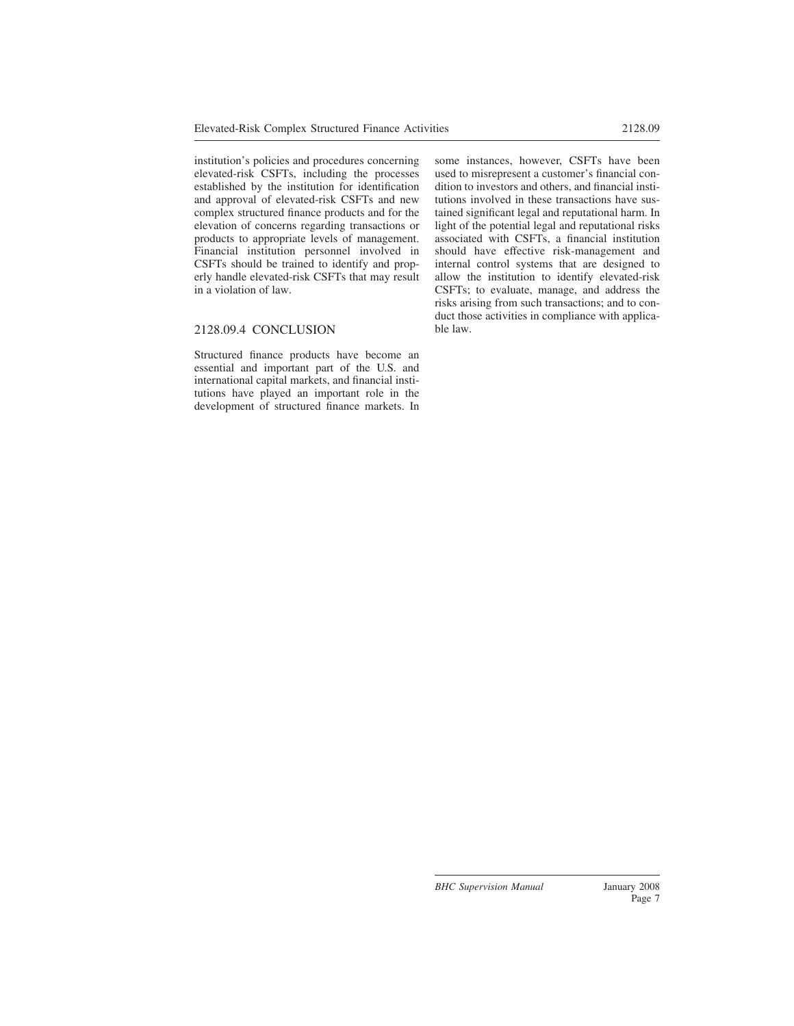institution's policies and procedures concerning elevated-risk CSFTs, including the processes established by the institution for identification and approval of elevated-risk CSFTs and new complex structured finance products and for the elevation of concerns regarding transactions or products to appropriate levels of management. Financial institution personnel involved in CSFTs should be trained to identify and properly handle elevated-risk CSFTs that may result in a violation of law.

### 2128.09.4 CONCLUSION

Structured finance products have become an essential and important part of the U.S. and international capital markets, and financial institutions have played an important role in the development of structured finance markets. In some instances, however, CSFTs have been used to misrepresent a customer's financial condition to investors and others, and financial institutions involved in these transactions have sustained significant legal and reputational harm. In light of the potential legal and reputational risks associated with CSFTs, a financial institution should have effective risk-management and internal control systems that are designed to allow the institution to identify elevated-risk CSFTs; to evaluate, manage, and address the risks arising from such transactions; and to conduct those activities in compliance with applicable law.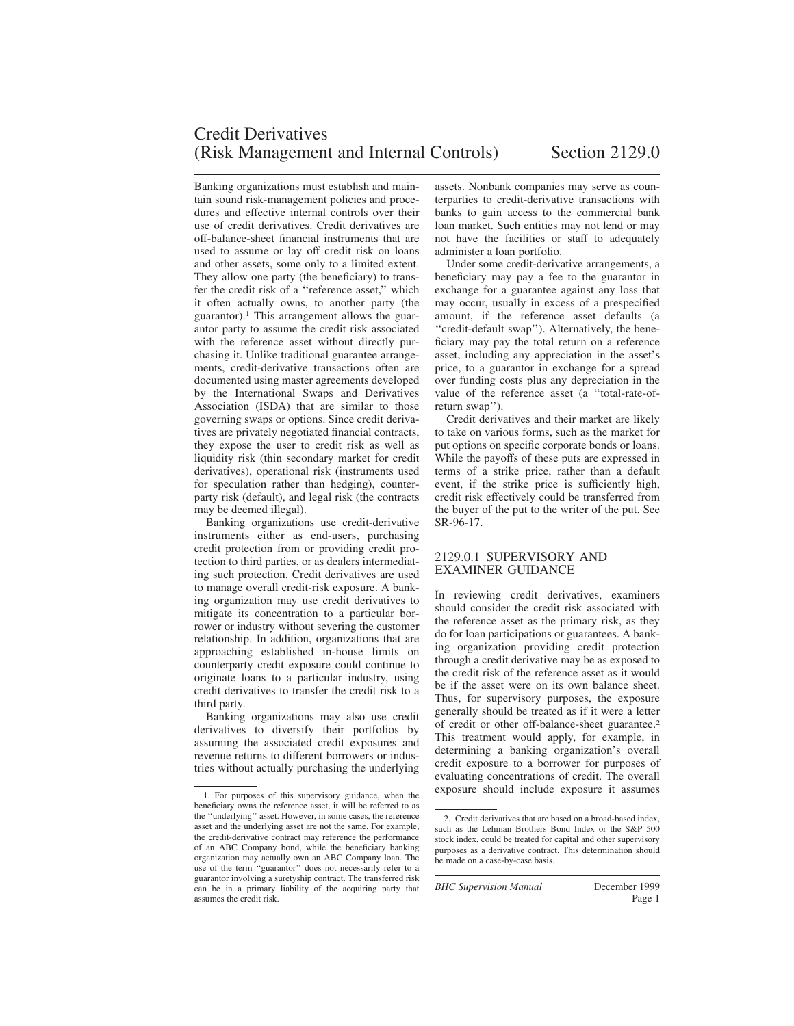# Credit Derivatives (Risk Management and Internal Controls) Section 2129.0

Banking organizations must establish and maintain sound risk-management policies and procedures and effective internal controls over their use of credit derivatives. Credit derivatives are off-balance-sheet financial instruments that are used to assume or lay off credit risk on loans and other assets, some only to a limited extent. They allow one party (the beneficiary) to transfer the credit risk of a ''reference asset,'' which it often actually owns, to another party (the guarantor).<sup>1</sup> This arrangement allows the guarantor party to assume the credit risk associated with the reference asset without directly purchasing it. Unlike traditional guarantee arrangements, credit-derivative transactions often are documented using master agreements developed by the International Swaps and Derivatives Association (ISDA) that are similar to those governing swaps or options. Since credit derivatives are privately negotiated financial contracts, they expose the user to credit risk as well as liquidity risk (thin secondary market for credit derivatives), operational risk (instruments used for speculation rather than hedging), counterparty risk (default), and legal risk (the contracts may be deemed illegal).

Banking organizations use credit-derivative instruments either as end-users, purchasing credit protection from or providing credit protection to third parties, or as dealers intermediating such protection. Credit derivatives are used to manage overall credit-risk exposure. A banking organization may use credit derivatives to mitigate its concentration to a particular borrower or industry without severing the customer relationship. In addition, organizations that are approaching established in-house limits on counterparty credit exposure could continue to originate loans to a particular industry, using credit derivatives to transfer the credit risk to a third party.

Banking organizations may also use credit derivatives to diversify their portfolios by assuming the associated credit exposures and revenue returns to different borrowers or industries without actually purchasing the underlying

assets. Nonbank companies may serve as counterparties to credit-derivative transactions with banks to gain access to the commercial bank loan market. Such entities may not lend or may not have the facilities or staff to adequately administer a loan portfolio.

Under some credit-derivative arrangements, a beneficiary may pay a fee to the guarantor in exchange for a guarantee against any loss that may occur, usually in excess of a prespecified amount, if the reference asset defaults (a ''credit-default swap''). Alternatively, the beneficiary may pay the total return on a reference asset, including any appreciation in the asset's price, to a guarantor in exchange for a spread over funding costs plus any depreciation in the value of the reference asset (a ''total-rate-ofreturn swap'').

Credit derivatives and their market are likely to take on various forms, such as the market for put options on specific corporate bonds or loans. While the payoffs of these puts are expressed in terms of a strike price, rather than a default event, if the strike price is sufficiently high, credit risk effectively could be transferred from the buyer of the put to the writer of the put. See SR-96-17.

### 2129.0.1 SUPERVISORY AND EXAMINER GUIDANCE

In reviewing credit derivatives, examiners should consider the credit risk associated with the reference asset as the primary risk, as they do for loan participations or guarantees. A banking organization providing credit protection through a credit derivative may be as exposed to the credit risk of the reference asset as it would be if the asset were on its own balance sheet. Thus, for supervisory purposes, the exposure generally should be treated as if it were a letter of credit or other off-balance-sheet guarantee.<sup>2</sup> This treatment would apply, for example, in determining a banking organization's overall credit exposure to a borrower for purposes of evaluating concentrations of credit. The overall exposure should include exposure it assumes 1. For purposes of this supervisory guidance, when the

beneficiary owns the reference asset, it will be referred to as the ''underlying'' asset. However, in some cases, the reference asset and the underlying asset are not the same. For example, the credit-derivative contract may reference the performance of an ABC Company bond, while the beneficiary banking organization may actually own an ABC Company loan. The use of the term ''guarantor'' does not necessarily refer to a guarantor involving a suretyship contract. The transferred risk can be in a primary liability of the acquiring party that assumes the credit risk.

<sup>2.</sup> Credit derivatives that are based on a broad-based index, such as the Lehman Brothers Bond Index or the S&P 500 stock index, could be treated for capital and other supervisory purposes as a derivative contract. This determination should be made on a case-by-case basis.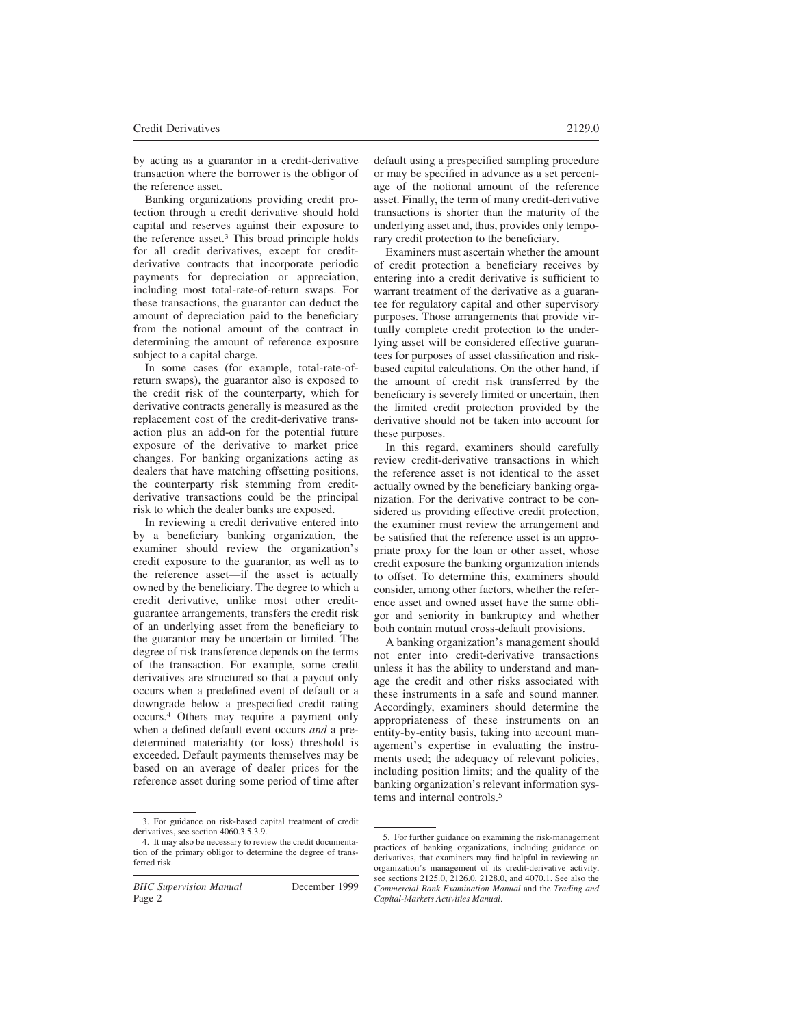by acting as a guarantor in a credit-derivative transaction where the borrower is the obligor of the reference asset.

Banking organizations providing credit protection through a credit derivative should hold capital and reserves against their exposure to the reference asset.<sup>3</sup> This broad principle holds for all credit derivatives, except for creditderivative contracts that incorporate periodic payments for depreciation or appreciation, including most total-rate-of-return swaps. For these transactions, the guarantor can deduct the amount of depreciation paid to the beneficiary from the notional amount of the contract in determining the amount of reference exposure subject to a capital charge.

In some cases (for example, total-rate-ofreturn swaps), the guarantor also is exposed to the credit risk of the counterparty, which for derivative contracts generally is measured as the replacement cost of the credit-derivative transaction plus an add-on for the potential future exposure of the derivative to market price changes. For banking organizations acting as dealers that have matching offsetting positions, the counterparty risk stemming from creditderivative transactions could be the principal risk to which the dealer banks are exposed.

In reviewing a credit derivative entered into by a beneficiary banking organization, the examiner should review the organization's credit exposure to the guarantor, as well as to the reference asset—if the asset is actually owned by the beneficiary. The degree to which a credit derivative, unlike most other creditguarantee arrangements, transfers the credit risk of an underlying asset from the beneficiary to the guarantor may be uncertain or limited. The degree of risk transference depends on the terms of the transaction. For example, some credit derivatives are structured so that a payout only occurs when a predefined event of default or a downgrade below a prespecified credit rating occurs.<sup>4</sup> Others may require a payment only when a defined default event occurs *and* a predetermined materiality (or loss) threshold is exceeded. Default payments themselves may be based on an average of dealer prices for the reference asset during some period of time after default using a prespecified sampling procedure or may be specified in advance as a set percentage of the notional amount of the reference asset. Finally, the term of many credit-derivative transactions is shorter than the maturity of the underlying asset and, thus, provides only temporary credit protection to the beneficiary.

Examiners must ascertain whether the amount of credit protection a beneficiary receives by entering into a credit derivative is sufficient to warrant treatment of the derivative as a guarantee for regulatory capital and other supervisory purposes. Those arrangements that provide virtually complete credit protection to the underlying asset will be considered effective guarantees for purposes of asset classification and riskbased capital calculations. On the other hand, if the amount of credit risk transferred by the beneficiary is severely limited or uncertain, then the limited credit protection provided by the derivative should not be taken into account for these purposes.

In this regard, examiners should carefully review credit-derivative transactions in which the reference asset is not identical to the asset actually owned by the beneficiary banking organization. For the derivative contract to be considered as providing effective credit protection, the examiner must review the arrangement and be satisfied that the reference asset is an appropriate proxy for the loan or other asset, whose credit exposure the banking organization intends to offset. To determine this, examiners should consider, among other factors, whether the reference asset and owned asset have the same obligor and seniority in bankruptcy and whether both contain mutual cross-default provisions.

A banking organization's management should not enter into credit-derivative transactions unless it has the ability to understand and manage the credit and other risks associated with these instruments in a safe and sound manner. Accordingly, examiners should determine the appropriateness of these instruments on an entity-by-entity basis, taking into account management's expertise in evaluating the instruments used; the adequacy of relevant policies, including position limits; and the quality of the banking organization's relevant information systems and internal controls.<sup>5</sup>

<sup>3.</sup> For guidance on risk-based capital treatment of credit derivatives, see section 4060.3.5.3.9.

<sup>4.</sup> It may also be necessary to review the credit documentation of the primary obligor to determine the degree of transferred risk.

<sup>5.</sup> For further guidance on examining the risk-management practices of banking organizations, including guidance on derivatives, that examiners may find helpful in reviewing an organization's management of its credit-derivative activity, see sections 2125.0, 2126.0, 2128.0, and 4070.1. See also the *Commercial Bank Examination Manual* and the *Trading and Capital-Markets Activities Manual*.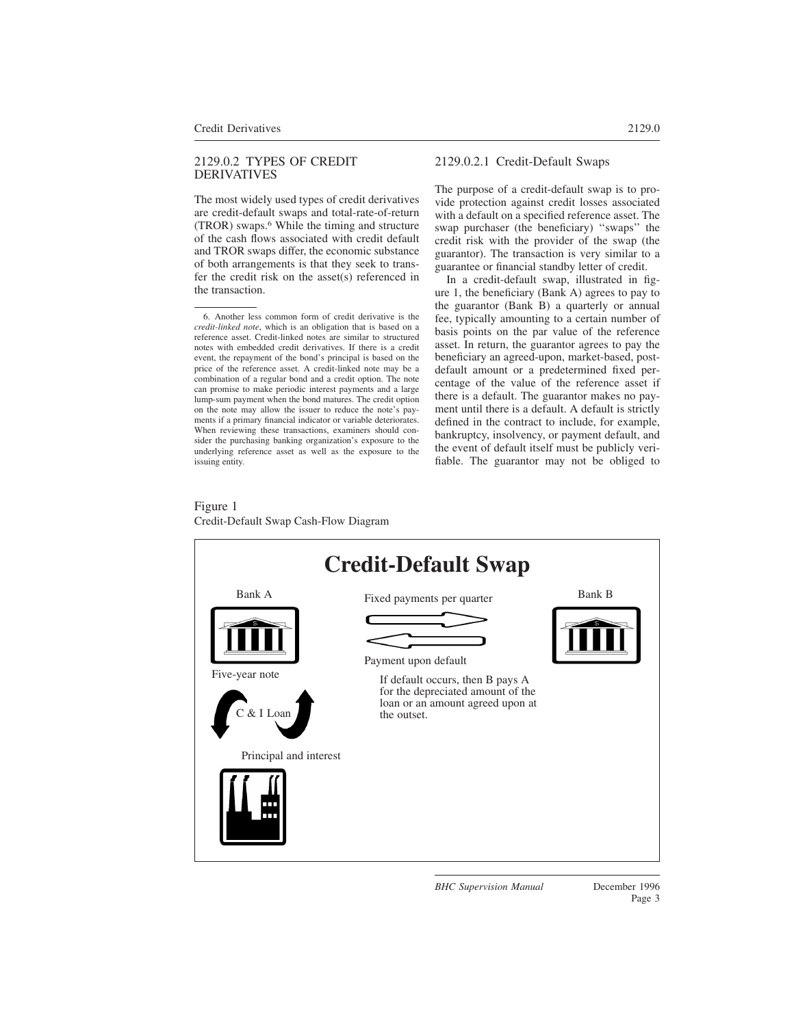#### 2129.0.2 TYPES OF CREDIT **DERIVATIVES**

The most widely used types of credit derivatives are credit-default swaps and total-rate-of-return (TROR) swaps.<sup>6</sup> While the timing and structure of the cash flows associated with credit default and TROR swaps differ, the economic substance of both arrangements is that they seek to transfer the credit risk on the asset(s) referenced in the transaction.

# 2129.0.2.1 Credit-Default Swaps

The purpose of a credit-default swap is to provide protection against credit losses associated with a default on a specified reference asset. The swap purchaser (the beneficiary) ''swaps'' the credit risk with the provider of the swap (the guarantor). The transaction is very similar to a guarantee or financial standby letter of credit.

In a credit-default swap, illustrated in figure 1, the beneficiary (Bank A) agrees to pay to the guarantor (Bank B) a quarterly or annual fee, typically amounting to a certain number of basis points on the par value of the reference asset. In return, the guarantor agrees to pay the beneficiary an agreed-upon, market-based, postdefault amount or a predetermined fixed percentage of the value of the reference asset if there is a default. The guarantor makes no payment until there is a default. A default is strictly defined in the contract to include, for example, bankruptcy, insolvency, or payment default, and the event of default itself must be publicly verifiable. The guarantor may not be obliged to

## Figure 1 Credit-Default Swap Cash-Flow Diagram



<sup>6.</sup> Another less common form of credit derivative is the *credit-linked note*, which is an obligation that is based on a reference asset. Credit-linked notes are similar to structured notes with embedded credit derivatives. If there is a credit event, the repayment of the bond's principal is based on the price of the reference asset. A credit-linked note may be a combination of a regular bond and a credit option. The note can promise to make periodic interest payments and a large lump-sum payment when the bond matures. The credit option on the note may allow the issuer to reduce the note's payments if a primary financial indicator or variable deteriorates. When reviewing these transactions, examiners should consider the purchasing banking organization's exposure to the underlying reference asset as well as the exposure to the issuing entity.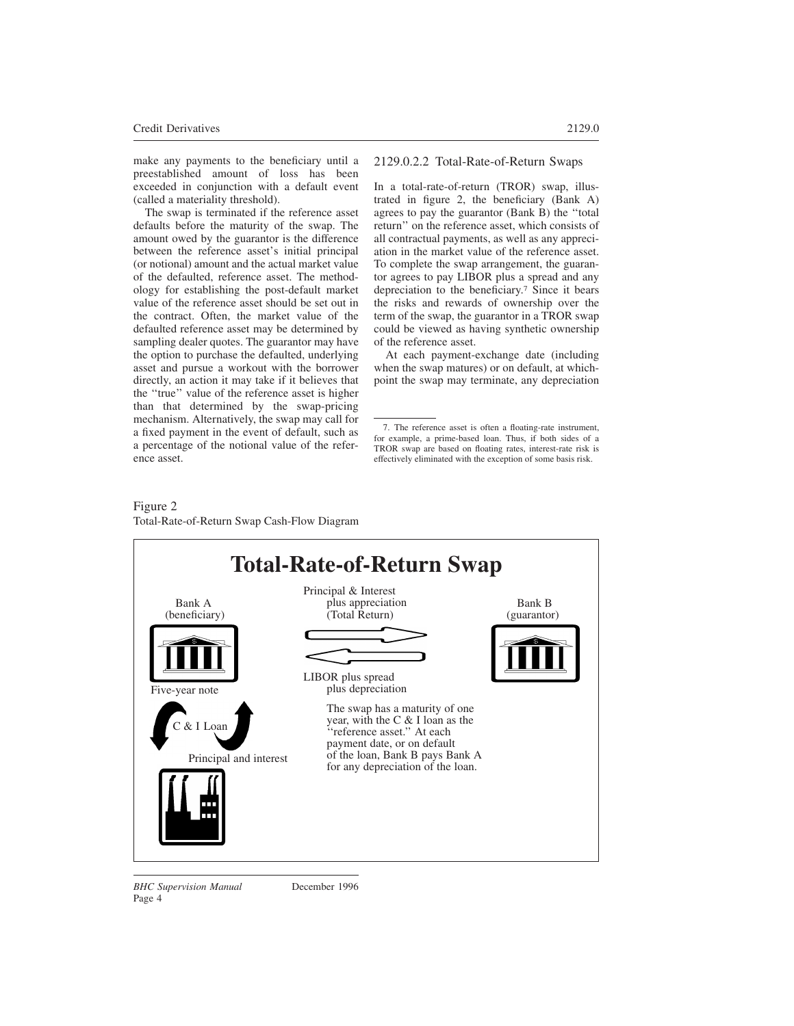make any payments to the beneficiary until a preestablished amount of loss has been exceeded in conjunction with a default event (called a materiality threshold).

The swap is terminated if the reference asset defaults before the maturity of the swap. The amount owed by the guarantor is the difference between the reference asset's initial principal (or notional) amount and the actual market value of the defaulted, reference asset. The methodology for establishing the post-default market value of the reference asset should be set out in the contract. Often, the market value of the defaulted reference asset may be determined by sampling dealer quotes. The guarantor may have the option to purchase the defaulted, underlying asset and pursue a workout with the borrower directly, an action it may take if it believes that the ''true'' value of the reference asset is higher than that determined by the swap-pricing mechanism. Alternatively, the swap may call for a fixed payment in the event of default, such as a percentage of the notional value of the reference asset.

2129.0.2.2 Total-Rate-of-Return Swaps

In a total-rate-of-return (TROR) swap, illustrated in figure 2, the beneficiary (Bank A) agrees to pay the guarantor (Bank B) the ''total return'' on the reference asset, which consists of all contractual payments, as well as any appreciation in the market value of the reference asset. To complete the swap arrangement, the guarantor agrees to pay LIBOR plus a spread and any depreciation to the beneficiary.<sup>7</sup> Since it bears the risks and rewards of ownership over the term of the swap, the guarantor in a TROR swap could be viewed as having synthetic ownership of the reference asset.

At each payment-exchange date (including when the swap matures) or on default, at whichpoint the swap may terminate, any depreciation

#### Figure 2 Total-Rate-of-Return Swap Cash-Flow Diagram



<sup>7.</sup> The reference asset is often a floating-rate instrument, for example, a prime-based loan. Thus, if both sides of a TROR swap are based on floating rates, interest-rate risk is effectively eliminated with the exception of some basis risk.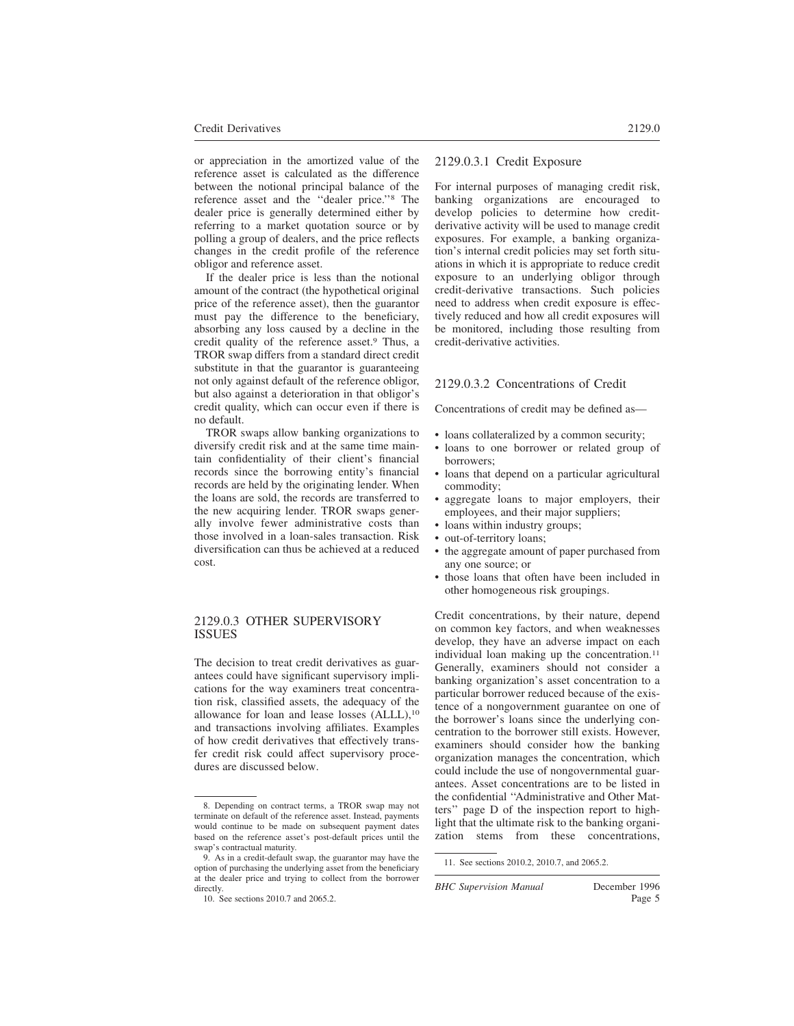or appreciation in the amortized value of the reference asset is calculated as the difference between the notional principal balance of the reference asset and the ''dealer price.''<sup>8</sup> The dealer price is generally determined either by referring to a market quotation source or by polling a group of dealers, and the price reflects changes in the credit profile of the reference obligor and reference asset.

If the dealer price is less than the notional amount of the contract (the hypothetical original price of the reference asset), then the guarantor must pay the difference to the beneficiary, absorbing any loss caused by a decline in the credit quality of the reference asset.<sup>9</sup> Thus, a TROR swap differs from a standard direct credit substitute in that the guarantor is guaranteeing not only against default of the reference obligor, but also against a deterioration in that obligor's credit quality, which can occur even if there is no default.

TROR swaps allow banking organizations to diversify credit risk and at the same time maintain confidentiality of their client's financial records since the borrowing entity's financial records are held by the originating lender. When the loans are sold, the records are transferred to the new acquiring lender. TROR swaps generally involve fewer administrative costs than those involved in a loan-sales transaction. Risk diversification can thus be achieved at a reduced cost.

#### 2129.0.3 OTHER SUPERVISORY ISSUES

The decision to treat credit derivatives as guarantees could have significant supervisory implications for the way examiners treat concentration risk, classified assets, the adequacy of the allowance for loan and lease losses (ALLL),<sup>10</sup> and transactions involving affiliates. Examples of how credit derivatives that effectively transfer credit risk could affect supervisory procedures are discussed below.

## 2129.0.3.1 Credit Exposure

For internal purposes of managing credit risk, banking organizations are encouraged to develop policies to determine how creditderivative activity will be used to manage credit exposures. For example, a banking organization's internal credit policies may set forth situations in which it is appropriate to reduce credit exposure to an underlying obligor through credit-derivative transactions. Such policies need to address when credit exposure is effectively reduced and how all credit exposures will be monitored, including those resulting from credit-derivative activities.

### 2129.0.3.2 Concentrations of Credit

Concentrations of credit may be defined as—

- loans collateralized by a common security;
- loans to one borrower or related group of borrowers;
- loans that depend on a particular agricultural commodity;
- aggregate loans to major employers, their employees, and their major suppliers;
- loans within industry groups;
- out-of-territory loans;
- the aggregate amount of paper purchased from any one source; or
- those loans that often have been included in other homogeneous risk groupings.

Credit concentrations, by their nature, depend on common key factors, and when weaknesses develop, they have an adverse impact on each individual loan making up the concentration.<sup>11</sup> Generally, examiners should not consider a banking organization's asset concentration to a particular borrower reduced because of the existence of a nongovernment guarantee on one of the borrower's loans since the underlying concentration to the borrower still exists. However, examiners should consider how the banking organization manages the concentration, which could include the use of nongovernmental guarantees. Asset concentrations are to be listed in the confidential ''Administrative and Other Matters'' page D of the inspection report to highlight that the ultimate risk to the banking organization stems from these concentrations,

<sup>8.</sup> Depending on contract terms, a TROR swap may not terminate on default of the reference asset. Instead, payments would continue to be made on subsequent payment dates based on the reference asset's post-default prices until the swap's contractual maturity.

<sup>9.</sup> As in a credit-default swap, the guarantor may have the option of purchasing the underlying asset from the beneficiary at the dealer price and trying to collect from the borrower directly.

<sup>10.</sup> See sections 2010.7 and 2065.2.

<sup>11.</sup> See sections 2010.2, 2010.7, and 2065.2.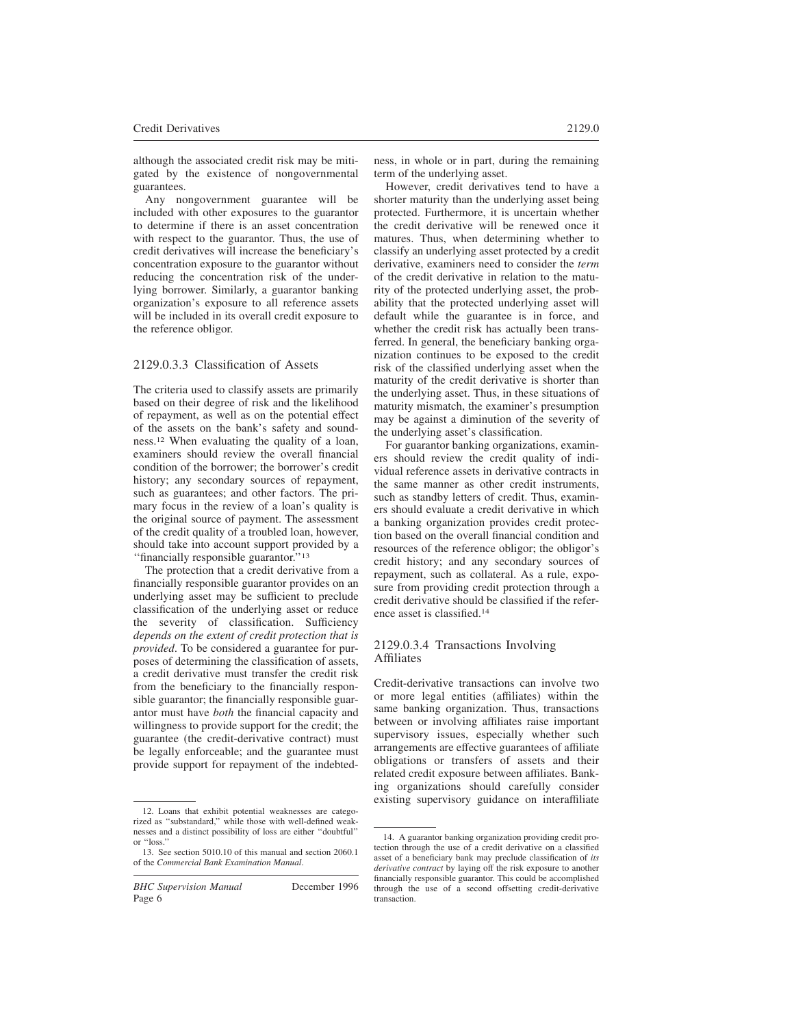although the associated credit risk may be mitigated by the existence of nongovernmental guarantees.

Any nongovernment guarantee will be included with other exposures to the guarantor to determine if there is an asset concentration with respect to the guarantor. Thus, the use of credit derivatives will increase the beneficiary's concentration exposure to the guarantor without reducing the concentration risk of the underlying borrower. Similarly, a guarantor banking organization's exposure to all reference assets will be included in its overall credit exposure to the reference obligor.

#### 2129.0.3.3 Classification of Assets

The criteria used to classify assets are primarily based on their degree of risk and the likelihood of repayment, as well as on the potential effect of the assets on the bank's safety and soundness.<sup>12</sup> When evaluating the quality of a loan, examiners should review the overall financial condition of the borrower; the borrower's credit history; any secondary sources of repayment, such as guarantees; and other factors. The primary focus in the review of a loan's quality is the original source of payment. The assessment of the credit quality of a troubled loan, however, should take into account support provided by a ''financially responsible guarantor.''<sup>13</sup>

The protection that a credit derivative from a financially responsible guarantor provides on an underlying asset may be sufficient to preclude classification of the underlying asset or reduce the severity of classification. Sufficiency *depends on the extent of credit protection that is provided*. To be considered a guarantee for purposes of determining the classification of assets, a credit derivative must transfer the credit risk from the beneficiary to the financially responsible guarantor; the financially responsible guarantor must have *both* the financial capacity and willingness to provide support for the credit; the guarantee (the credit-derivative contract) must be legally enforceable; and the guarantee must provide support for repayment of the indebtedness, in whole or in part, during the remaining term of the underlying asset.

However, credit derivatives tend to have a shorter maturity than the underlying asset being protected. Furthermore, it is uncertain whether the credit derivative will be renewed once it matures. Thus, when determining whether to classify an underlying asset protected by a credit derivative, examiners need to consider the *term* of the credit derivative in relation to the maturity of the protected underlying asset, the probability that the protected underlying asset will default while the guarantee is in force, and whether the credit risk has actually been transferred. In general, the beneficiary banking organization continues to be exposed to the credit risk of the classified underlying asset when the maturity of the credit derivative is shorter than the underlying asset. Thus, in these situations of maturity mismatch, the examiner's presumption may be against a diminution of the severity of the underlying asset's classification.

For guarantor banking organizations, examiners should review the credit quality of individual reference assets in derivative contracts in the same manner as other credit instruments, such as standby letters of credit. Thus, examiners should evaluate a credit derivative in which a banking organization provides credit protection based on the overall financial condition and resources of the reference obligor; the obligor's credit history; and any secondary sources of repayment, such as collateral. As a rule, exposure from providing credit protection through a credit derivative should be classified if the reference asset is classified.<sup>14</sup>

### 2129.0.3.4 Transactions Involving Affiliates

Credit-derivative transactions can involve two or more legal entities (affiliates) within the same banking organization. Thus, transactions between or involving affiliates raise important supervisory issues, especially whether such arrangements are effective guarantees of affiliate obligations or transfers of assets and their related credit exposure between affiliates. Banking organizations should carefully consider existing supervisory guidance on interaffiliate

<sup>12.</sup> Loans that exhibit potential weaknesses are categorized as ''substandard,'' while those with well-defined weaknesses and a distinct possibility of loss are either ''doubtful'' or ''loss.''

<sup>13.</sup> See section 5010.10 of this manual and section 2060.1 of the *Commercial Bank Examination Manual*.

<sup>14.</sup> A guarantor banking organization providing credit protection through the use of a credit derivative on a classified asset of a beneficiary bank may preclude classification of *its derivative contract* by laying off the risk exposure to another financially responsible guarantor. This could be accomplished through the use of a second offsetting credit-derivative transaction.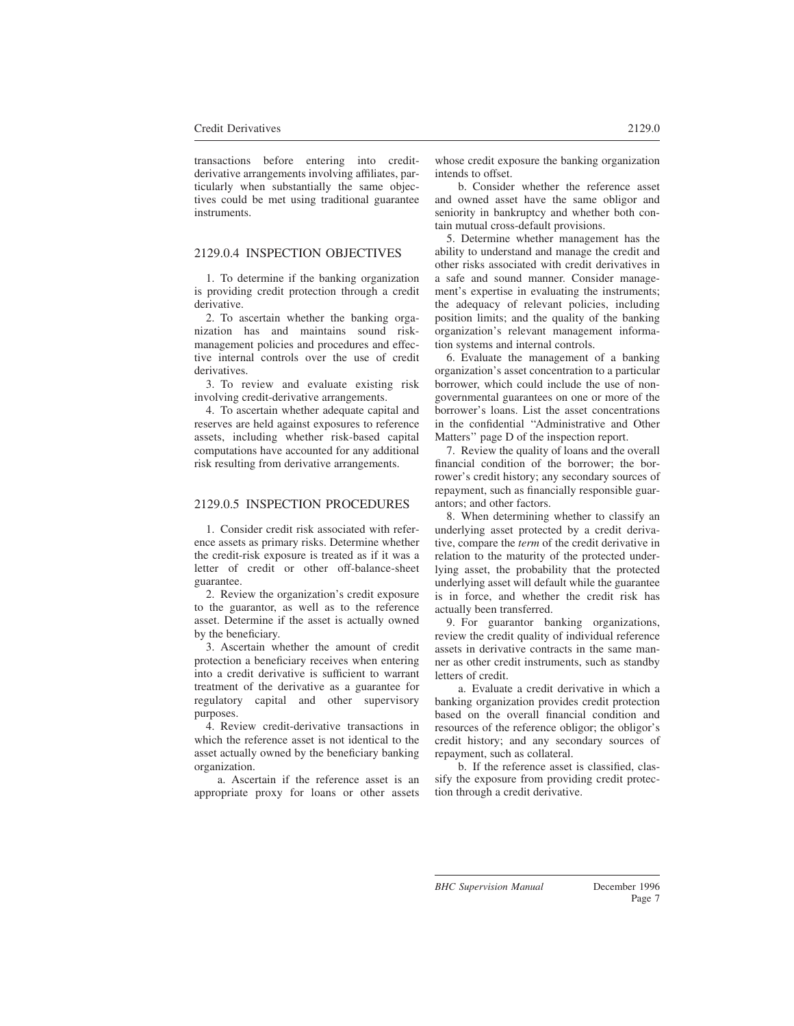transactions before entering into creditderivative arrangements involving affiliates, particularly when substantially the same objectives could be met using traditional guarantee instruments.

## 2129.0.4 INSPECTION OBJECTIVES

1. To determine if the banking organization is providing credit protection through a credit derivative.

2. To ascertain whether the banking organization has and maintains sound riskmanagement policies and procedures and effective internal controls over the use of credit derivatives.

3. To review and evaluate existing risk involving credit-derivative arrangements.

4. To ascertain whether adequate capital and reserves are held against exposures to reference assets, including whether risk-based capital computations have accounted for any additional risk resulting from derivative arrangements.

### 2129.0.5 INSPECTION PROCEDURES

1. Consider credit risk associated with reference assets as primary risks. Determine whether the credit-risk exposure is treated as if it was a letter of credit or other off-balance-sheet guarantee.

2. Review the organization's credit exposure to the guarantor, as well as to the reference asset. Determine if the asset is actually owned by the beneficiary.

3. Ascertain whether the amount of credit protection a beneficiary receives when entering into a credit derivative is sufficient to warrant treatment of the derivative as a guarantee for regulatory capital and other supervisory purposes.

4. Review credit-derivative transactions in which the reference asset is not identical to the asset actually owned by the beneficiary banking organization.

a. Ascertain if the reference asset is an appropriate proxy for loans or other assets whose credit exposure the banking organization intends to offset.

b. Consider whether the reference asset and owned asset have the same obligor and seniority in bankruptcy and whether both contain mutual cross-default provisions.

5. Determine whether management has the ability to understand and manage the credit and other risks associated with credit derivatives in a safe and sound manner. Consider management's expertise in evaluating the instruments; the adequacy of relevant policies, including position limits; and the quality of the banking organization's relevant management information systems and internal controls.

6. Evaluate the management of a banking organization's asset concentration to a particular borrower, which could include the use of nongovernmental guarantees on one or more of the borrower's loans. List the asset concentrations in the confidential ''Administrative and Other Matters'' page D of the inspection report.

7. Review the quality of loans and the overall financial condition of the borrower; the borrower's credit history; any secondary sources of repayment, such as financially responsible guarantors; and other factors.

8. When determining whether to classify an underlying asset protected by a credit derivative, compare the *term* of the credit derivative in relation to the maturity of the protected underlying asset, the probability that the protected underlying asset will default while the guarantee is in force, and whether the credit risk has actually been transferred.

9. For guarantor banking organizations, review the credit quality of individual reference assets in derivative contracts in the same manner as other credit instruments, such as standby letters of credit.

a. Evaluate a credit derivative in which a banking organization provides credit protection based on the overall financial condition and resources of the reference obligor; the obligor's credit history; and any secondary sources of repayment, such as collateral.

b. If the reference asset is classified, classify the exposure from providing credit protection through a credit derivative.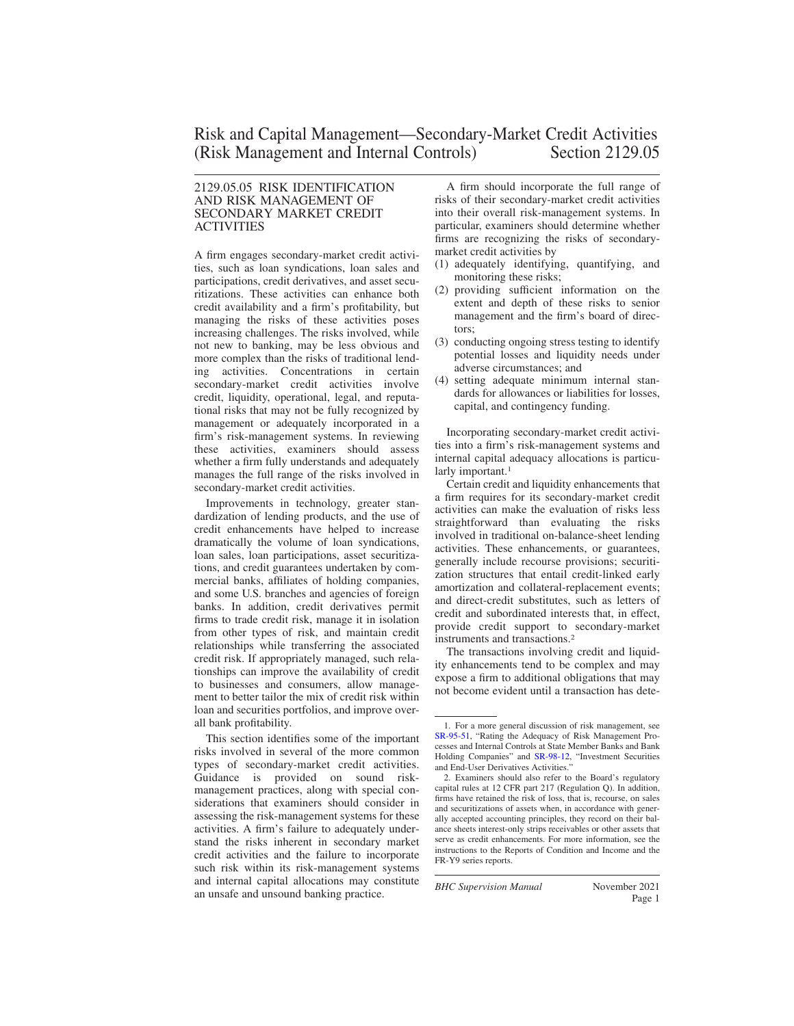#### 2129.05.05 RISK IDENTIFICATION AND RISK MANAGEMENT OF SECONDARY MARKET CREDIT ACTIVITIES

A firm engages secondary-market credit activities, such as loan syndications, loan sales and participations, credit derivatives, and asset securitizations. These activities can enhance both credit availability and a firm's profitability, but managing the risks of these activities poses increasing challenges. The risks involved, while not new to banking, may be less obvious and more complex than the risks of traditional lending activities. Concentrations in certain secondary-market credit activities involve credit, liquidity, operational, legal, and reputational risks that may not be fully recognized by management or adequately incorporated in a firm's risk-management systems. In reviewing these activities, examiners should assess whether a firm fully understands and adequately manages the full range of the risks involved in secondary-market credit activities.

Improvements in technology, greater standardization of lending products, and the use of credit enhancements have helped to increase dramatically the volume of loan syndications, loan sales, loan participations, asset securitizations, and credit guarantees undertaken by commercial banks, affiliates of holding companies, and some U.S. branches and agencies of foreign banks. In addition, credit derivatives permit firms to trade credit risk, manage it in isolation from other types of risk, and maintain credit relationships while transferring the associated credit risk. If appropriately managed, such relationships can improve the availability of credit to businesses and consumers, allow management to better tailor the mix of credit risk within loan and securities portfolios, and improve overall bank profitability.

This section identifies some of the important risks involved in several of the more common types of secondary-market credit activities. Guidance is provided on sound riskmanagement practices, along with special considerations that examiners should consider in assessing the risk-management systems for these activities. A firm's failure to adequately understand the risks inherent in secondary market credit activities and the failure to incorporate such risk within its risk-management systems and internal capital allocations may constitute an unsafe and unsound banking practice.

A firm should incorporate the full range of risks of their secondary-market credit activities into their overall risk-management systems. In particular, examiners should determine whether firms are recognizing the risks of secondarymarket credit activities by

- (1) adequately identifying, quantifying, and monitoring these risks;
- (2) providing sufficient information on the extent and depth of these risks to senior management and the firm's board of directors;
- (3) conducting ongoing stress testing to identify potential losses and liquidity needs under adverse circumstances; and
- (4) setting adequate minimum internal standards for allowances or liabilities for losses, capital, and contingency funding.

Incorporating secondary-market credit activities into a firm's risk-management systems and internal capital adequacy allocations is particularly important.<sup>1</sup>

Certain credit and liquidity enhancements that a firm requires for its secondary-market credit activities can make the evaluation of risks less straightforward than evaluating the risks involved in traditional on-balance-sheet lending activities. These enhancements, or guarantees, generally include recourse provisions; securitization structures that entail credit-linked early amortization and collateral-replacement events; and direct-credit substitutes, such as letters of credit and subordinated interests that, in effect, provide credit support to secondary-market instruments and transactions.<sup>2</sup>

The transactions involving credit and liquidity enhancements tend to be complex and may expose a firm to additional obligations that may not become evident until a transaction has dete-

<sup>1.</sup> For a more general discussion of risk management, see [SR-95-51,](https://www.federalreserve.gov/boarddocs/srletters/1995/sr9551.htm) "Rating the Adequacy of Risk Management Processes and Internal Controls at State Member Banks and Bank Holding Companies" and [SR-98-12,](https://www.federalreserve.gov/boarddocs/srletters/1998/SR9812.HTM) "Investment Securities and End-User Derivatives Activities."

<sup>2.</sup> Examiners should also refer to the Board's regulatory capital rules at 12 CFR part 217 (Regulation Q). In addition, firms have retained the risk of loss, that is, recourse, on sales and securitizations of assets when, in accordance with generally accepted accounting principles, they record on their balance sheets interest-only strips receivables or other assets that serve as credit enhancements. For more information, see the instructions to the Reports of Condition and Income and the FR-Y9 series reports.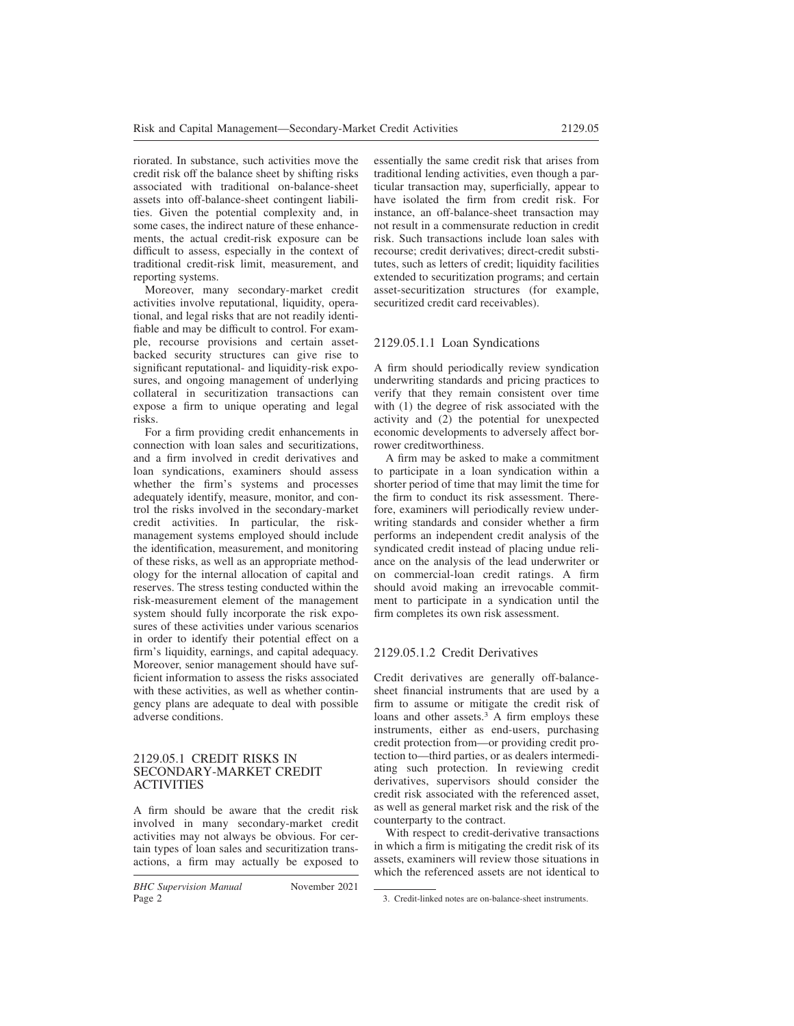riorated. In substance, such activities move the credit risk off the balance sheet by shifting risks associated with traditional on-balance-sheet assets into off-balance-sheet contingent liabilities. Given the potential complexity and, in some cases, the indirect nature of these enhancements, the actual credit-risk exposure can be difficult to assess, especially in the context of traditional credit-risk limit, measurement, and reporting systems.

Moreover, many secondary-market credit activities involve reputational, liquidity, operational, and legal risks that are not readily identifiable and may be difficult to control. For example, recourse provisions and certain assetbacked security structures can give rise to significant reputational- and liquidity-risk exposures, and ongoing management of underlying collateral in securitization transactions can expose a firm to unique operating and legal risks.

For a firm providing credit enhancements in connection with loan sales and securitizations, and a firm involved in credit derivatives and loan syndications, examiners should assess whether the firm's systems and processes adequately identify, measure, monitor, and control the risks involved in the secondary-market credit activities. In particular, the riskmanagement systems employed should include the identification, measurement, and monitoring of these risks, as well as an appropriate methodology for the internal allocation of capital and reserves. The stress testing conducted within the risk-measurement element of the management system should fully incorporate the risk exposures of these activities under various scenarios in order to identify their potential effect on a firm's liquidity, earnings, and capital adequacy. Moreover, senior management should have sufficient information to assess the risks associated with these activities, as well as whether contingency plans are adequate to deal with possible adverse conditions.

#### 2129.05.1 CREDIT RISKS IN SECONDARY-MARKET CREDIT ACTIVITIES

A firm should be aware that the credit risk involved in many secondary-market credit activities may not always be obvious. For certain types of loan sales and securitization transactions, a firm may actually be exposed to essentially the same credit risk that arises from traditional lending activities, even though a particular transaction may, superficially, appear to have isolated the firm from credit risk. For instance, an off-balance-sheet transaction may not result in a commensurate reduction in credit risk. Such transactions include loan sales with recourse; credit derivatives; direct-credit substitutes, such as letters of credit; liquidity facilities extended to securitization programs; and certain asset-securitization structures (for example, securitized credit card receivables).

# 2129.05.1.1 Loan Syndications

A firm should periodically review syndication underwriting standards and pricing practices to verify that they remain consistent over time with (1) the degree of risk associated with the activity and (2) the potential for unexpected economic developments to adversely affect borrower creditworthiness.

A firm may be asked to make a commitment to participate in a loan syndication within a shorter period of time that may limit the time for the firm to conduct its risk assessment. Therefore, examiners will periodically review underwriting standards and consider whether a firm performs an independent credit analysis of the syndicated credit instead of placing undue reliance on the analysis of the lead underwriter or on commercial-loan credit ratings. A firm should avoid making an irrevocable commitment to participate in a syndication until the firm completes its own risk assessment.

# 2129.05.1.2 Credit Derivatives

Credit derivatives are generally off-balancesheet financial instruments that are used by a firm to assume or mitigate the credit risk of loans and other assets. $3$  A firm employs these instruments, either as end-users, purchasing credit protection from—or providing credit protection to—third parties, or as dealers intermediating such protection. In reviewing credit derivatives, supervisors should consider the credit risk associated with the referenced asset, as well as general market risk and the risk of the counterparty to the contract.

With respect to credit-derivative transactions in which a firm is mitigating the credit risk of its assets, examiners will review those situations in which the referenced assets are not identical to

<sup>3.</sup> Credit-linked notes are on-balance-sheet instruments.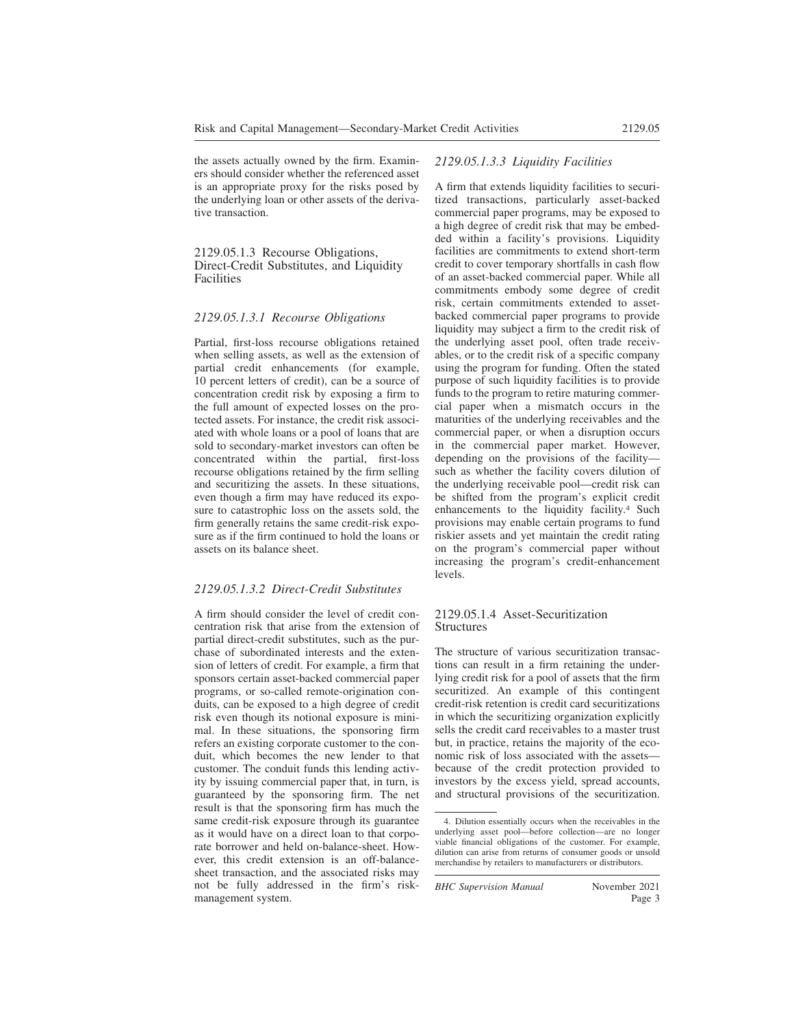the assets actually owned by the firm. Examiners should consider whether the referenced asset is an appropriate proxy for the risks posed by the underlying loan or other assets of the derivative transaction.

2129.05.1.3 Recourse Obligations, Direct-Credit Substitutes, and Liquidity Facilities

#### *2129.05.1.3.1 Recourse Obligations*

Partial, first-loss recourse obligations retained when selling assets, as well as the extension of partial credit enhancements (for example, 10 percent letters of credit), can be a source of concentration credit risk by exposing a firm to the full amount of expected losses on the protected assets. For instance, the credit risk associated with whole loans or a pool of loans that are sold to secondary-market investors can often be concentrated within the partial, first-loss recourse obligations retained by the firm selling and securitizing the assets. In these situations, even though a firm may have reduced its exposure to catastrophic loss on the assets sold, the firm generally retains the same credit-risk exposure as if the firm continued to hold the loans or assets on its balance sheet.

#### *2129.05.1.3.2 Direct-Credit Substitutes*

A firm should consider the level of credit concentration risk that arise from the extension of partial direct-credit substitutes, such as the purchase of subordinated interests and the extension of letters of credit. For example, a firm that sponsors certain asset-backed commercial paper programs, or so-called remote-origination conduits, can be exposed to a high degree of credit risk even though its notional exposure is minimal. In these situations, the sponsoring firm refers an existing corporate customer to the conduit, which becomes the new lender to that customer. The conduit funds this lending activity by issuing commercial paper that, in turn, is guaranteed by the sponsoring firm. The net result is that the sponsoring firm has much the same credit-risk exposure through its guarantee as it would have on a direct loan to that corporate borrower and held on-balance-sheet. However, this credit extension is an off-balancesheet transaction, and the associated risks may not be fully addressed in the firm's riskmanagement system.

#### *2129.05.1.3.3 Liquidity Facilities*

A firm that extends liquidity facilities to securitized transactions, particularly asset-backed commercial paper programs, may be exposed to a high degree of credit risk that may be embedded within a facility's provisions. Liquidity facilities are commitments to extend short-term credit to cover temporary shortfalls in cash flow of an asset-backed commercial paper. While all commitments embody some degree of credit risk, certain commitments extended to assetbacked commercial paper programs to provide liquidity may subject a firm to the credit risk of the underlying asset pool, often trade receivables, or to the credit risk of a specific company using the program for funding. Often the stated purpose of such liquidity facilities is to provide funds to the program to retire maturing commercial paper when a mismatch occurs in the maturities of the underlying receivables and the commercial paper, or when a disruption occurs in the commercial paper market. However, depending on the provisions of the facility such as whether the facility covers dilution of the underlying receivable pool—credit risk can be shifted from the program's explicit credit enhancements to the liquidity facility.<sup>4</sup> Such provisions may enable certain programs to fund riskier assets and yet maintain the credit rating on the program's commercial paper without increasing the program's credit-enhancement levels.

#### 2129.05.1.4 Asset-Securitization **Structures**

The structure of various securitization transactions can result in a firm retaining the underlying credit risk for a pool of assets that the firm securitized. An example of this contingent credit-risk retention is credit card securitizations in which the securitizing organization explicitly sells the credit card receivables to a master trust but, in practice, retains the majority of the economic risk of loss associated with the assets because of the credit protection provided to investors by the excess yield, spread accounts, and structural provisions of the securitization.

<sup>4.</sup> Dilution essentially occurs when the receivables in the underlying asset pool—before collection—are no longer viable financial obligations of the customer. For example, dilution can arise from returns of consumer goods or unsold merchandise by retailers to manufacturers or distributors.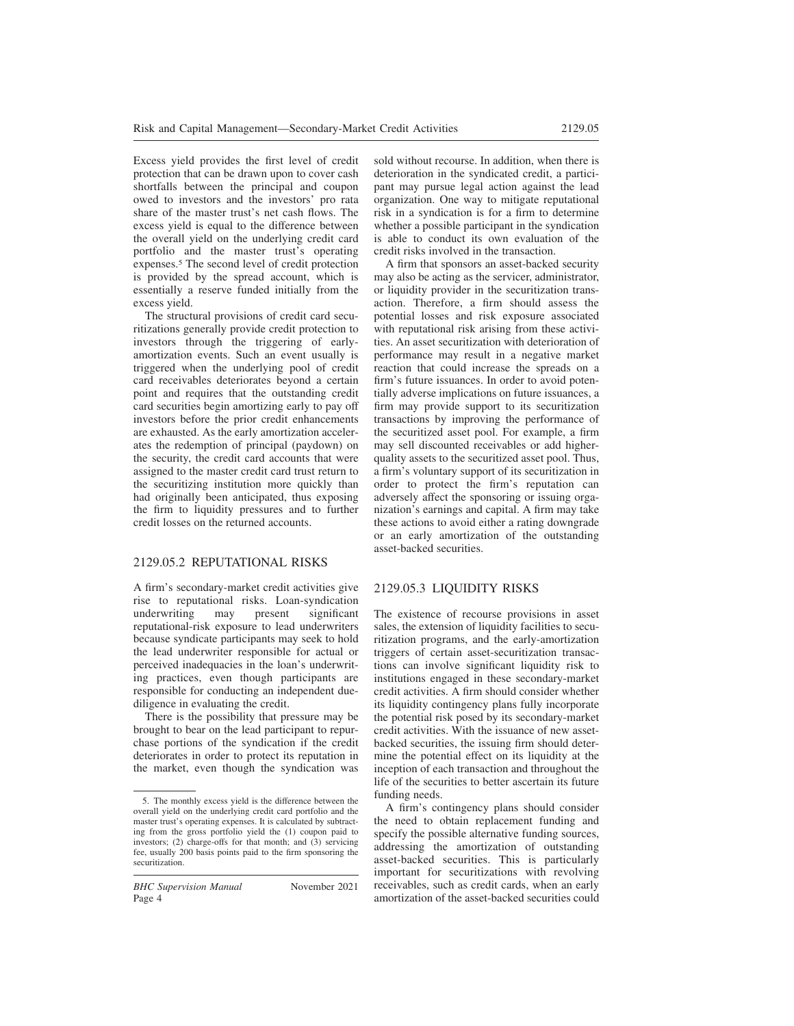Excess yield provides the first level of credit protection that can be drawn upon to cover cash shortfalls between the principal and coupon owed to investors and the investors' pro rata share of the master trust's net cash flows. The excess yield is equal to the difference between the overall yield on the underlying credit card portfolio and the master trust's operating expenses.<sup>5</sup> The second level of credit protection is provided by the spread account, which is essentially a reserve funded initially from the excess yield.

The structural provisions of credit card securitizations generally provide credit protection to investors through the triggering of earlyamortization events. Such an event usually is triggered when the underlying pool of credit card receivables deteriorates beyond a certain point and requires that the outstanding credit card securities begin amortizing early to pay off investors before the prior credit enhancements are exhausted. As the early amortization accelerates the redemption of principal (paydown) on the security, the credit card accounts that were assigned to the master credit card trust return to the securitizing institution more quickly than had originally been anticipated, thus exposing the firm to liquidity pressures and to further credit losses on the returned accounts.

### 2129.05.2 REPUTATIONAL RISKS

A firm's secondary-market credit activities give rise to reputational risks. Loan-syndication underwriting may present significant reputational-risk exposure to lead underwriters because syndicate participants may seek to hold the lead underwriter responsible for actual or perceived inadequacies in the loan's underwriting practices, even though participants are responsible for conducting an independent duediligence in evaluating the credit.

There is the possibility that pressure may be brought to bear on the lead participant to repurchase portions of the syndication if the credit deteriorates in order to protect its reputation in the market, even though the syndication was sold without recourse. In addition, when there is deterioration in the syndicated credit, a participant may pursue legal action against the lead organization. One way to mitigate reputational risk in a syndication is for a firm to determine whether a possible participant in the syndication is able to conduct its own evaluation of the credit risks involved in the transaction.

A firm that sponsors an asset-backed security may also be acting as the servicer, administrator, or liquidity provider in the securitization transaction. Therefore, a firm should assess the potential losses and risk exposure associated with reputational risk arising from these activities. An asset securitization with deterioration of performance may result in a negative market reaction that could increase the spreads on a firm's future issuances. In order to avoid potentially adverse implications on future issuances, a firm may provide support to its securitization transactions by improving the performance of the securitized asset pool. For example, a firm may sell discounted receivables or add higherquality assets to the securitized asset pool. Thus, a firm's voluntary support of its securitization in order to protect the firm's reputation can adversely affect the sponsoring or issuing organization's earnings and capital. A firm may take these actions to avoid either a rating downgrade or an early amortization of the outstanding asset-backed securities.

# 2129.05.3 LIQUIDITY RISKS

The existence of recourse provisions in asset sales, the extension of liquidity facilities to securitization programs, and the early-amortization triggers of certain asset-securitization transactions can involve significant liquidity risk to institutions engaged in these secondary-market credit activities. A firm should consider whether its liquidity contingency plans fully incorporate the potential risk posed by its secondary-market credit activities. With the issuance of new assetbacked securities, the issuing firm should determine the potential effect on its liquidity at the inception of each transaction and throughout the life of the securities to better ascertain its future funding needs.

A firm's contingency plans should consider the need to obtain replacement funding and specify the possible alternative funding sources, addressing the amortization of outstanding asset-backed securities. This is particularly important for securitizations with revolving receivables, such as credit cards, when an early amortization of the asset-backed securities could

<sup>5.</sup> The monthly excess yield is the difference between the overall yield on the underlying credit card portfolio and the master trust's operating expenses. It is calculated by subtracting from the gross portfolio yield the (1) coupon paid to investors; (2) charge-offs for that month; and (3) servicing fee, usually 200 basis points paid to the firm sponsoring the securitization.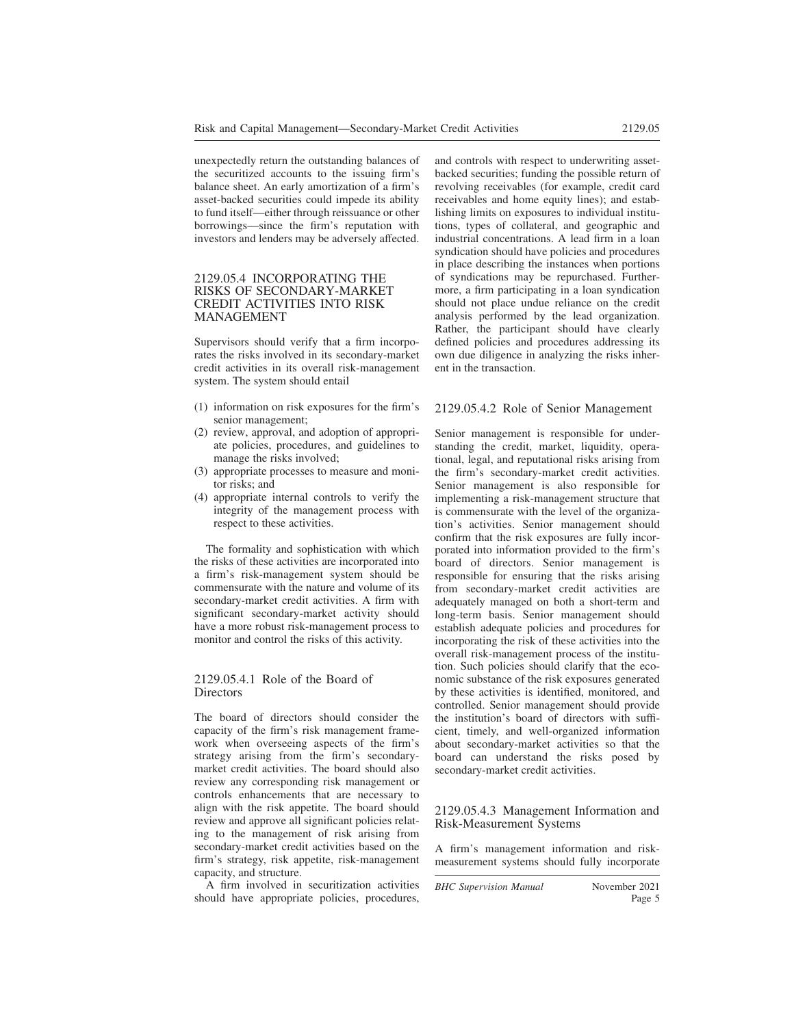unexpectedly return the outstanding balances of the securitized accounts to the issuing firm's balance sheet. An early amortization of a firm's asset-backed securities could impede its ability to fund itself—either through reissuance or other borrowings—since the firm's reputation with investors and lenders may be adversely affected.

#### 2129.05.4 INCORPORATING THE RISKS OF SECONDARY-MARKET CREDIT ACTIVITIES INTO RISK MANAGEMENT

Supervisors should verify that a firm incorporates the risks involved in its secondary-market credit activities in its overall risk-management system. The system should entail

- (1) information on risk exposures for the firm's senior management;
- (2) review, approval, and adoption of appropriate policies, procedures, and guidelines to manage the risks involved;
- (3) appropriate processes to measure and monitor risks; and
- (4) appropriate internal controls to verify the integrity of the management process with respect to these activities.

The formality and sophistication with which the risks of these activities are incorporated into a firm's risk-management system should be commensurate with the nature and volume of its secondary-market credit activities. A firm with significant secondary-market activity should have a more robust risk-management process to monitor and control the risks of this activity.

#### 2129.05.4.1 Role of the Board of **Directors**

The board of directors should consider the capacity of the firm's risk management framework when overseeing aspects of the firm's strategy arising from the firm's secondarymarket credit activities. The board should also review any corresponding risk management or controls enhancements that are necessary to align with the risk appetite. The board should review and approve all significant policies relating to the management of risk arising from secondary-market credit activities based on the firm's strategy, risk appetite, risk-management capacity, and structure.

A firm involved in securitization activities should have appropriate policies, procedures, and controls with respect to underwriting assetbacked securities; funding the possible return of revolving receivables (for example, credit card receivables and home equity lines); and establishing limits on exposures to individual institutions, types of collateral, and geographic and industrial concentrations. A lead firm in a loan syndication should have policies and procedures in place describing the instances when portions of syndications may be repurchased. Furthermore, a firm participating in a loan syndication should not place undue reliance on the credit analysis performed by the lead organization. Rather, the participant should have clearly defined policies and procedures addressing its own due diligence in analyzing the risks inherent in the transaction.

#### 2129.05.4.2 Role of Senior Management

Senior management is responsible for understanding the credit, market, liquidity, operational, legal, and reputational risks arising from the firm's secondary-market credit activities. Senior management is also responsible for implementing a risk-management structure that is commensurate with the level of the organization's activities. Senior management should confirm that the risk exposures are fully incorporated into information provided to the firm's board of directors. Senior management is responsible for ensuring that the risks arising from secondary-market credit activities are adequately managed on both a short-term and long-term basis. Senior management should establish adequate policies and procedures for incorporating the risk of these activities into the overall risk-management process of the institution. Such policies should clarify that the economic substance of the risk exposures generated by these activities is identified, monitored, and controlled. Senior management should provide the institution's board of directors with sufficient, timely, and well-organized information about secondary-market activities so that the board can understand the risks posed by secondary-market credit activities.

#### 2129.05.4.3 Management Information and Risk-Measurement Systems

A firm's management information and riskmeasurement systems should fully incorporate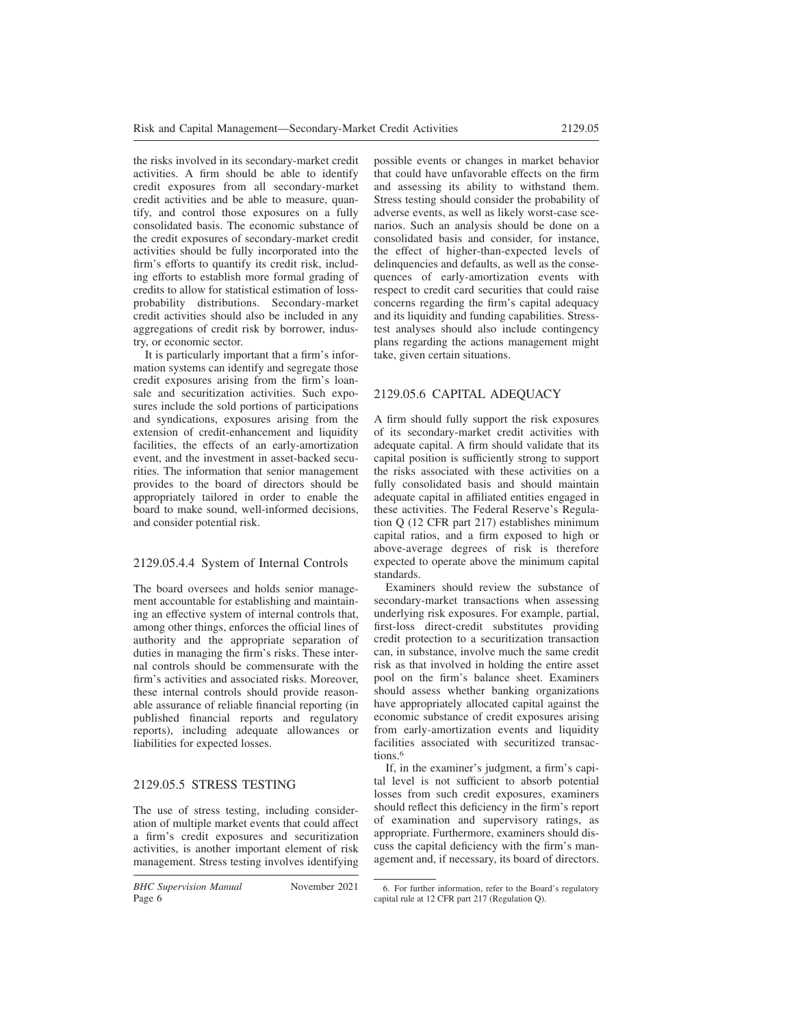the risks involved in its secondary-market credit activities. A firm should be able to identify credit exposures from all secondary-market credit activities and be able to measure, quantify, and control those exposures on a fully consolidated basis. The economic substance of the credit exposures of secondary-market credit activities should be fully incorporated into the firm's efforts to quantify its credit risk, including efforts to establish more formal grading of credits to allow for statistical estimation of lossprobability distributions. Secondary-market credit activities should also be included in any aggregations of credit risk by borrower, industry, or economic sector.

It is particularly important that a firm's information systems can identify and segregate those credit exposures arising from the firm's loansale and securitization activities. Such exposures include the sold portions of participations and syndications, exposures arising from the extension of credit-enhancement and liquidity facilities, the effects of an early-amortization event, and the investment in asset-backed securities. The information that senior management provides to the board of directors should be appropriately tailored in order to enable the board to make sound, well-informed decisions, and consider potential risk.

## 2129.05.4.4 System of Internal Controls

The board oversees and holds senior management accountable for establishing and maintaining an effective system of internal controls that, among other things, enforces the official lines of authority and the appropriate separation of duties in managing the firm's risks. These internal controls should be commensurate with the firm's activities and associated risks. Moreover these internal controls should provide reasonable assurance of reliable financial reporting (in published financial reports and regulatory reports), including adequate allowances or liabilities for expected losses.

## 2129.05.5 STRESS TESTING

The use of stress testing, including consideration of multiple market events that could affect a firm's credit exposures and securitization activities, is another important element of risk management. Stress testing involves identifying possible events or changes in market behavior that could have unfavorable effects on the firm and assessing its ability to withstand them. Stress testing should consider the probability of adverse events, as well as likely worst-case scenarios. Such an analysis should be done on a consolidated basis and consider, for instance, the effect of higher-than-expected levels of delinquencies and defaults, as well as the consequences of early-amortization events with respect to credit card securities that could raise concerns regarding the firm's capital adequacy and its liquidity and funding capabilities. Stresstest analyses should also include contingency plans regarding the actions management might take, given certain situations.

# 2129.05.6 CAPITAL ADEQUACY

A firm should fully support the risk exposures of its secondary-market credit activities with adequate capital. A firm should validate that its capital position is sufficiently strong to support the risks associated with these activities on a fully consolidated basis and should maintain adequate capital in affiliated entities engaged in these activities. The Federal Reserve's Regulation Q (12 CFR part 217) establishes minimum capital ratios, and a firm exposed to high or above-average degrees of risk is therefore expected to operate above the minimum capital standards.

Examiners should review the substance of secondary-market transactions when assessing underlying risk exposures. For example, partial, first-loss direct-credit substitutes providing credit protection to a securitization transaction can, in substance, involve much the same credit risk as that involved in holding the entire asset pool on the firm's balance sheet. Examiners should assess whether banking organizations have appropriately allocated capital against the economic substance of credit exposures arising from early-amortization events and liquidity facilities associated with securitized transactions.<sup>6</sup>

If, in the examiner's judgment, a firm's capital level is not sufficient to absorb potential losses from such credit exposures, examiners should reflect this deficiency in the firm's report of examination and supervisory ratings, as appropriate. Furthermore, examiners should discuss the capital deficiency with the firm's management and, if necessary, its board of directors.

<sup>6.</sup> For further information, refer to the Board's regulatory capital rule at 12 CFR part 217 (Regulation Q).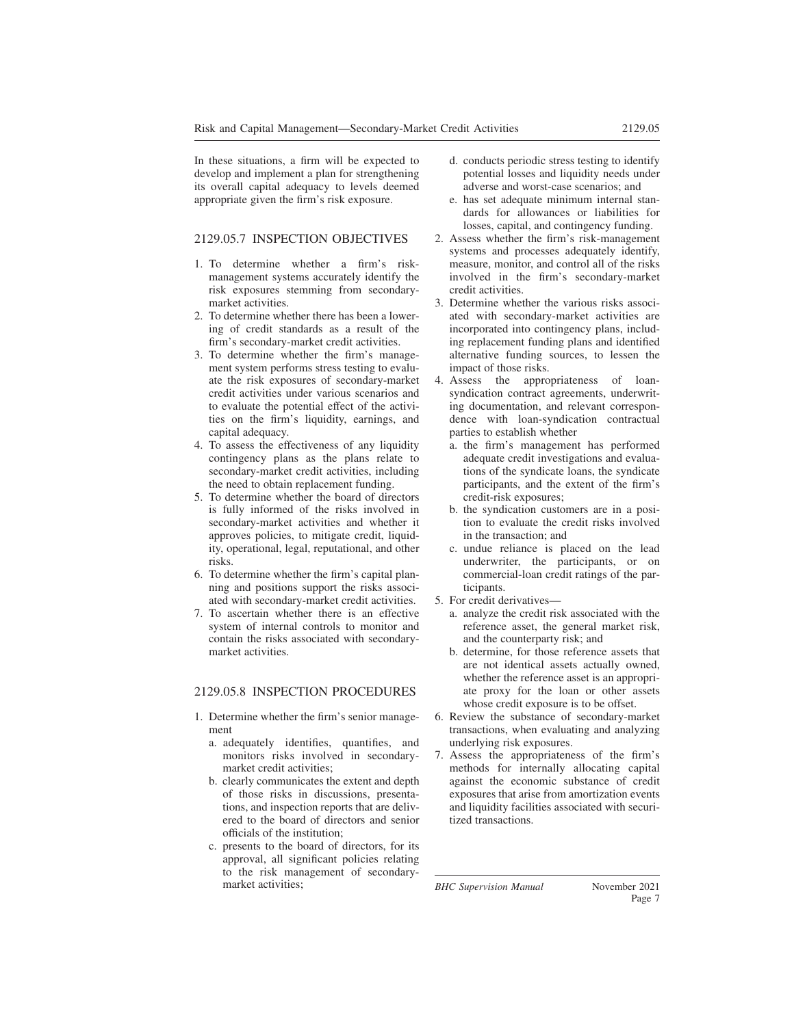In these situations, a firm will be expected to develop and implement a plan for strengthening its overall capital adequacy to levels deemed appropriate given the firm's risk exposure.

### 2129.05.7 INSPECTION OBJECTIVES

- 1. To determine whether a firm's riskmanagement systems accurately identify the risk exposures stemming from secondarymarket activities.
- 2. To determine whether there has been a lowering of credit standards as a result of the firm's secondary-market credit activities.
- 3. To determine whether the firm's management system performs stress testing to evaluate the risk exposures of secondary-market credit activities under various scenarios and to evaluate the potential effect of the activities on the firm's liquidity, earnings, and capital adequacy.
- 4. To assess the effectiveness of any liquidity contingency plans as the plans relate to secondary-market credit activities, including the need to obtain replacement funding.
- 5. To determine whether the board of directors is fully informed of the risks involved in secondary-market activities and whether it approves policies, to mitigate credit, liquidity, operational, legal, reputational, and other risks.
- 6. To determine whether the firm's capital planning and positions support the risks associated with secondary-market credit activities.
- 7. To ascertain whether there is an effective system of internal controls to monitor and contain the risks associated with secondarymarket activities.

#### 2129.05.8 INSPECTION PROCEDURES

- 1. Determine whether the firm's senior management
	- a. adequately identifies, quantifies, and monitors risks involved in secondarymarket credit activities;
	- b. clearly communicates the extent and depth of those risks in discussions, presentations, and inspection reports that are delivered to the board of directors and senior officials of the institution;
	- c. presents to the board of directors, for its approval, all significant policies relating to the risk management of secondarymarket activities;
- d. conducts periodic stress testing to identify potential losses and liquidity needs under adverse and worst-case scenarios; and
- e. has set adequate minimum internal standards for allowances or liabilities for losses, capital, and contingency funding.
- 2. Assess whether the firm's risk-management systems and processes adequately identify, measure, monitor, and control all of the risks involved in the firm's secondary-market credit activities.
- 3. Determine whether the various risks associated with secondary-market activities are incorporated into contingency plans, including replacement funding plans and identified alternative funding sources, to lessen the impact of those risks.
- 4. Assess the appropriateness of loansyndication contract agreements, underwriting documentation, and relevant correspondence with loan-syndication contractual parties to establish whether
	- a. the firm's management has performed adequate credit investigations and evaluations of the syndicate loans, the syndicate participants, and the extent of the firm's credit-risk exposures;
	- b. the syndication customers are in a position to evaluate the credit risks involved in the transaction; and
	- c. undue reliance is placed on the lead underwriter, the participants, or on commercial-loan credit ratings of the participants.
- 5. For credit derivatives
	- a. analyze the credit risk associated with the reference asset, the general market risk, and the counterparty risk; and
	- b. determine, for those reference assets that are not identical assets actually owned, whether the reference asset is an appropriate proxy for the loan or other assets whose credit exposure is to be offset.
- 6. Review the substance of secondary-market transactions, when evaluating and analyzing underlying risk exposures.
- 7. Assess the appropriateness of the firm's methods for internally allocating capital against the economic substance of credit exposures that arise from amortization events and liquidity facilities associated with securitized transactions.

*BHC Supervision Manual* November 2021